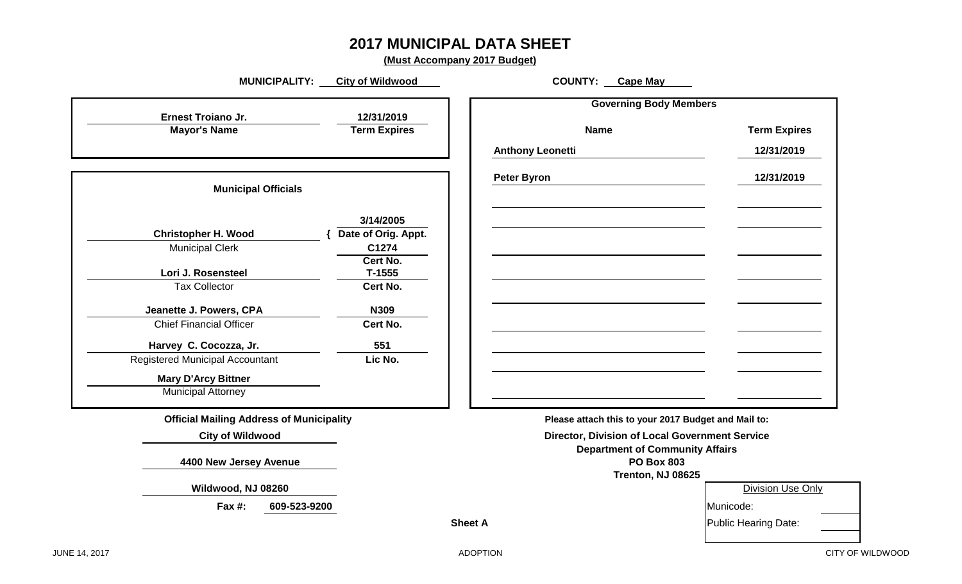### **2017 MUNICIPAL DATA SHEET**

**(Must Accompany 2017 Budget)**

| MUNICIPALITY: _                                 | <b>City of Wildwood</b>          | <b>COUNTY:</b> Cape May                             |                      |
|-------------------------------------------------|----------------------------------|-----------------------------------------------------|----------------------|
| <b>Ernest Troiano Jr.</b>                       | 12/31/2019                       | <b>Governing Body Members</b>                       |                      |
| <b>Mayor's Name</b>                             | <b>Term Expires</b>              | <b>Name</b>                                         | <b>Term Expires</b>  |
|                                                 |                                  | <b>Anthony Leonetti</b>                             | 12/31/2019           |
|                                                 |                                  |                                                     |                      |
| <b>Municipal Officials</b>                      |                                  | <b>Peter Byron</b>                                  | 12/31/2019           |
|                                                 |                                  |                                                     |                      |
| <b>Christopher H. Wood</b>                      | 3/14/2005<br>Date of Orig. Appt. |                                                     |                      |
| <b>Municipal Clerk</b>                          | C1274                            |                                                     |                      |
|                                                 | Cert No.                         |                                                     |                      |
| Lori J. Rosensteel<br><b>Tax Collector</b>      | $T-1555$<br>Cert No.             |                                                     |                      |
|                                                 |                                  |                                                     |                      |
| Jeanette J. Powers, CPA                         | N309                             |                                                     |                      |
| <b>Chief Financial Officer</b>                  | Cert No.                         |                                                     |                      |
| Harvey C. Cocozza, Jr.                          | 551                              |                                                     |                      |
| Registered Municipal Accountant                 | Lic No.                          |                                                     |                      |
| <b>Mary D'Arcy Bittner</b>                      |                                  |                                                     |                      |
| <b>Municipal Attorney</b>                       |                                  |                                                     |                      |
| <b>Official Mailing Address of Municipality</b> |                                  | Please attach this to your 2017 Budget and Mail to: |                      |
| <b>City of Wildwood</b>                         |                                  | Director, Division of Local Government Service      |                      |
|                                                 |                                  | <b>Department of Community Affairs</b>              |                      |
| 4400 New Jersey Avenue                          |                                  | <b>PO Box 803</b>                                   |                      |
| Wildwood, NJ 08260                              |                                  | Trenton, NJ 08625                                   | Division Use Only    |
|                                                 |                                  |                                                     |                      |
| Fax #:<br>609-523-9200                          |                                  |                                                     | Municode:            |
|                                                 |                                  | <b>Sheet A</b>                                      | Public Hearing Date: |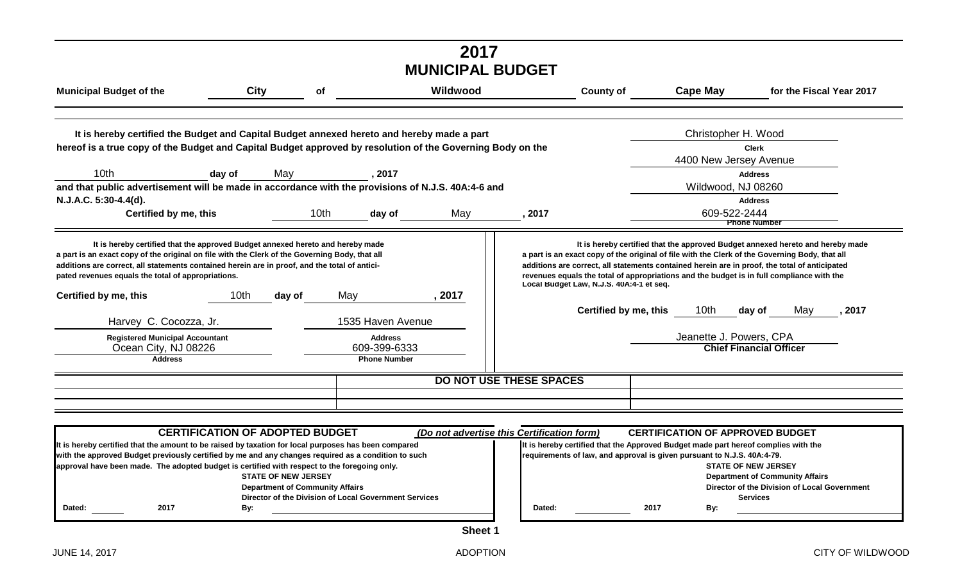| City<br><b>Municipal Budget of the</b><br>It is hereby certified the Budget and Capital Budget annexed hereto and hereby made a part<br>10 <sub>th</sub><br>day of<br>Certified by me, this<br>It is hereby certified that the approved Budget annexed hereto and hereby made<br>10 <sub>th</sub><br>Harvey C. Cocozza, Jr.                                                                                                                                                                                                 | οf<br>May<br>10th | , 2017                                                | Wildwood | <b>County of</b>                                                                                                                                                                                                                                                                                                                         | <b>Cape May</b><br>Christopher H. Wood<br>4400 New Jersey Avenue | for the Fiscal Year 2017<br><b>Clerk</b><br><b>Address</b> |
|-----------------------------------------------------------------------------------------------------------------------------------------------------------------------------------------------------------------------------------------------------------------------------------------------------------------------------------------------------------------------------------------------------------------------------------------------------------------------------------------------------------------------------|-------------------|-------------------------------------------------------|----------|------------------------------------------------------------------------------------------------------------------------------------------------------------------------------------------------------------------------------------------------------------------------------------------------------------------------------------------|------------------------------------------------------------------|------------------------------------------------------------|
| hereof is a true copy of the Budget and Capital Budget approved by resolution of the Governing Body on the<br>and that public advertisement will be made in accordance with the provisions of N.J.S. 40A:4-6 and<br>N.J.A.C. 5:30-4.4(d).<br>a part is an exact copy of the original on file with the Clerk of the Governing Body, that all<br>additions are correct, all statements contained herein are in proof, and the total of antici-<br>pated revenues equals the total of appropriations.<br>Certified by me, this |                   |                                                       |          |                                                                                                                                                                                                                                                                                                                                          |                                                                  |                                                            |
|                                                                                                                                                                                                                                                                                                                                                                                                                                                                                                                             |                   |                                                       |          |                                                                                                                                                                                                                                                                                                                                          |                                                                  |                                                            |
|                                                                                                                                                                                                                                                                                                                                                                                                                                                                                                                             |                   |                                                       |          |                                                                                                                                                                                                                                                                                                                                          |                                                                  |                                                            |
|                                                                                                                                                                                                                                                                                                                                                                                                                                                                                                                             |                   |                                                       |          |                                                                                                                                                                                                                                                                                                                                          |                                                                  | Wildwood, NJ 08260                                         |
|                                                                                                                                                                                                                                                                                                                                                                                                                                                                                                                             |                   |                                                       |          |                                                                                                                                                                                                                                                                                                                                          |                                                                  | <b>Address</b>                                             |
|                                                                                                                                                                                                                                                                                                                                                                                                                                                                                                                             |                   | day of                                                | May      | , 2017                                                                                                                                                                                                                                                                                                                                   | 609-522-2444                                                     | <b>Phone Number</b>                                        |
|                                                                                                                                                                                                                                                                                                                                                                                                                                                                                                                             | day of            | May                                                   | , 2017   | a part is an exact copy of the original of file with the Clerk of the Governing Body, that all<br>additions are correct, all statements contained herein are in proof, the total of anticipated<br>revenues equals the total of appropriations and the budget is in full compliance with the<br>Local Budget Law, N.J.S. 40A:4-1 et seq. |                                                                  |                                                            |
|                                                                                                                                                                                                                                                                                                                                                                                                                                                                                                                             |                   | 1535 Haven Avenue                                     |          | Certified by me, this                                                                                                                                                                                                                                                                                                                    | 10th                                                             | day of<br>May<br>, 2017                                    |
| <b>Registered Municipal Accountant</b><br>Ocean City, NJ 08226<br><b>Address</b>                                                                                                                                                                                                                                                                                                                                                                                                                                            |                   | <b>Address</b><br>609-399-6333<br><b>Phone Number</b> |          |                                                                                                                                                                                                                                                                                                                                          | Jeanette J. Powers, CPA                                          | <b>Chief Financial Officer</b>                             |
|                                                                                                                                                                                                                                                                                                                                                                                                                                                                                                                             |                   |                                                       |          | <b>DO NOT USE THESE SPACES</b>                                                                                                                                                                                                                                                                                                           |                                                                  |                                                            |
| <b>CERTIFICATION OF ADOPTED BUDGET</b>                                                                                                                                                                                                                                                                                                                                                                                                                                                                                      |                   |                                                       |          | (Do not advertise this Certification form)                                                                                                                                                                                                                                                                                               | <b>CERTIFICATION OF APPROVED BUDGET</b>                          |                                                            |

| It is hereby certified that the amount to be raised by taxation for local purposes has been compared |      |                                                                                              |  |        | It is hereby certified that the Approved Budget made part hereof complies w |     |                              |
|------------------------------------------------------------------------------------------------------|------|----------------------------------------------------------------------------------------------|--|--------|-----------------------------------------------------------------------------|-----|------------------------------|
| with the approved Budget previously certified by me and any changes required as a condition to such  |      |                                                                                              |  |        | requirements of law, and approval is given pursuant to N.J.S. 40A:4-79.     |     |                              |
|                                                                                                      |      | approval have been made. The adopted budget is certified with respect to the foregoing only. |  |        |                                                                             |     | <b>STATE OF NEW JERSEY</b>   |
|                                                                                                      |      | <b>STATE OF NEW JERSEY</b>                                                                   |  |        |                                                                             |     | <b>Department of Communi</b> |
|                                                                                                      |      | <b>Department of Community Affairs</b>                                                       |  |        |                                                                             |     | Director of the Division o   |
|                                                                                                      |      | Director of the Division of Local Government Services                                        |  |        |                                                                             |     | <b>Services</b>              |
| Dated:                                                                                               | 2017 | Bv:                                                                                          |  | Dated: | 2017                                                                        | By: |                              |
|                                                                                                      |      |                                                                                              |  |        |                                                                             |     |                              |

| OF ADOPTED BUDGET                                     | (Do not advertise this Certification form) |        |                                                                         |      |     | <b>CERTIFICATION OF APPROVED BUDGET</b>                                            |  |
|-------------------------------------------------------|--------------------------------------------|--------|-------------------------------------------------------------------------|------|-----|------------------------------------------------------------------------------------|--|
| y taxation for local purposes has been compared       |                                            |        |                                                                         |      |     | It is hereby certified that the Approved Budget made part hereof complies with the |  |
| e and any changes required as a condition to such     |                                            |        | requirements of law, and approval is given pursuant to N.J.S. 40A:4-79. |      |     |                                                                                    |  |
| certified with respect to the foregoing only.         |                                            |        |                                                                         |      |     | <b>STATE OF NEW JERSEY</b>                                                         |  |
| <b>STATE OF NEW JERSEY</b>                            |                                            |        |                                                                         |      |     | <b>Department of Community Affairs</b>                                             |  |
| <b>Department of Community Affairs</b>                |                                            |        |                                                                         |      |     | Director of the Division of Local Government                                       |  |
| Director of the Division of Local Government Services |                                            |        |                                                                         |      |     | <b>Services</b>                                                                    |  |
| Bv:                                                   |                                            | Dated: |                                                                         | 2017 | Bv: |                                                                                    |  |
|                                                       |                                            |        |                                                                         |      |     |                                                                                    |  |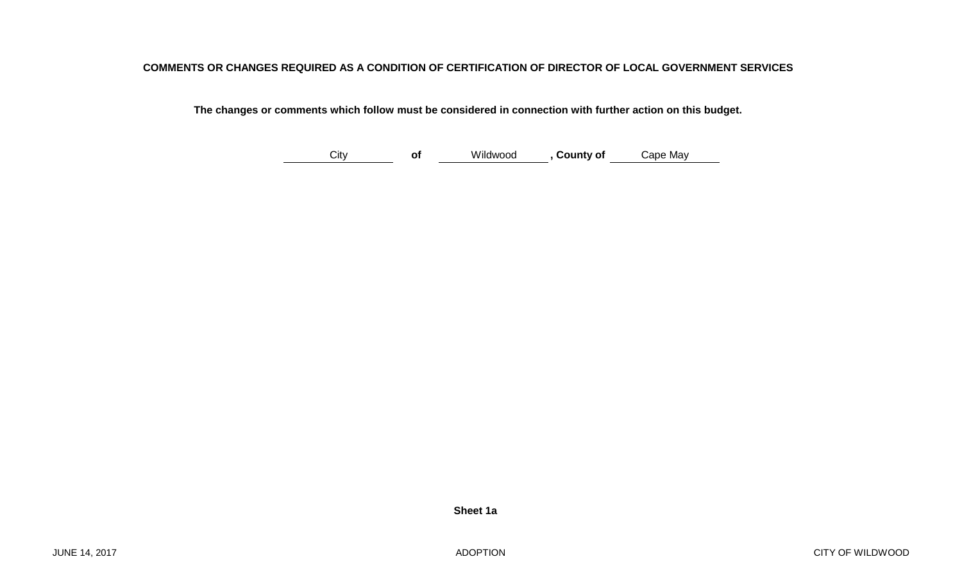#### **COMMENTS OR CHANGES REQUIRED AS A CONDITION OF CERTIFICATION OF DIRECTOR OF LOCAL GOVERNMENT SERVICES**

 **The changes or comments which follow must be considered in connection with further action on this budget.**

**of , County of**  City Wildwood Cape May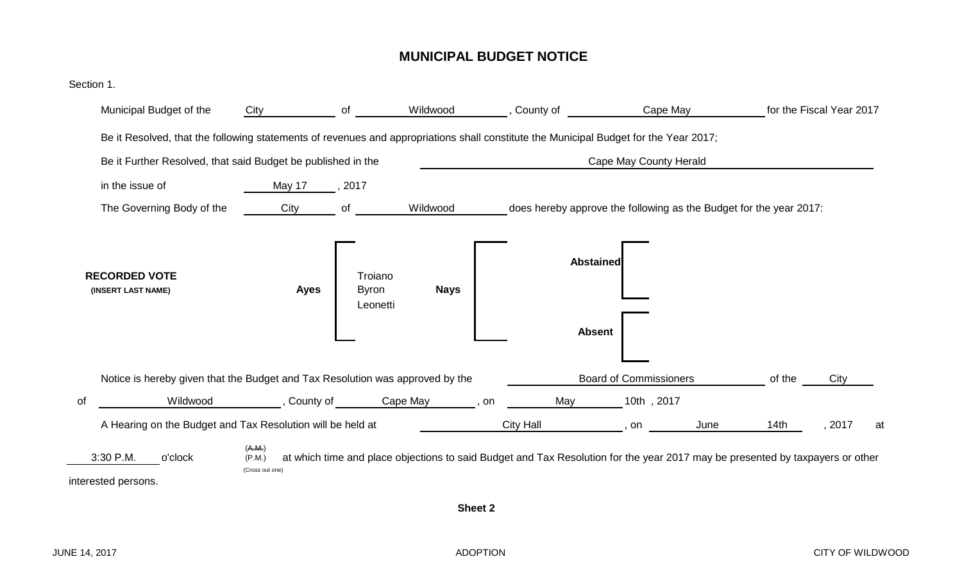#### **MUNICIPAL BUDGET NOTICE**

| Municipal Budget of the                                                                                                               | City                                | of                      | Wildwood    | County of                                                                                                                     | Cape May                      |      |        | for the Fiscal Year 2017 |    |
|---------------------------------------------------------------------------------------------------------------------------------------|-------------------------------------|-------------------------|-------------|-------------------------------------------------------------------------------------------------------------------------------|-------------------------------|------|--------|--------------------------|----|
| Be it Resolved, that the following statements of revenues and appropriations shall constitute the Municipal Budget for the Year 2017; |                                     |                         |             |                                                                                                                               |                               |      |        |                          |    |
| Be it Further Resolved, that said Budget be published in the                                                                          |                                     |                         |             |                                                                                                                               | Cape May County Herald        |      |        |                          |    |
| in the issue of                                                                                                                       | May 17                              | 2017                    |             |                                                                                                                               |                               |      |        |                          |    |
| The Governing Body of the                                                                                                             | City                                | of                      | Wildwood    | does hereby approve the following as the Budget for the year 2017:                                                            |                               |      |        |                          |    |
| <b>RECORDED VOTE</b><br>(INSERT LAST NAME)                                                                                            | <b>Ayes</b>                         | Troiano<br><b>Byron</b> | <b>Nays</b> | <b>Abstained</b>                                                                                                              |                               |      |        |                          |    |
|                                                                                                                                       |                                     | Leonetti                |             | <b>Absent</b>                                                                                                                 |                               |      |        |                          |    |
| Notice is hereby given that the Budget and Tax Resolution was approved by the                                                         |                                     |                         |             |                                                                                                                               | <b>Board of Commissioners</b> |      | of the | City                     |    |
| Wildwood<br>0f                                                                                                                        | , County of                         |                         | Cape May    | May<br>, on                                                                                                                   | 10th, 2017                    |      |        |                          |    |
| A Hearing on the Budget and Tax Resolution will be held at                                                                            |                                     |                         |             | <b>City Hall</b>                                                                                                              | on                            | June | 14th   | , 2017                   | at |
| 3:30 P.M.<br>o'clock<br>interested persons.                                                                                           | (A.M.)<br>(P.M.)<br>(Cross out one) |                         |             | at which time and place objections to said Budget and Tax Resolution for the year 2017 may be presented by taxpayers or other |                               |      |        |                          |    |
|                                                                                                                                       |                                     |                         | Sheet 2     |                                                                                                                               |                               |      |        |                          |    |
|                                                                                                                                       |                                     |                         |             |                                                                                                                               |                               |      |        |                          |    |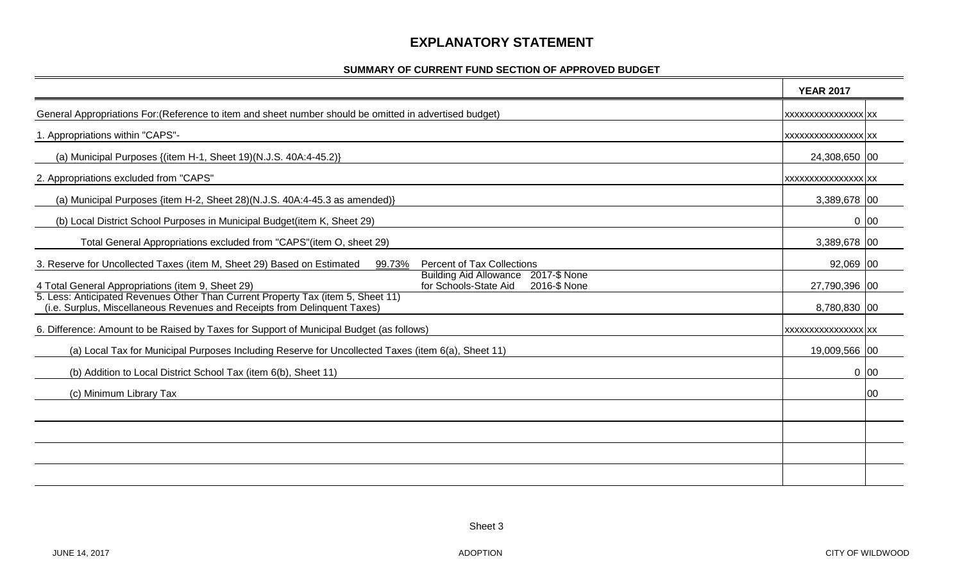#### **EXPLANATORY STATEMENT**

#### **SUMMARY OF CURRENT FUND SECTION OF APPROVED BUDGET**

|                                                                                                                                                               | <b>YEAR 2017</b>           |     |
|---------------------------------------------------------------------------------------------------------------------------------------------------------------|----------------------------|-----|
| General Appropriations For: (Reference to item and sheet number should be omitted in advertised budget)                                                       | <b>XXXXXXXXXXXXXXXX XX</b> |     |
| 1. Appropriations within "CAPS"-                                                                                                                              | <b>XXXXXXXXXXXXXXXX XX</b> |     |
| (a) Municipal Purposes {(item H-1, Sheet 19)(N.J.S. 40A:4-45.2)}                                                                                              | 24,308,650 00              |     |
| 2. Appropriations excluded from "CAPS"                                                                                                                        | XXXXXXXXXXXXXXXXX XX       |     |
| (a) Municipal Purposes {item H-2, Sheet 28)(N.J.S. 40A:4-45.3 as amended)}                                                                                    | 3,389,678 00               |     |
| (b) Local District School Purposes in Municipal Budget(item K, Sheet 29)                                                                                      | $0$ 00                     |     |
| Total General Appropriations excluded from "CAPS" (item O, sheet 29)                                                                                          | 3,389,678 00               |     |
| <b>Percent of Tax Collections</b><br>3. Reserve for Uncollected Taxes (item M, Sheet 29) Based on Estimated<br>99.73%                                         | 92,069 00                  |     |
| Building Aid Allowance 2017-\$ None<br>for Schools-State Aid<br>4 Total General Appropriations (item 9, Sheet 29)<br>2016-\$ None                             | 27,790,396 00              |     |
| 5. Less: Anticipated Revenues Other Than Current Property Tax (item 5, Sheet 11)<br>(i.e. Surplus, Miscellaneous Revenues and Receipts from Delinquent Taxes) | 8,780,830 00               |     |
| 6. Difference: Amount to be Raised by Taxes for Support of Municipal Budget (as follows)                                                                      | <b>XXXXXXXXXXXXXXXX XX</b> |     |
| (a) Local Tax for Municipal Purposes Including Reserve for Uncollected Taxes (item 6(a), Sheet 11)                                                            | 19,009,566 00              |     |
| (b) Addition to Local District School Tax (item 6(b), Sheet 11)                                                                                               | $0\vert 00$                |     |
| (c) Minimum Library Tax                                                                                                                                       |                            | 100 |
|                                                                                                                                                               |                            |     |
|                                                                                                                                                               |                            |     |
|                                                                                                                                                               |                            |     |
|                                                                                                                                                               |                            |     |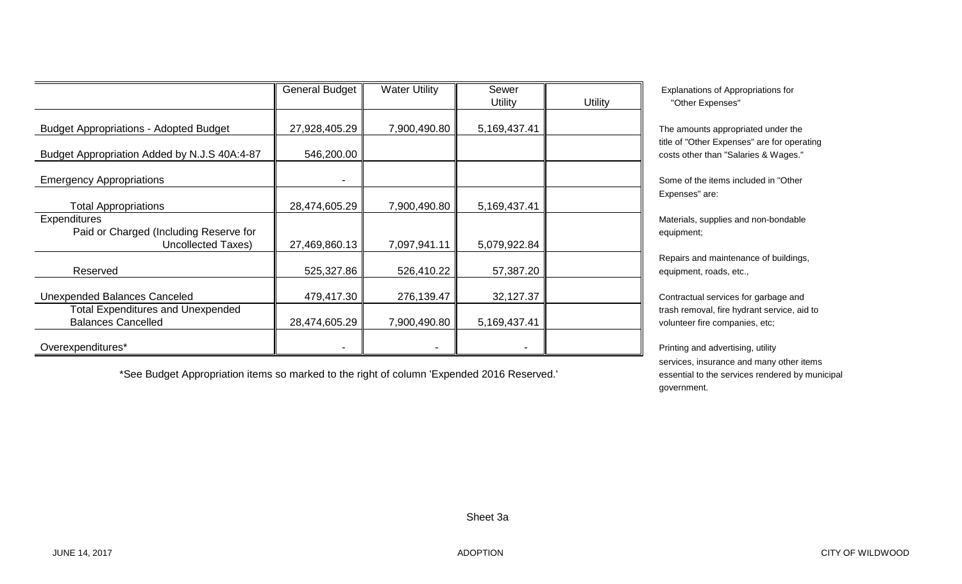|                                                                          | <b>General Budget</b> | <b>Water Utility</b> | Sewer<br>Utility | <b>Utility</b> | Explanatio<br>"Other E   |
|--------------------------------------------------------------------------|-----------------------|----------------------|------------------|----------------|--------------------------|
| <b>Budget Appropriations - Adopted Budget</b>                            | 27,928,405.29         | 7,900,490.80         | 5,169,437.41     |                | The amour                |
| Budget Appropriation Added by N.J.S 40A:4-87                             | 546,200.00            |                      |                  |                | title of "Oth            |
|                                                                          |                       |                      |                  |                | costs other              |
| <b>Emergency Appropriations</b>                                          |                       |                      |                  |                | Some of th<br>Expenses"  |
| <b>Total Appropriations</b><br><b>Expenditures</b>                       | 28,474,605.29         | 7,900,490.80         | 5,169,437.41     |                | Materials, s             |
| Paid or Charged (Including Reserve for<br><b>Uncollected Taxes)</b>      | 27,469,860.13         | 7,097,941.11         | 5,079,922.84     |                | equipment;               |
|                                                                          |                       |                      |                  |                | Repairs an               |
| Reserved                                                                 | 525,327.86            | 526,410.22           | 57,387.20        |                | equipment,               |
| Unexpended Balances Canceled<br><b>Total Expenditures and Unexpended</b> | 479,417.30            | 276,139.47           | 32,127.37        |                | Contractua<br>trash remo |
| <b>Balances Cancelled</b>                                                | 28,474,605.29         | 7,900,490.80         | 5,169,437.41     |                | volunteer fi             |
| Overexpenditures*                                                        |                       |                      |                  |                | Printing and             |

\*See Budget Appropriation items so marked to the right of column 'Expended 2016 Reserved.'

Explanations of Appropriations for "Other Expenses"

The amounts appropriated under the title of "Other Expenses" are for operating costs other than "Salaries & Wages."

Some of the items included in "Other Expenses" are:

Materials, supplies and non-bondable

Repairs and maintenance of buildings, equipment, roads, etc.,

Contractual services for garbage and trash removal, fire hydrant service, aid to volunteer fire companies, etc;

Printing and advertising, utility services, insurance and many other items essential to the services rendered by municipal government.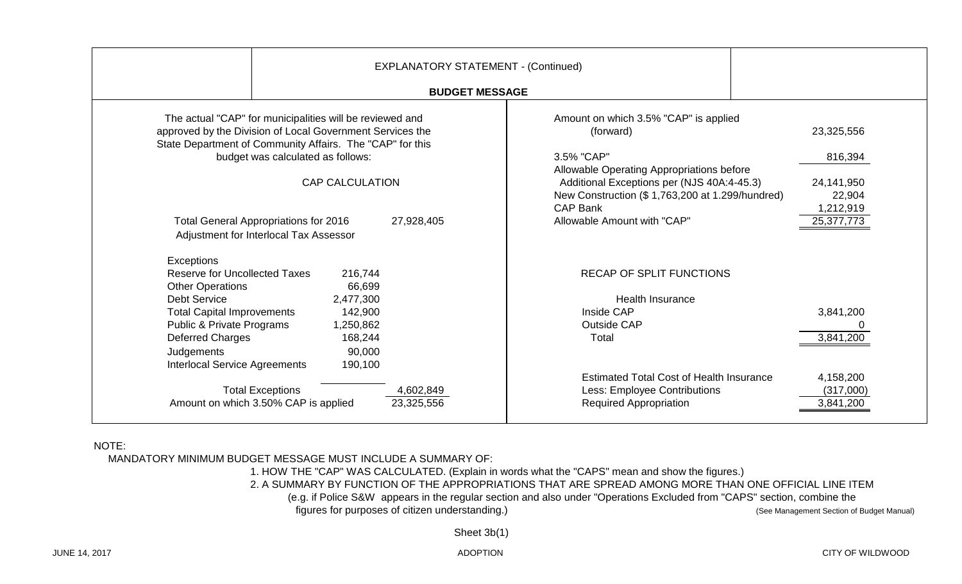| <b>EXPLANATORY STATEMENT - (Continued)</b><br><b>BUDGET MESSAGE</b>                                                                                                                                                                                                                                                                                       |                                                                                                                                                                                                                                                                                                                                              |
|-----------------------------------------------------------------------------------------------------------------------------------------------------------------------------------------------------------------------------------------------------------------------------------------------------------------------------------------------------------|----------------------------------------------------------------------------------------------------------------------------------------------------------------------------------------------------------------------------------------------------------------------------------------------------------------------------------------------|
| The actual "CAP" for municipalities will be reviewed and<br>approved by the Division of Local Government Services the<br>State Department of Community Affairs. The "CAP" for this<br>budget was calculated as follows:<br><b>CAP CALCULATION</b><br><b>Total General Appropriations for 2016</b><br>27,928,405<br>Adjustment for Interlocal Tax Assessor | Amount on which 3.5% "CAP" is applied<br>(forward)<br>23,325,556<br>3.5% "CAP"<br>816,394<br>Allowable Operating Appropriations before<br>Additional Exceptions per (NJS 40A:4-45.3)<br>24,141,950<br>New Construction (\$1,763,200 at 1.299/hundred)<br>22,904<br><b>CAP Bank</b><br>1,212,919<br>Allowable Amount with "CAP"<br>25,377,773 |
| Exceptions<br><b>Reserve for Uncollected Taxes</b><br>216,744<br>66,699<br><b>Other Operations</b><br><b>Debt Service</b><br>2,477,300<br>142,900<br><b>Total Capital Improvements</b><br>Public & Private Programs<br>1,250,862<br>168,244<br>Deferred Charges<br>Judgements<br>90,000<br><b>Interlocal Service Agreements</b><br>190,100                | <b>RECAP OF SPLIT FUNCTIONS</b><br><b>Health Insurance</b><br>Inside CAP<br>3,841,200<br><b>Outside CAP</b><br>3,841,200<br>Total                                                                                                                                                                                                            |
| <b>Total Exceptions</b><br>4,602,849<br>Amount on which 3.50% CAP is applied<br>23,325,556                                                                                                                                                                                                                                                                | <b>Estimated Total Cost of Health Insurance</b><br>4,158,200<br>Less: Employee Contributions<br>(317,000)<br><b>Required Appropriation</b><br>3,841,200                                                                                                                                                                                      |

#### NOTE:

MANDATORY MINIMUM BUDGET MESSAGE MUST INCLUDE A SUMMARY OF:

1. HOW THE "CAP" WAS CALCULATED. (Explain in words what the "CAPS" mean and show the figures.)

2. A SUMMARY BY FUNCTION OF THE APPROPRIATIONS THAT ARE SPREAD AMONG MORE THAN ONE OFFICIAL LINE ITEM

(e.g. if Police S&W appears in the regular section and also under "Operations Excluded from "CAPS" section, combine the

figures for purposes of citizen understanding.) (See Management Section of Budget Manual)

Sheet 3b(1)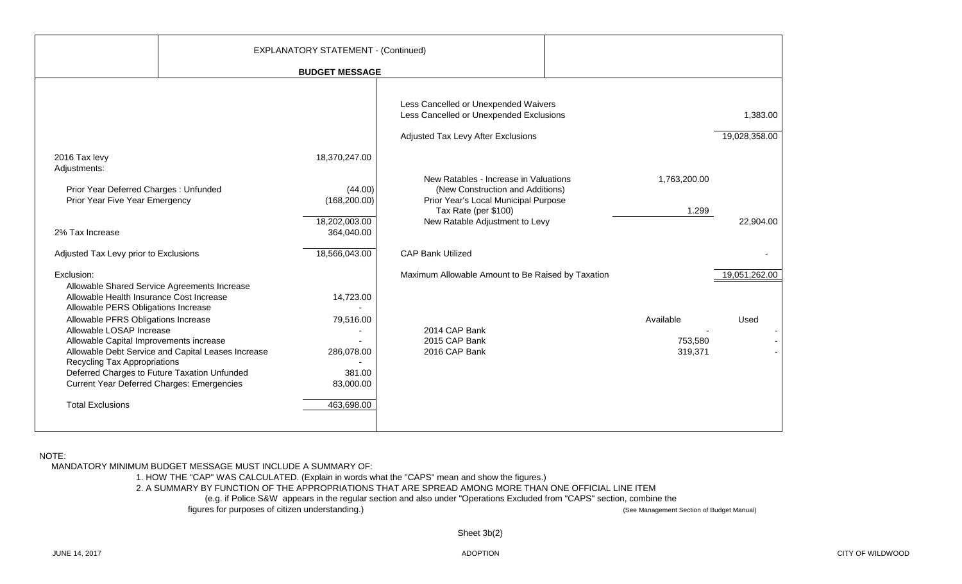|                                                                                                                            |                                                    | <b>EXPLANATORY STATEMENT - (Continued)</b> |                                                                                                |                    |               |
|----------------------------------------------------------------------------------------------------------------------------|----------------------------------------------------|--------------------------------------------|------------------------------------------------------------------------------------------------|--------------------|---------------|
|                                                                                                                            |                                                    | <b>BUDGET MESSAGE</b>                      |                                                                                                |                    |               |
|                                                                                                                            |                                                    |                                            |                                                                                                |                    |               |
|                                                                                                                            |                                                    |                                            | Less Cancelled or Unexpended Waivers<br>Less Cancelled or Unexpended Exclusions                |                    | 1,383.00      |
|                                                                                                                            |                                                    |                                            | Adjusted Tax Levy After Exclusions                                                             |                    | 19,028,358.00 |
| 2016 Tax levy<br>Adjustments:                                                                                              |                                                    | 18,370,247.00                              |                                                                                                |                    |               |
| Prior Year Deferred Charges: Unfunded                                                                                      |                                                    | (44.00)                                    | New Ratables - Increase in Valuations<br>(New Construction and Additions)                      | 1,763,200.00       |               |
| Prior Year Five Year Emergency                                                                                             |                                                    | (168, 200.00)<br>18,202,003.00             | Prior Year's Local Municipal Purpose<br>Tax Rate (per \$100)<br>New Ratable Adjustment to Levy | 1.299              | 22,904.00     |
| 2% Tax Increase                                                                                                            |                                                    | 364,040.00                                 |                                                                                                |                    |               |
| Adjusted Tax Levy prior to Exclusions                                                                                      |                                                    | 18,566,043.00                              | <b>CAP Bank Utilized</b>                                                                       |                    |               |
| Exclusion:                                                                                                                 |                                                    |                                            | Maximum Allowable Amount to Be Raised by Taxation                                              |                    | 19,051,262.00 |
| Allowable Health Insurance Cost Increase<br>Allowable PERS Obligations Increase                                            | Allowable Shared Service Agreements Increase       | 14,723.00                                  |                                                                                                |                    |               |
| Allowable PFRS Obligations Increase<br>Allowable LOSAP Increase                                                            |                                                    | 79,516.00                                  | 2014 CAP Bank                                                                                  | Available          | Used          |
| Allowable Capital Improvements increase                                                                                    | Allowable Debt Service and Capital Leases Increase | 286,078.00                                 | 2015 CAP Bank<br>2016 CAP Bank                                                                 | 753,580<br>319,371 |               |
| Recycling Tax Appropriations<br>Deferred Charges to Future Taxation Unfunded<br>Current Year Deferred Charges: Emergencies |                                                    | 381.00<br>83,000.00                        |                                                                                                |                    |               |
| <b>Total Exclusions</b>                                                                                                    |                                                    | 463,698.00                                 |                                                                                                |                    |               |
|                                                                                                                            |                                                    |                                            |                                                                                                |                    |               |

NOTE:

MANDATORY MINIMUM BUDGET MESSAGE MUST INCLUDE A SUMMARY OF:

1. HOW THE "CAP" WAS CALCULATED. (Explain in words what the "CAPS" mean and show the figures.)

2. A SUMMARY BY FUNCTION OF THE APPROPRIATIONS THAT ARE SPREAD AMONG MORE THAN ONE OFFICIAL LINE ITEM

(e.g. if Police S&W appears in the regular section and also under "Operations Excluded from "CAPS" section, combine the<br>Interation of Budget Manual) (See Management Section of Budget Manual) (See Management Section of Budg

figures for purposes of citizen understanding.)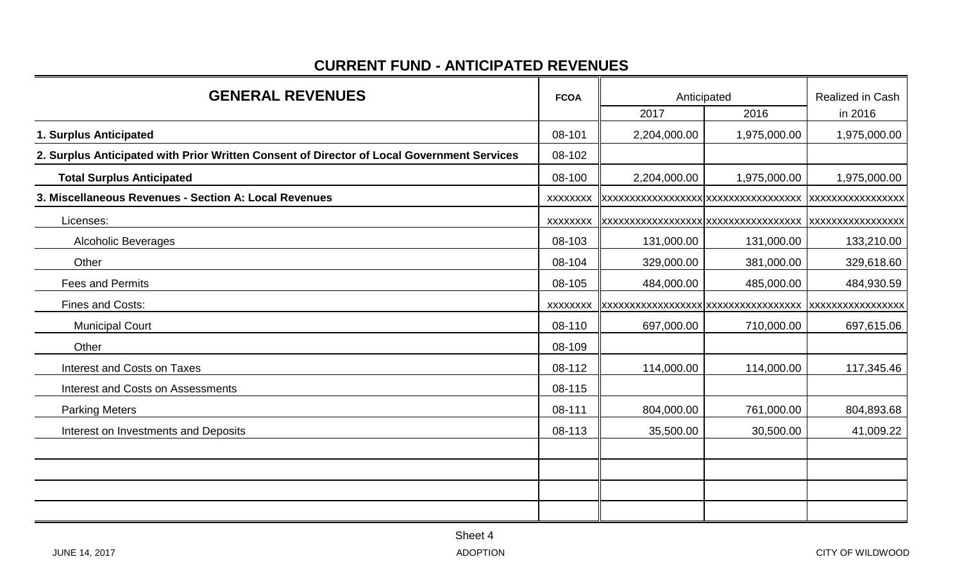#### **CURRENT FUND - ANTICIPATED REVENUES**

| <b>GENERAL REVENUES</b>                                                                    |                 | Anticipated                          | Realized in Cash |                   |  |
|--------------------------------------------------------------------------------------------|-----------------|--------------------------------------|------------------|-------------------|--|
|                                                                                            |                 | 2017                                 | 2016             | in 2016           |  |
| 1. Surplus Anticipated                                                                     | 08-101          | 2,204,000.00                         | 1,975,000.00     | 1,975,000.00      |  |
| 2. Surplus Anticipated with Prior Written Consent of Director of Local Government Services | 08-102          |                                      |                  |                   |  |
| <b>Total Surplus Anticipated</b>                                                           | 08-100          | 2,204,000.00                         | 1,975,000.00     | 1,975,000.00      |  |
| 3. Miscellaneous Revenues - Section A: Local Revenues                                      | <b>XXXXXXXX</b> | XXXXXXXXXXXXXXXXXXXXXXXXXXXXXXXXXXXX |                  | XXXXXXXXXXXXXXXXX |  |
| Licenses:                                                                                  | <b>XXXXXXXX</b> |                                      |                  | XXXXXXXXXXXXXXXX  |  |
| <b>Alcoholic Beverages</b>                                                                 | 08-103          | 131,000.00                           | 131,000.00       | 133,210.00        |  |
| Other                                                                                      | 08-104          | 329,000.00                           | 381,000.00       | 329,618.60        |  |
| <b>Fees and Permits</b>                                                                    | 08-105          | 484,000.00                           | 485,000.00       | 484,930.59        |  |
| <b>Fines and Costs:</b>                                                                    | <b>XXXXXXXX</b> |                                      |                  |                   |  |
| <b>Municipal Court</b>                                                                     | 08-110          | 697,000.00                           | 710,000.00       | 697,615.06        |  |
| Other                                                                                      | 08-109          |                                      |                  |                   |  |
| Interest and Costs on Taxes                                                                | 08-112          | 114,000.00                           | 114,000.00       | 117,345.46        |  |
| <b>Interest and Costs on Assessments</b>                                                   | 08-115          |                                      |                  |                   |  |
| <b>Parking Meters</b>                                                                      | 08-111          | 804,000.00                           | 761,000.00       | 804,893.68        |  |
| Interest on Investments and Deposits                                                       | 08-113          | 35,500.00                            | 30,500.00        | 41,009.22         |  |
|                                                                                            |                 |                                      |                  |                   |  |
|                                                                                            |                 |                                      |                  |                   |  |
|                                                                                            |                 |                                      |                  |                   |  |
|                                                                                            |                 |                                      |                  |                   |  |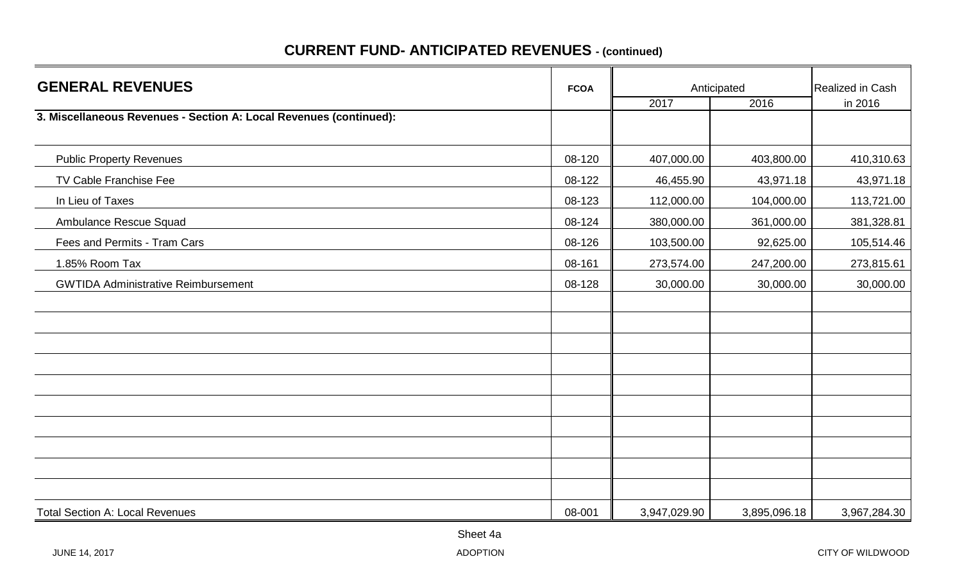| <b>GENERAL REVENUES</b>                                            | <b>FCOA</b> |              | Anticipated  |                             |  |
|--------------------------------------------------------------------|-------------|--------------|--------------|-----------------------------|--|
|                                                                    |             | 2017         | 2016         | Realized in Cash<br>in 2016 |  |
| 3. Miscellaneous Revenues - Section A: Local Revenues (continued): |             |              |              |                             |  |
| <b>Public Property Revenues</b>                                    | 08-120      | 407,000.00   | 403,800.00   | 410,310.63                  |  |
| TV Cable Franchise Fee                                             | 08-122      | 46,455.90    | 43,971.18    | 43,971.18                   |  |
| In Lieu of Taxes                                                   | 08-123      | 112,000.00   | 104,000.00   | 113,721.00                  |  |
| Ambulance Rescue Squad                                             | 08-124      | 380,000.00   | 361,000.00   | 381,328.81                  |  |
| Fees and Permits - Tram Cars                                       | 08-126      | 103,500.00   | 92,625.00    | 105,514.46                  |  |
| 1.85% Room Tax                                                     | 08-161      | 273,574.00   | 247,200.00   | 273,815.61                  |  |
| <b>GWTIDA Administrative Reimbursement</b>                         | 08-128      | 30,000.00    | 30,000.00    | 30,000.00                   |  |
|                                                                    |             |              |              |                             |  |
|                                                                    |             |              |              |                             |  |
|                                                                    |             |              |              |                             |  |
|                                                                    |             |              |              |                             |  |
|                                                                    |             |              |              |                             |  |
|                                                                    |             |              |              |                             |  |
|                                                                    |             |              |              |                             |  |
|                                                                    |             |              |              |                             |  |
|                                                                    |             |              |              |                             |  |
|                                                                    |             |              |              |                             |  |
| <b>Total Section A: Local Revenues</b>                             | 08-001      | 3,947,029.90 | 3,895,096.18 | 3,967,284.30                |  |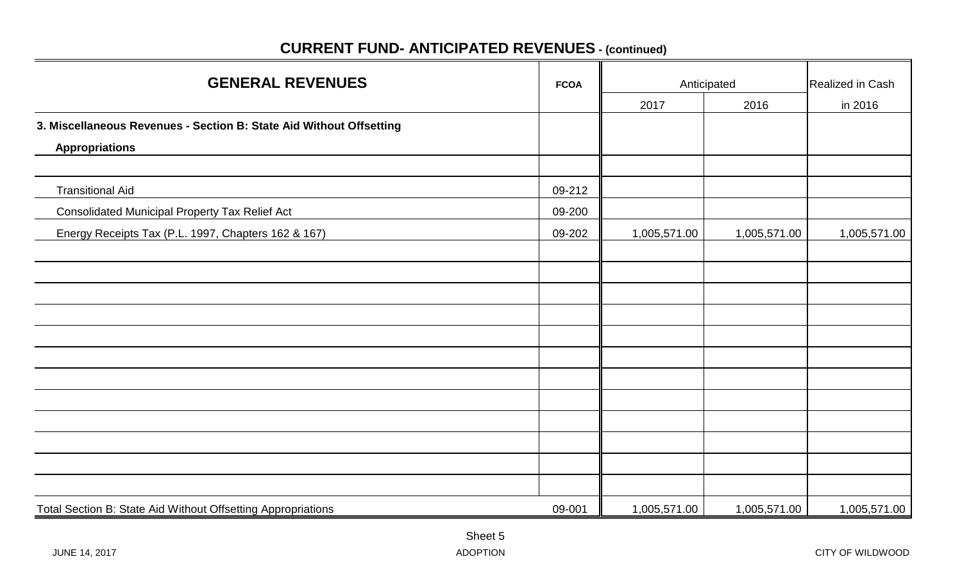# **FCOA Anticipated** Realized in Cash 2017 2016 in 2016 **3. Miscellaneous Revenues - Section B: State Aid Without Offsetting Appropriations** Transitional Aid 09-212 Consolidated Municipal Property Tax Relief Act **09-200 199-200** Energy Receipts Tax (P.L. 1997, Chapters 162 & 167) 09-202 1,005,571.00 1,005,571.00 1,005,571.00 Total Section B: State Aid Without Offsetting Appropriations 09-001 | 1,005,571.00 | 1,005,571.00 | 1,005,571.00 **GENERAL REVENUES**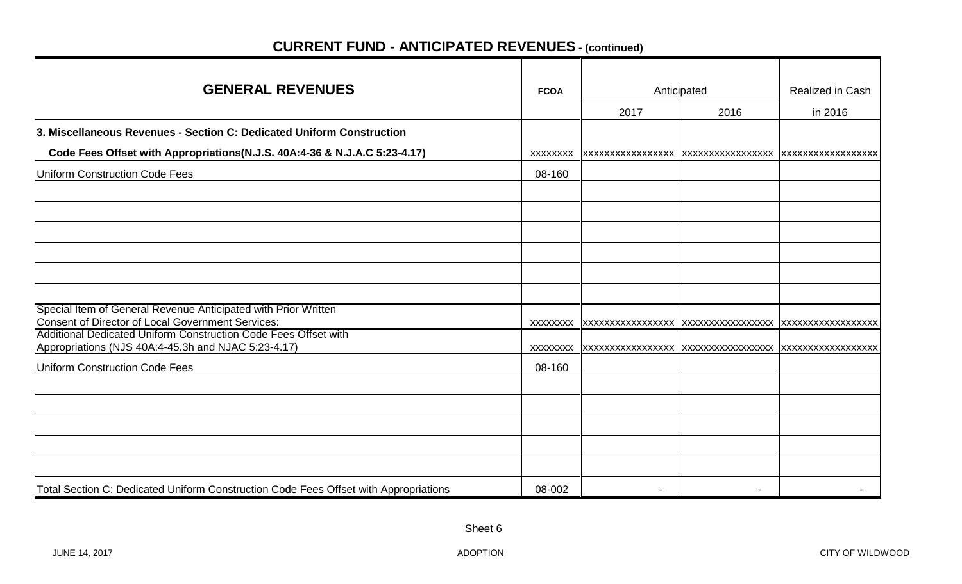| <b>GENERAL REVENUES</b>                                                                                                    | <b>FCOA</b>     |                          | Anticipated       | Realized in Cash           |
|----------------------------------------------------------------------------------------------------------------------------|-----------------|--------------------------|-------------------|----------------------------|
|                                                                                                                            |                 | 2017                     | 2016              | in 2016                    |
| 3. Miscellaneous Revenues - Section C: Dedicated Uniform Construction                                                      |                 |                          |                   |                            |
| Code Fees Offset with Appropriations(N.J.S. 40A:4-36 & N.J.A.C 5:23-4.17)                                                  | XXXXXXXX        |                          |                   | <b>IXXXXXXXXXXXXXXXXXX</b> |
| <b>Uniform Construction Code Fees</b>                                                                                      | 08-160          |                          |                   |                            |
|                                                                                                                            |                 |                          |                   |                            |
|                                                                                                                            |                 |                          |                   |                            |
|                                                                                                                            |                 |                          |                   |                            |
|                                                                                                                            |                 |                          |                   |                            |
|                                                                                                                            |                 |                          |                   |                            |
|                                                                                                                            |                 |                          |                   |                            |
| Special Item of General Revenue Anticipated with Prior Written<br><b>Consent of Director of Local Government Services:</b> | <b>XXXXXXXX</b> | <b>XXXXXXXXXXXXXXXXX</b> | XXXXXXXXXXXXXXXXX | XXXXXXXXXXXXXXXXXX         |
| Additional Dedicated Uniform Construction Code Fees Offset with<br>Appropriations (NJS 40A:4-45.3h and NJAC 5:23-4.17)     | XXXXXXXX        |                          |                   | IXXXXXXXXXXXXXXXXXX        |
| <b>Uniform Construction Code Fees</b>                                                                                      | 08-160          |                          |                   |                            |
|                                                                                                                            |                 |                          |                   |                            |
|                                                                                                                            |                 |                          |                   |                            |
|                                                                                                                            |                 |                          |                   |                            |
|                                                                                                                            |                 |                          |                   |                            |
|                                                                                                                            |                 |                          |                   |                            |
| Total Section C: Dedicated Uniform Construction Code Fees Offset with Appropriations                                       | 08-002          |                          |                   |                            |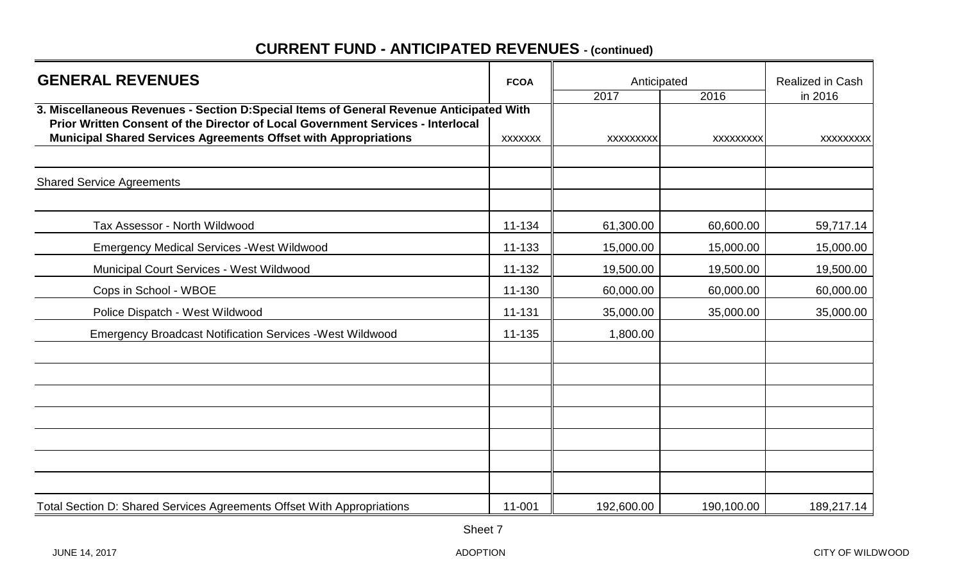| <b>GENERAL REVENUES</b>                                                                                                                                                    | <b>FCOA</b>    | Anticipated      | Realized in Cash |                  |
|----------------------------------------------------------------------------------------------------------------------------------------------------------------------------|----------------|------------------|------------------|------------------|
|                                                                                                                                                                            |                | 2017             | 2016             | in 2016          |
| 3. Miscellaneous Revenues - Section D:Special Items of General Revenue Anticipated With<br>Prior Written Consent of the Director of Local Government Services - Interlocal |                |                  |                  |                  |
| <b>Municipal Shared Services Agreements Offset with Appropriations</b>                                                                                                     | <b>XXXXXXX</b> | <b>XXXXXXXXX</b> | <b>XXXXXXXXX</b> | <b>XXXXXXXXX</b> |
| <b>Shared Service Agreements</b>                                                                                                                                           |                |                  |                  |                  |
|                                                                                                                                                                            |                |                  |                  |                  |
| Tax Assessor - North Wildwood                                                                                                                                              | 11-134         | 61,300.00        | 60,600.00        | 59,717.14        |
| <b>Emergency Medical Services - West Wildwood</b>                                                                                                                          | 11-133         | 15,000.00        | 15,000.00        | 15,000.00        |
| Municipal Court Services - West Wildwood                                                                                                                                   | 11-132         | 19,500.00        | 19,500.00        | 19,500.00        |
| Cops in School - WBOE                                                                                                                                                      | 11-130         | 60,000.00        | 60,000.00        | 60,000.00        |
| Police Dispatch - West Wildwood                                                                                                                                            | 11-131         | 35,000.00        | 35,000.00        | 35,000.00        |
| <b>Emergency Broadcast Notification Services - West Wildwood</b>                                                                                                           | 11-135         | 1,800.00         |                  |                  |
|                                                                                                                                                                            |                |                  |                  |                  |
|                                                                                                                                                                            |                |                  |                  |                  |
|                                                                                                                                                                            |                |                  |                  |                  |
|                                                                                                                                                                            |                |                  |                  |                  |
|                                                                                                                                                                            |                |                  |                  |                  |
|                                                                                                                                                                            |                |                  |                  |                  |
| Total Section D: Shared Services Agreements Offset With Appropriations                                                                                                     | 11-001         | 192,600.00       | 190,100.00       | 189,217.14       |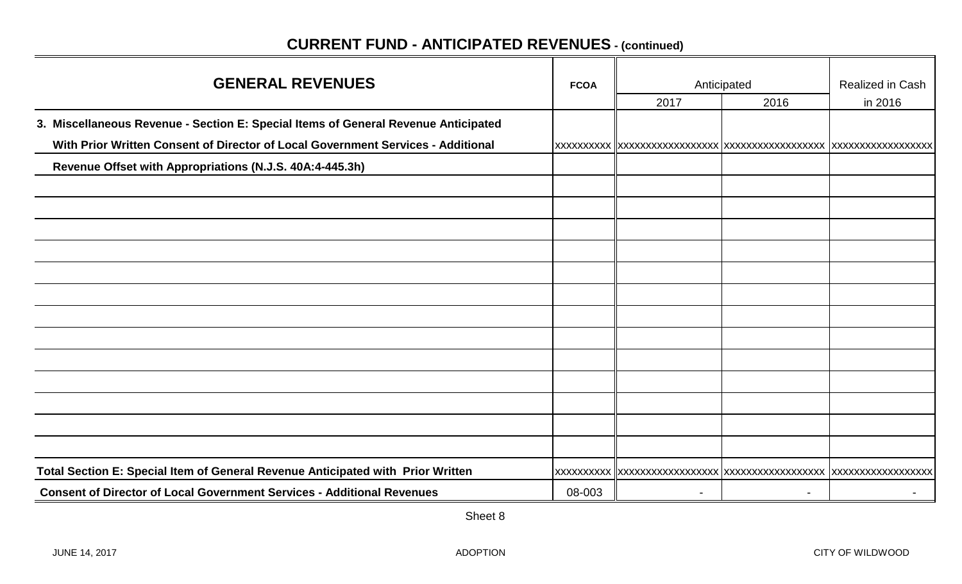| <b>GENERAL REVENUES</b>                                                            | <b>FCOA</b> |      | Anticipated    | Realized in Cash |  |
|------------------------------------------------------------------------------------|-------------|------|----------------|------------------|--|
|                                                                                    |             | 2017 | 2016           | in 2016          |  |
| 3. Miscellaneous Revenue - Section E: Special Items of General Revenue Anticipated |             |      |                |                  |  |
| With Prior Written Consent of Director of Local Government Services - Additional   |             |      |                |                  |  |
| Revenue Offset with Appropriations (N.J.S. 40A:4-445.3h)                           |             |      |                |                  |  |
|                                                                                    |             |      |                |                  |  |
|                                                                                    |             |      |                |                  |  |
|                                                                                    |             |      |                |                  |  |
|                                                                                    |             |      |                |                  |  |
|                                                                                    |             |      |                |                  |  |
|                                                                                    |             |      |                |                  |  |
|                                                                                    |             |      |                |                  |  |
|                                                                                    |             |      |                |                  |  |
|                                                                                    |             |      |                |                  |  |
|                                                                                    |             |      |                |                  |  |
|                                                                                    |             |      |                |                  |  |
|                                                                                    |             |      |                |                  |  |
|                                                                                    |             |      |                |                  |  |
| Total Section E: Special Item of General Revenue Anticipated with Prior Written    |             |      |                |                  |  |
| <b>Consent of Director of Local Government Services - Additional Revenues</b>      | 08-003      |      | $\blacksquare$ |                  |  |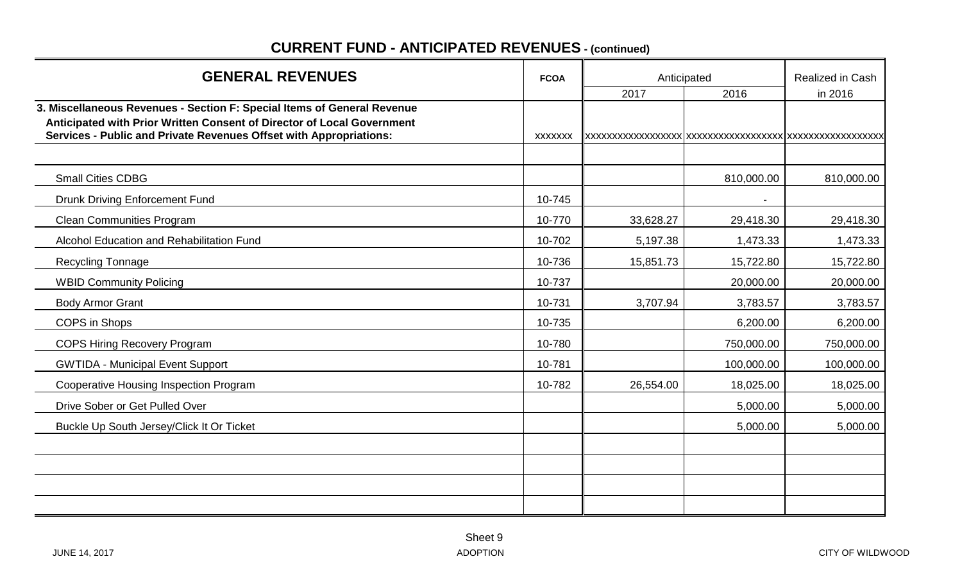# **FCOA Realized in Cash** Anticipated **Realized in Cash** 2017 2016 in 2016 **3. Miscellaneous Revenues - Section F: Special Items of General Revenue Anticipated with Prior Written Consent of Director of Local Government Services - Public and Private Revenues Offset with Appropriations:** xxxxxxx xxxxxxxxxxxxxxxxxx xxxxxxxxxxxxxxxxxx xxxxxxxxxxxxxxxxxx Small Cities CDBG 810,000.00 810,000.00 Drunk Driving Enforcement Fund 10-745 Clean Communities Program 29,418.30 29,418.30 10-770 1 33,628.27 29,418.30 29,418.30 29,418.30 Alcohol Education and Rehabilitation Fund 10-702 | 10-702 | 5,197.38 1,473.33 | 1,473.33 Recycling Tonnage 15,722.80 15,722.80 15,722.80 16,722.80 15,851.73 15,851.73 WBID Community Policing 20,000.00 20,000.00 20,000.00 20,000.00 20,000.00 20,000.00 20,000.00 20,000.00 20,000 Body Armor Grant 3,783.57 3,783.57 3,783.57 3,783.57 COPS in Shops 10-735 6,200.00 6,200.00 COPS Hiring Recovery Program 250,000.00 10-780 10-780 10-780 10-780 750,000.00 750,000.00 750,000.00 GWTIDA - Municipal Event Support 100,000.00 | 10-781 | 10-781 | 10-781 | 100,000.00 | 100,000.00 Cooperative Housing Inspection Program 18,025.00 | 10-782 | 26,554.00 | 18,025.00 | 18,025.00 Drive Sober or Get Pulled Over 5,000.00 5,000.00 Buckle Up South Jersey/Click It Or Ticket 5,000.00 **5,000.00** 5,000.00 **5,000.00** Anticipated **GENERAL REVENUES**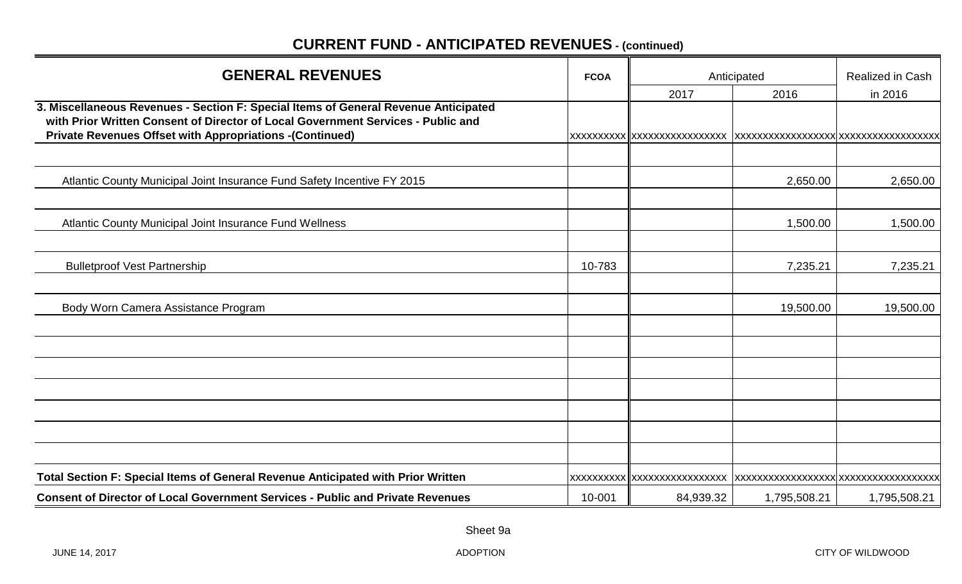| <b>GENERAL REVENUES</b>                                                                                                                                                                                                                    | <b>FCOA</b> | Anticipated                  | Realized in Cash |              |
|--------------------------------------------------------------------------------------------------------------------------------------------------------------------------------------------------------------------------------------------|-------------|------------------------------|------------------|--------------|
|                                                                                                                                                                                                                                            |             | 2017                         | 2016             | in 2016      |
| 3. Miscellaneous Revenues - Section F: Special Items of General Revenue Anticipated<br>with Prior Written Consent of Director of Local Government Services - Public and<br><b>Private Revenues Offset with Appropriations -(Continued)</b> |             | XXXXXXXXXX XXXXXXXXXXXXXXXXX |                  |              |
| Atlantic County Municipal Joint Insurance Fund Safety Incentive FY 2015                                                                                                                                                                    |             |                              | 2,650.00         | 2,650.00     |
| Atlantic County Municipal Joint Insurance Fund Wellness                                                                                                                                                                                    |             |                              | 1,500.00         | 1,500.00     |
| <b>Bulletproof Vest Partnership</b>                                                                                                                                                                                                        | 10-783      |                              | 7,235.21         | 7,235.21     |
| Body Worn Camera Assistance Program                                                                                                                                                                                                        |             |                              | 19,500.00        | 19,500.00    |
|                                                                                                                                                                                                                                            |             |                              |                  |              |
|                                                                                                                                                                                                                                            |             |                              |                  |              |
|                                                                                                                                                                                                                                            |             |                              |                  |              |
| Total Section F: Special Items of General Revenue Anticipated with Prior Written                                                                                                                                                           |             | XXXXXXXXXX  XXXXXXXXXXXXXXXX |                  |              |
| <b>Consent of Director of Local Government Services - Public and Private Revenues</b>                                                                                                                                                      | 10-001      | 84,939.32                    | 1,795,508.21     | 1,795,508.21 |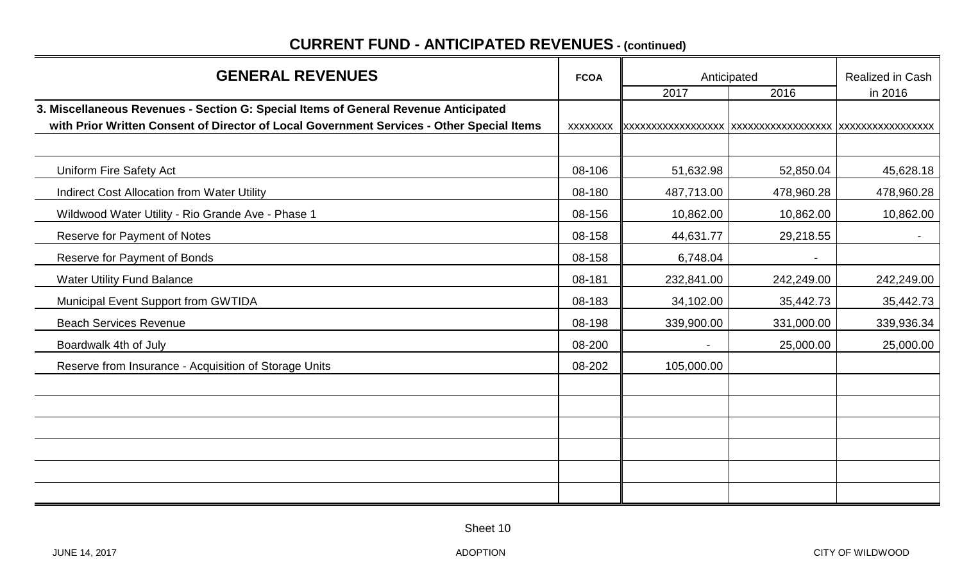| <b>GENERAL REVENUES</b>                                                                                                                                                          | <b>FCOA</b>     | Anticipated | Realized in Cash |            |
|----------------------------------------------------------------------------------------------------------------------------------------------------------------------------------|-----------------|-------------|------------------|------------|
|                                                                                                                                                                                  |                 | 2017        | 2016             | in 2016    |
| 3. Miscellaneous Revenues - Section G: Special Items of General Revenue Anticipated<br>with Prior Written Consent of Director of Local Government Services - Other Special Items | <b>XXXXXXXX</b> |             |                  |            |
|                                                                                                                                                                                  |                 |             |                  |            |
| <b>Uniform Fire Safety Act</b>                                                                                                                                                   | 08-106          | 51,632.98   | 52,850.04        | 45,628.18  |
| <b>Indirect Cost Allocation from Water Utility</b>                                                                                                                               | 08-180          | 487,713.00  | 478,960.28       | 478,960.28 |
| Wildwood Water Utility - Rio Grande Ave - Phase 1                                                                                                                                | 08-156          | 10,862.00   | 10,862.00        | 10,862.00  |
| Reserve for Payment of Notes                                                                                                                                                     | 08-158          | 44,631.77   | 29,218.55        |            |
| Reserve for Payment of Bonds                                                                                                                                                     | 08-158          | 6,748.04    |                  |            |
| <b>Water Utility Fund Balance</b>                                                                                                                                                | 08-181          | 232,841.00  | 242,249.00       | 242,249.00 |
| Municipal Event Support from GWTIDA                                                                                                                                              | 08-183          | 34,102.00   | 35,442.73        | 35,442.73  |
| <b>Beach Services Revenue</b>                                                                                                                                                    | 08-198          | 339,900.00  | 331,000.00       | 339,936.34 |
| Boardwalk 4th of July                                                                                                                                                            | 08-200          |             | 25,000.00        | 25,000.00  |
| Reserve from Insurance - Acquisition of Storage Units                                                                                                                            | 08-202          | 105,000.00  |                  |            |
|                                                                                                                                                                                  |                 |             |                  |            |
|                                                                                                                                                                                  |                 |             |                  |            |
|                                                                                                                                                                                  |                 |             |                  |            |
|                                                                                                                                                                                  |                 |             |                  |            |
|                                                                                                                                                                                  |                 |             |                  |            |
|                                                                                                                                                                                  |                 |             |                  |            |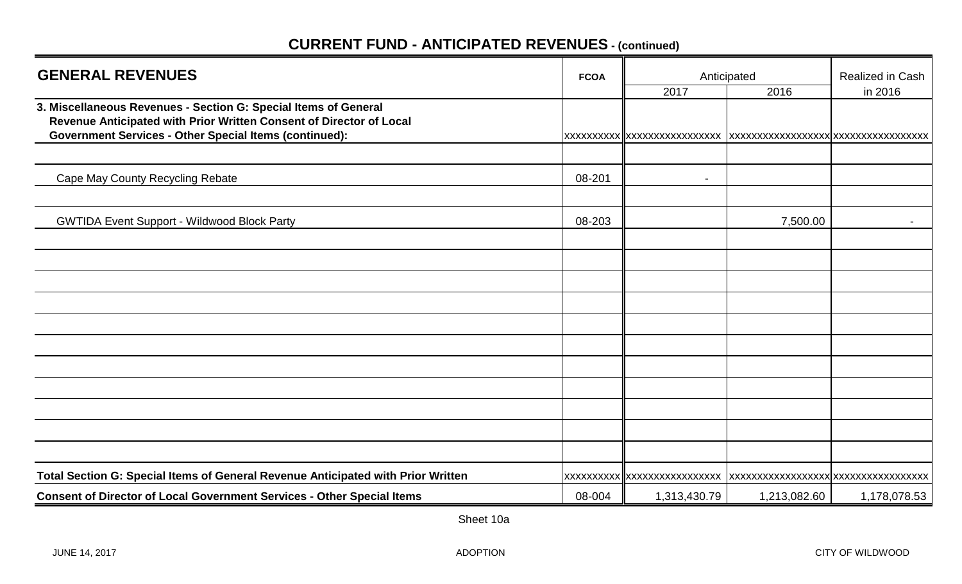| <b>GENERAL REVENUES</b>                                                                                                                                                                                 |        | Anticipated                  | <b>Realized in Cash</b>              |              |
|---------------------------------------------------------------------------------------------------------------------------------------------------------------------------------------------------------|--------|------------------------------|--------------------------------------|--------------|
|                                                                                                                                                                                                         |        | 2017                         | 2016                                 | in 2016      |
| 3. Miscellaneous Revenues - Section G: Special Items of General<br>Revenue Anticipated with Prior Written Consent of Director of Local<br><b>Government Services - Other Special Items (continued):</b> |        | xxxxxxxxxx  xxxxxxxxxxxxxxxx | XXXXXXXXXXXXXXXXXX XXXXXXXXXXXXXXXXX |              |
|                                                                                                                                                                                                         |        |                              |                                      |              |
| Cape May County Recycling Rebate                                                                                                                                                                        | 08-201 | $\blacksquare$               |                                      |              |
|                                                                                                                                                                                                         |        |                              |                                      |              |
| <b>GWTIDA Event Support - Wildwood Block Party</b>                                                                                                                                                      | 08-203 |                              | 7,500.00                             | $\sim$       |
|                                                                                                                                                                                                         |        |                              |                                      |              |
|                                                                                                                                                                                                         |        |                              |                                      |              |
|                                                                                                                                                                                                         |        |                              |                                      |              |
|                                                                                                                                                                                                         |        |                              |                                      |              |
|                                                                                                                                                                                                         |        |                              |                                      |              |
|                                                                                                                                                                                                         |        |                              |                                      |              |
|                                                                                                                                                                                                         |        |                              |                                      |              |
|                                                                                                                                                                                                         |        |                              |                                      |              |
|                                                                                                                                                                                                         |        |                              |                                      |              |
|                                                                                                                                                                                                         |        |                              |                                      |              |
|                                                                                                                                                                                                         |        |                              |                                      |              |
| Total Section G: Special Items of General Revenue Anticipated with Prior Written                                                                                                                        |        | XXXXXXXXXX XXXXXXXXXXXXXXXXX | xxxxxxxxxxxxxxxxxxxxxxxxxxxxxxxxxx   |              |
| <b>Consent of Director of Local Government Services - Other Special Items</b>                                                                                                                           | 08-004 | 1,313,430.79                 | 1,213,082.60                         | 1,178,078.53 |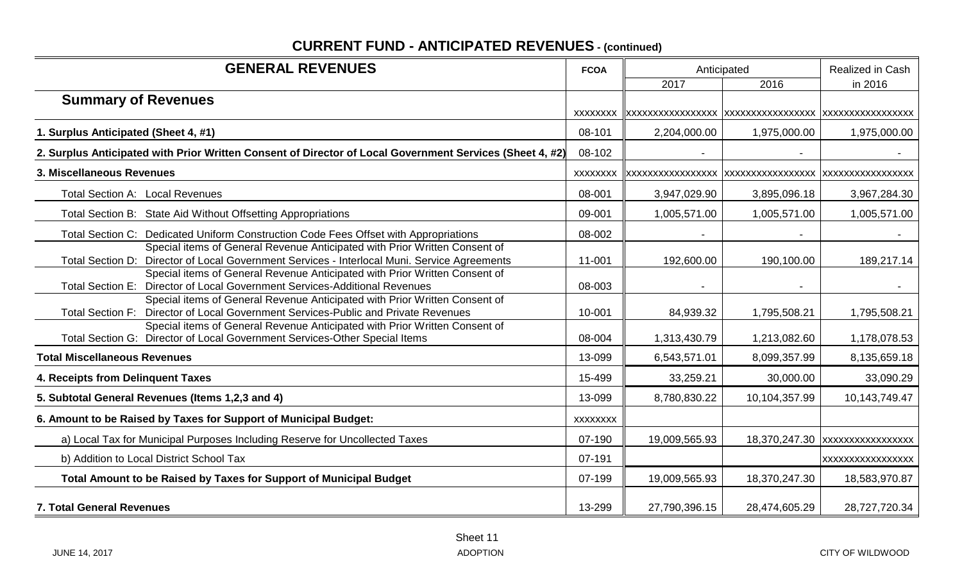| <b>GENERAL REVENUES</b>                                                                                                                                                    | <b>FCOA</b>     |               | Anticipated   | Realized in Cash               |
|----------------------------------------------------------------------------------------------------------------------------------------------------------------------------|-----------------|---------------|---------------|--------------------------------|
|                                                                                                                                                                            |                 | 2017          | 2016          | in 2016                        |
| <b>Summary of Revenues</b>                                                                                                                                                 |                 |               |               |                                |
|                                                                                                                                                                            | <b>XXXXXXXX</b> |               |               |                                |
| 1. Surplus Anticipated (Sheet 4, #1)                                                                                                                                       | 08-101          | 2,204,000.00  | 1,975,000.00  | 1,975,000.00                   |
| 2. Surplus Anticipated with Prior Written Consent of Director of Local Government Services (Sheet 4, #2)                                                                   | 08-102          |               |               |                                |
| 3. Miscellaneous Revenues                                                                                                                                                  | <b>XXXXXXXX</b> |               |               |                                |
| Total Section A: Local Revenues                                                                                                                                            | 08-001          | 3,947,029.90  | 3,895,096.18  | 3,967,284.30                   |
| Total Section B: State Aid Without Offsetting Appropriations                                                                                                               | 09-001          | 1,005,571.00  | 1,005,571.00  | 1,005,571.00                   |
| Total Section C: Dedicated Uniform Construction Code Fees Offset with Appropriations                                                                                       | 08-002          |               |               |                                |
| Special items of General Revenue Anticipated with Prior Written Consent of<br>Total Section D: Director of Local Government Services - Interlocal Muni. Service Agreements | 11-001          | 192,600.00    | 190,100.00    | 189,217.14                     |
| Special items of General Revenue Anticipated with Prior Written Consent of<br>Total Section E: Director of Local Government Services-Additional Revenues                   | 08-003          |               |               |                                |
| Special items of General Revenue Anticipated with Prior Written Consent of<br>Total Section F: Director of Local Government Services-Public and Private Revenues           | 10-001          | 84,939.32     | 1,795,508.21  | 1,795,508.21                   |
| Special items of General Revenue Anticipated with Prior Written Consent of<br>Total Section G: Director of Local Government Services-Other Special Items                   | 08-004          | 1,313,430.79  | 1,213,082.60  | 1,178,078.53                   |
| <b>Total Miscellaneous Revenues</b>                                                                                                                                        | 13-099          | 6,543,571.01  | 8,099,357.99  | 8,135,659.18                   |
| 4. Receipts from Delinquent Taxes                                                                                                                                          | 15-499          | 33,259.21     | 30,000.00     | 33,090.29                      |
| 5. Subtotal General Revenues (Items 1,2,3 and 4)                                                                                                                           | 13-099          | 8,780,830.22  | 10,104,357.99 | 10,143,749.47                  |
| 6. Amount to be Raised by Taxes for Support of Municipal Budget:                                                                                                           | <b>XXXXXXXX</b> |               |               |                                |
| a) Local Tax for Municipal Purposes Including Reserve for Uncollected Taxes                                                                                                | 07-190          | 19,009,565.93 |               | 18,370,247.30 XXXXXXXXXXXXXXXX |
| b) Addition to Local District School Tax                                                                                                                                   | 07-191          |               |               | <b>XXXXXXXXXXXXXXXXX</b>       |
| Total Amount to be Raised by Taxes for Support of Municipal Budget                                                                                                         | 07-199          | 19,009,565.93 | 18,370,247.30 | 18,583,970.87                  |
| <b>7. Total General Revenues</b>                                                                                                                                           | 13-299          | 27,790,396.15 | 28,474,605.29 | 28,727,720.34                  |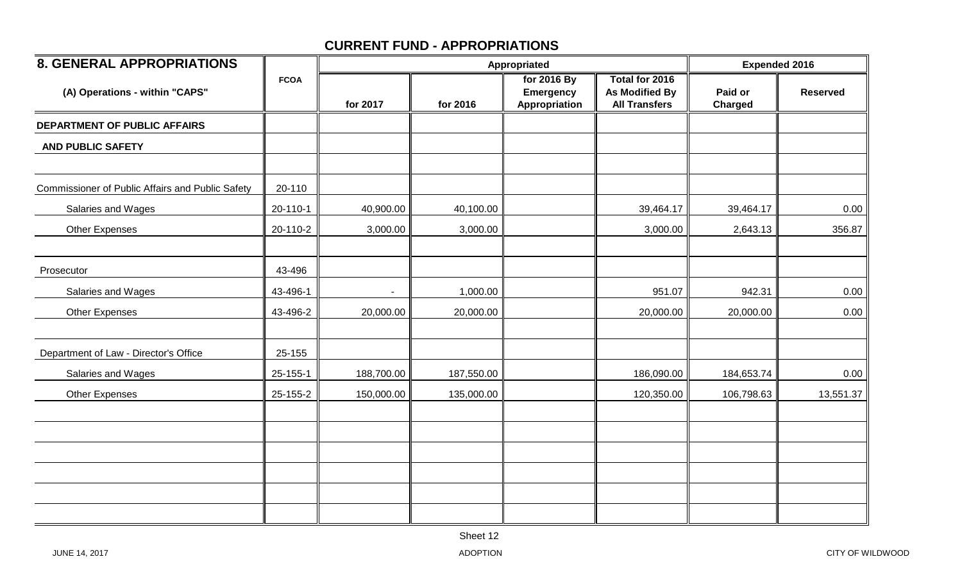| <b>8. GENERAL APPROPRIATIONS</b>                        |             |            |            | Appropriated                                     |                                                                 | <b>Expended 2016</b>      |                 |
|---------------------------------------------------------|-------------|------------|------------|--------------------------------------------------|-----------------------------------------------------------------|---------------------------|-----------------|
| (A) Operations - within "CAPS"                          | <b>FCOA</b> | for 2017   | for 2016   | for 2016 By<br><b>Emergency</b><br>Appropriation | Total for 2016<br><b>As Modified By</b><br><b>All Transfers</b> | Paid or<br><b>Charged</b> | <b>Reserved</b> |
| DEPARTMENT OF PUBLIC AFFAIRS                            |             |            |            |                                                  |                                                                 |                           |                 |
| <b>AND PUBLIC SAFETY</b>                                |             |            |            |                                                  |                                                                 |                           |                 |
| <b>Commissioner of Public Affairs and Public Safety</b> | 20-110      |            |            |                                                  |                                                                 |                           |                 |
| Salaries and Wages                                      | 20-110-1    | 40,900.00  | 40,100.00  |                                                  | 39,464.17                                                       | 39,464.17                 | 0.00            |
| Other Expenses                                          | 20-110-2    | 3,000.00   | 3,000.00   |                                                  | 3,000.00                                                        | 2,643.13                  | 356.87          |
| Prosecutor                                              | 43-496      |            |            |                                                  |                                                                 |                           |                 |
| Salaries and Wages                                      | 43-496-1    | $\sim$     | 1,000.00   |                                                  | 951.07                                                          | 942.31                    | 0.00            |
| <b>Other Expenses</b>                                   | 43-496-2    | 20,000.00  | 20,000.00  |                                                  | 20,000.00                                                       | 20,000.00                 | 0.00            |
| Department of Law - Director's Office                   | 25-155      |            |            |                                                  |                                                                 |                           |                 |
| Salaries and Wages                                      | 25-155-1    | 188,700.00 | 187,550.00 |                                                  | 186,090.00                                                      | 184,653.74                | 0.00            |
| <b>Other Expenses</b>                                   | 25-155-2    | 150,000.00 | 135,000.00 |                                                  | 120,350.00                                                      | 106,798.63                | 13,551.37       |
|                                                         |             |            |            |                                                  |                                                                 |                           |                 |
|                                                         |             |            |            |                                                  |                                                                 |                           |                 |
|                                                         |             |            |            |                                                  |                                                                 |                           |                 |
|                                                         |             |            |            |                                                  |                                                                 |                           |                 |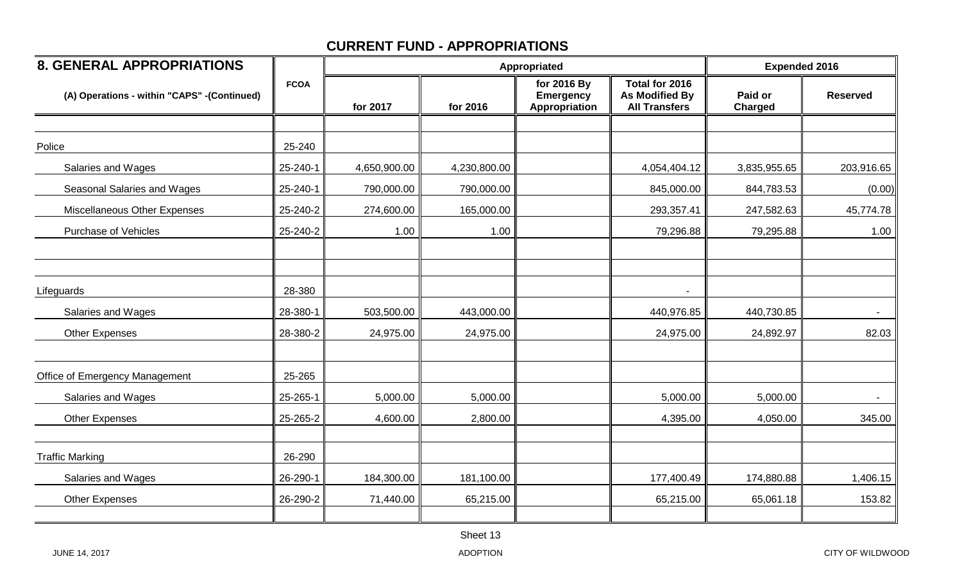| <b>8. GENERAL APPROPRIATIONS</b>            |             |              |              | Appropriated                                     |                                                                 | <b>Expended 2016</b>      |                 |
|---------------------------------------------|-------------|--------------|--------------|--------------------------------------------------|-----------------------------------------------------------------|---------------------------|-----------------|
| (A) Operations - within "CAPS" -(Continued) | <b>FCOA</b> | for 2017     | for 2016     | for 2016 By<br><b>Emergency</b><br>Appropriation | Total for 2016<br><b>As Modified By</b><br><b>All Transfers</b> | Paid or<br><b>Charged</b> | <b>Reserved</b> |
|                                             |             |              |              |                                                  |                                                                 |                           |                 |
| Police                                      | 25-240      |              |              |                                                  |                                                                 |                           |                 |
| Salaries and Wages                          | 25-240-1    | 4,650,900.00 | 4,230,800.00 |                                                  | 4,054,404.12                                                    | 3,835,955.65              | 203,916.65      |
| Seasonal Salaries and Wages                 | 25-240-1    | 790,000.00   | 790,000.00   |                                                  | 845,000.00                                                      | 844,783.53                | (0.00)          |
| Miscellaneous Other Expenses                | 25-240-2    | 274,600.00   | 165,000.00   |                                                  | 293,357.41                                                      | 247,582.63                | 45,774.78       |
| Purchase of Vehicles                        | 25-240-2    | 1.00         | 1.00         |                                                  | 79,296.88                                                       | 79,295.88                 | 1.00            |
|                                             |             |              |              |                                                  |                                                                 |                           |                 |
| Lifeguards                                  | 28-380      |              |              |                                                  |                                                                 |                           |                 |
| Salaries and Wages                          | 28-380-1    | 503,500.00   | 443,000.00   |                                                  | 440,976.85                                                      | 440,730.85                |                 |
| Other Expenses                              | 28-380-2    | 24,975.00    | 24,975.00    |                                                  | 24,975.00                                                       | 24,892.97                 | 82.03           |
| Office of Emergency Management              | 25-265      |              |              |                                                  |                                                                 |                           |                 |
| Salaries and Wages                          | 25-265-1    | 5,000.00     | 5,000.00     |                                                  | 5,000.00                                                        | 5,000.00                  | $\blacksquare$  |
| <b>Other Expenses</b>                       | 25-265-2    | 4,600.00     | 2,800.00     |                                                  | 4,395.00                                                        | 4,050.00                  | 345.00          |
| <b>Traffic Marking</b>                      | 26-290      |              |              |                                                  |                                                                 |                           |                 |
| Salaries and Wages                          | 26-290-1    | 184,300.00   | 181,100.00   |                                                  | 177,400.49                                                      | 174,880.88                | 1,406.15        |
| <b>Other Expenses</b>                       | 26-290-2    | 71,440.00    | 65,215.00    |                                                  | 65,215.00                                                       | 65,061.18                 | 153.82          |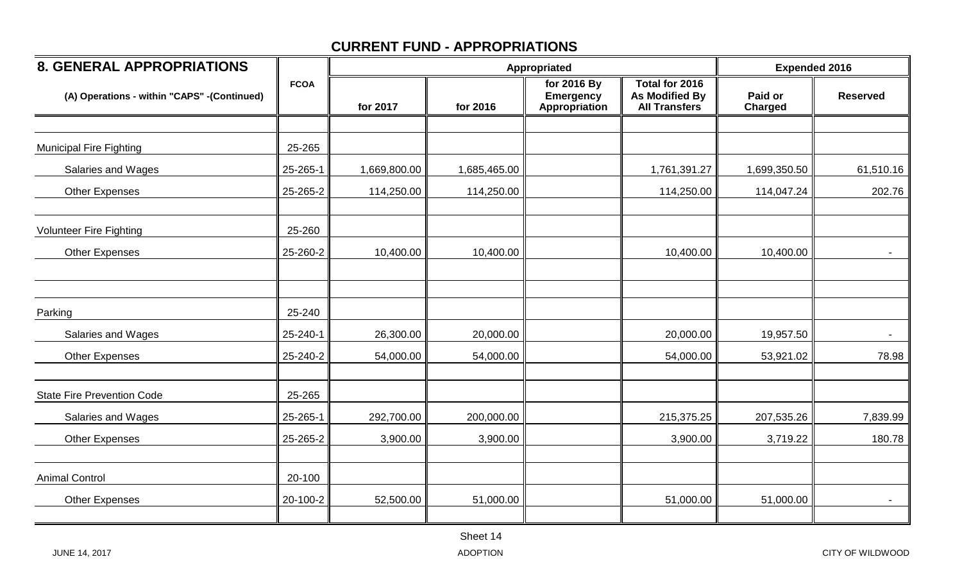| <b>8. GENERAL APPROPRIATIONS</b>            |             |              |              | Appropriated                                     |                                                                 | <b>Expended 2016</b> |                 |  |
|---------------------------------------------|-------------|--------------|--------------|--------------------------------------------------|-----------------------------------------------------------------|----------------------|-----------------|--|
| (A) Operations - within "CAPS" -(Continued) | <b>FCOA</b> | for 2017     | for 2016     | for 2016 By<br><b>Emergency</b><br>Appropriation | Total for 2016<br><b>As Modified By</b><br><b>All Transfers</b> | Paid or<br>Charged   | <b>Reserved</b> |  |
|                                             |             |              |              |                                                  |                                                                 |                      |                 |  |
| <b>Municipal Fire Fighting</b>              | 25-265      |              |              |                                                  |                                                                 |                      |                 |  |
| Salaries and Wages                          | 25-265-1    | 1,669,800.00 | 1,685,465.00 |                                                  | 1,761,391.27                                                    | 1,699,350.50         | 61,510.16       |  |
| <b>Other Expenses</b>                       | 25-265-2    | 114,250.00   | 114,250.00   |                                                  | 114,250.00                                                      | 114,047.24           | 202.76          |  |
| <b>Volunteer Fire Fighting</b>              | 25-260      |              |              |                                                  |                                                                 |                      |                 |  |
| <b>Other Expenses</b>                       | 25-260-2    | 10,400.00    | 10,400.00    |                                                  | 10,400.00                                                       | 10,400.00            | $\sim$          |  |
| Parking                                     | 25-240      |              |              |                                                  |                                                                 |                      |                 |  |
| Salaries and Wages                          | 25-240-1    | 26,300.00    | 20,000.00    |                                                  | 20,000.00                                                       | 19,957.50            | $\blacksquare$  |  |
| <b>Other Expenses</b>                       | 25-240-2    | 54,000.00    | 54,000.00    |                                                  | 54,000.00                                                       | 53,921.02            | 78.98           |  |
| <b>State Fire Prevention Code</b>           | 25-265      |              |              |                                                  |                                                                 |                      |                 |  |
| Salaries and Wages                          | 25-265-1    | 292,700.00   | 200,000.00   |                                                  | 215,375.25                                                      | 207,535.26           | 7,839.99        |  |
| <b>Other Expenses</b>                       | 25-265-2    | 3,900.00     | 3,900.00     |                                                  | 3,900.00                                                        | 3,719.22             | 180.78          |  |
| <b>Animal Control</b>                       | 20-100      |              |              |                                                  |                                                                 |                      |                 |  |
| <b>Other Expenses</b>                       | 20-100-2    | 52,500.00    | 51,000.00    |                                                  | 51,000.00                                                       | 51,000.00            |                 |  |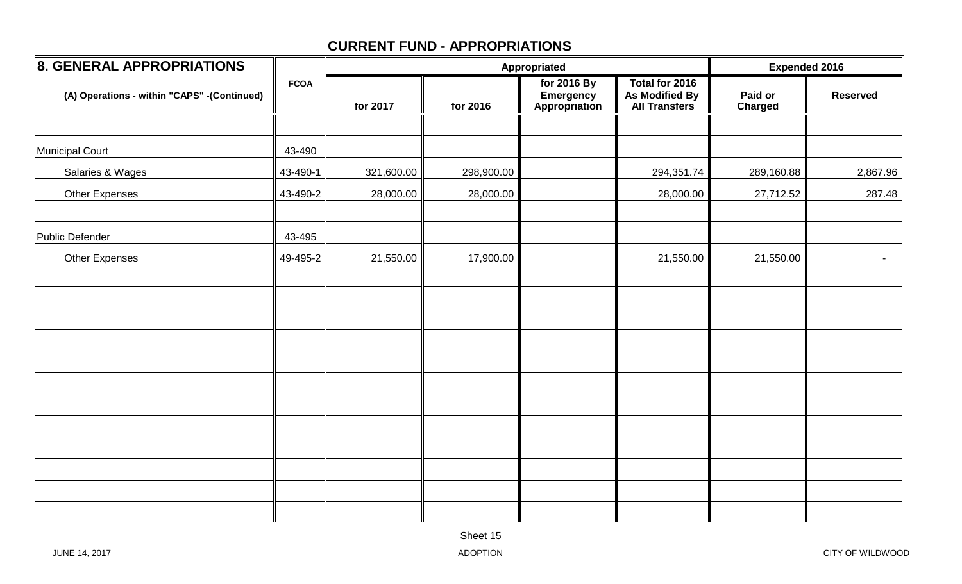| <b>8. GENERAL APPROPRIATIONS</b>            |             |            | Appropriated | <b>Expended 2016</b>                      |                                                                 |                           |                 |
|---------------------------------------------|-------------|------------|--------------|-------------------------------------------|-----------------------------------------------------------------|---------------------------|-----------------|
| (A) Operations - within "CAPS" -(Continued) | <b>FCOA</b> | for 2017   | for 2016     | for 2016 By<br>Emergency<br>Appropriation | Total for 2016<br><b>As Modified By</b><br><b>All Transfers</b> | Paid or<br><b>Charged</b> | <b>Reserved</b> |
|                                             |             |            |              |                                           |                                                                 |                           |                 |
| <b>Municipal Court</b>                      | 43-490      |            |              |                                           |                                                                 |                           |                 |
| Salaries & Wages                            | 43-490-1    | 321,600.00 | 298,900.00   |                                           | 294,351.74                                                      | 289,160.88                | 2,867.96        |
| <b>Other Expenses</b>                       | 43-490-2    | 28,000.00  | 28,000.00    |                                           | 28,000.00                                                       | 27,712.52                 | 287.48          |
| <b>Public Defender</b>                      | 43-495      |            |              |                                           |                                                                 |                           |                 |
| Other Expenses                              | 49-495-2    | 21,550.00  | 17,900.00    |                                           | 21,550.00                                                       | 21,550.00                 | $\sim$          |
|                                             |             |            |              |                                           |                                                                 |                           |                 |
|                                             |             |            |              |                                           |                                                                 |                           |                 |
|                                             |             |            |              |                                           |                                                                 |                           |                 |
|                                             |             |            |              |                                           |                                                                 |                           |                 |
|                                             |             |            |              |                                           |                                                                 |                           |                 |
|                                             |             |            |              |                                           |                                                                 |                           |                 |
|                                             |             |            |              |                                           |                                                                 |                           |                 |
|                                             |             |            |              |                                           |                                                                 |                           |                 |
|                                             |             |            |              |                                           |                                                                 |                           |                 |
|                                             |             |            |              |                                           |                                                                 |                           |                 |
|                                             |             |            |              |                                           |                                                                 |                           |                 |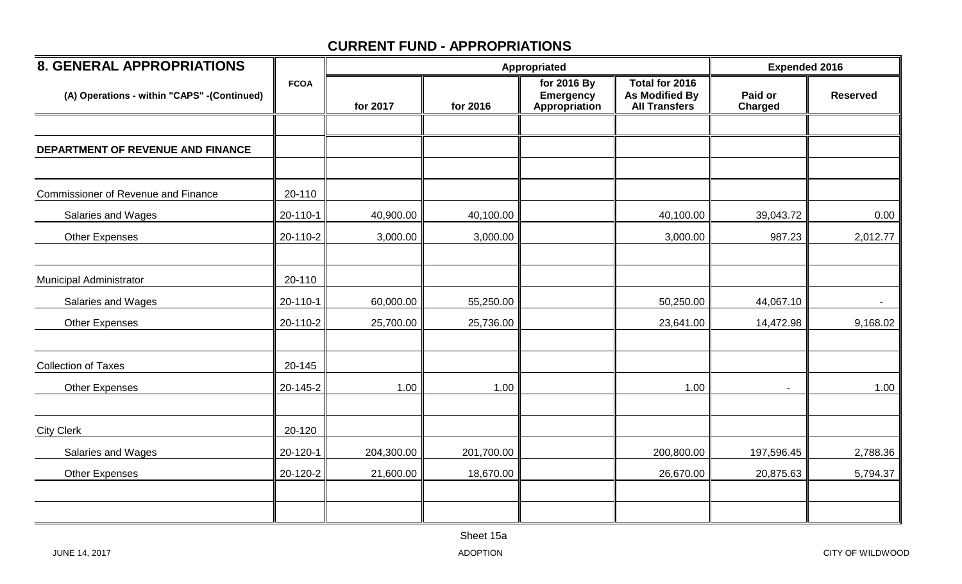| <b>8. GENERAL APPROPRIATIONS</b>            |             |            | <b>Expended 2016</b> |                                                  |                                                                 |                    |                 |
|---------------------------------------------|-------------|------------|----------------------|--------------------------------------------------|-----------------------------------------------------------------|--------------------|-----------------|
| (A) Operations - within "CAPS" -(Continued) | <b>FCOA</b> | for 2017   | for 2016             | for 2016 By<br><b>Emergency</b><br>Appropriation | Total for 2016<br><b>As Modified By</b><br><b>All Transfers</b> | Paid or<br>Charged | <b>Reserved</b> |
|                                             |             |            |                      |                                                  |                                                                 |                    |                 |
| DEPARTMENT OF REVENUE AND FINANCE           |             |            |                      |                                                  |                                                                 |                    |                 |
|                                             |             |            |                      |                                                  |                                                                 |                    |                 |
| <b>Commissioner of Revenue and Finance</b>  | 20-110      |            |                      |                                                  |                                                                 |                    |                 |
| Salaries and Wages                          | 20-110-1    | 40,900.00  | 40,100.00            |                                                  | 40,100.00                                                       | 39,043.72          | 0.00            |
| <b>Other Expenses</b>                       | 20-110-2    | 3,000.00   | 3,000.00             |                                                  | 3,000.00                                                        | 987.23             | 2,012.77        |
|                                             |             |            |                      |                                                  |                                                                 |                    |                 |
| Municipal Administrator                     | 20-110      |            |                      |                                                  |                                                                 |                    |                 |
| Salaries and Wages                          | 20-110-1    | 60,000.00  | 55,250.00            |                                                  | 50,250.00                                                       | 44,067.10          | $\sim$          |
| <b>Other Expenses</b>                       | 20-110-2    | 25,700.00  | 25,736.00            |                                                  | 23,641.00                                                       | 14,472.98          | 9,168.02        |
|                                             |             |            |                      |                                                  |                                                                 |                    |                 |
| <b>Collection of Taxes</b>                  | 20-145      |            |                      |                                                  |                                                                 |                    |                 |
| <b>Other Expenses</b>                       | 20-145-2    | 1.00       | 1.00                 |                                                  | 1.00                                                            |                    | 1.00            |
|                                             |             |            |                      |                                                  |                                                                 |                    |                 |
| <b>City Clerk</b>                           | 20-120      |            |                      |                                                  |                                                                 |                    |                 |
| Salaries and Wages                          | 20-120-1    | 204,300.00 | 201,700.00           |                                                  | 200,800.00                                                      | 197,596.45         | 2,788.36        |
| <b>Other Expenses</b>                       | 20-120-2    | 21,600.00  | 18,670.00            |                                                  | 26,670.00                                                       | 20,875.63          | 5,794.37        |
|                                             |             |            |                      |                                                  |                                                                 |                    |                 |
|                                             |             |            |                      |                                                  |                                                                 |                    |                 |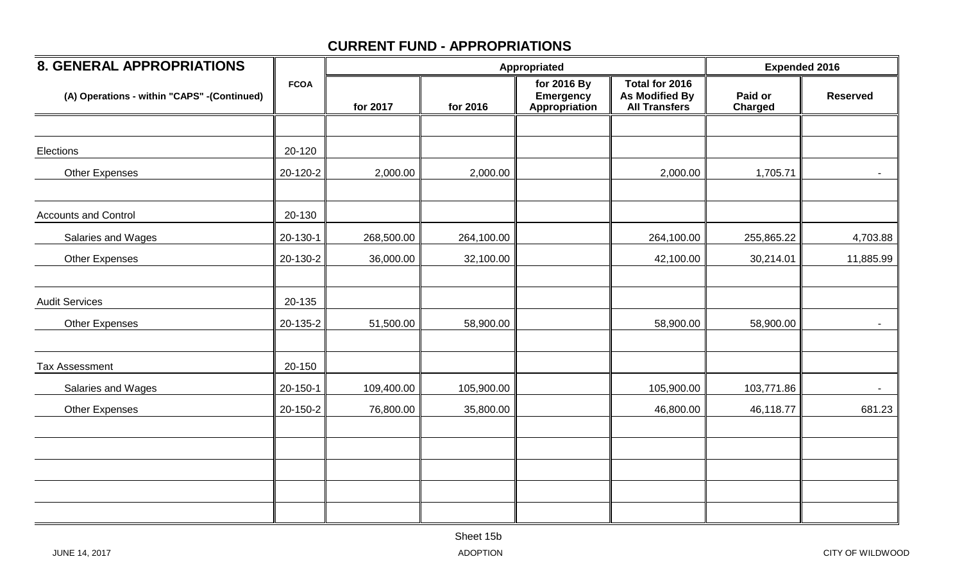| <b>8. GENERAL APPROPRIATIONS</b>            |             |            |            | Appropriated                                     |                                                          | <b>Expended 2016</b> |                 |
|---------------------------------------------|-------------|------------|------------|--------------------------------------------------|----------------------------------------------------------|----------------------|-----------------|
| (A) Operations - within "CAPS" -(Continued) | <b>FCOA</b> | for 2017   | for 2016   | for 2016 By<br><b>Emergency</b><br>Appropriation | Total for 2016<br>As Modified By<br><b>All Transfers</b> | Paid or<br>Charged   | <b>Reserved</b> |
|                                             |             |            |            |                                                  |                                                          |                      |                 |
| Elections                                   | 20-120      |            |            |                                                  |                                                          |                      |                 |
| Other Expenses                              | 20-120-2    | 2,000.00   | 2,000.00   |                                                  | 2,000.00                                                 | 1,705.71             |                 |
| <b>Accounts and Control</b>                 | 20-130      |            |            |                                                  |                                                          |                      |                 |
| Salaries and Wages                          | 20-130-1    | 268,500.00 | 264,100.00 |                                                  | 264,100.00                                               | 255,865.22           | 4,703.88        |
| <b>Other Expenses</b>                       | 20-130-2    | 36,000.00  | 32,100.00  |                                                  | 42,100.00                                                | 30,214.01            | 11,885.99       |
| <b>Audit Services</b>                       | 20-135      |            |            |                                                  |                                                          |                      |                 |
| <b>Other Expenses</b>                       | 20-135-2    | 51,500.00  | 58,900.00  |                                                  | 58,900.00                                                | 58,900.00            | $\blacksquare$  |
| <b>Tax Assessment</b>                       | 20-150      |            |            |                                                  |                                                          |                      |                 |
| Salaries and Wages                          | 20-150-1    | 109,400.00 | 105,900.00 |                                                  | 105,900.00                                               | 103,771.86           | $\sim 10$       |
| <b>Other Expenses</b>                       | 20-150-2    | 76,800.00  | 35,800.00  |                                                  | 46,800.00                                                | 46,118.77            | 681.23          |
|                                             |             |            |            |                                                  |                                                          |                      |                 |
|                                             |             |            |            |                                                  |                                                          |                      |                 |
|                                             |             |            |            |                                                  |                                                          |                      |                 |
|                                             |             |            |            |                                                  |                                                          |                      |                 |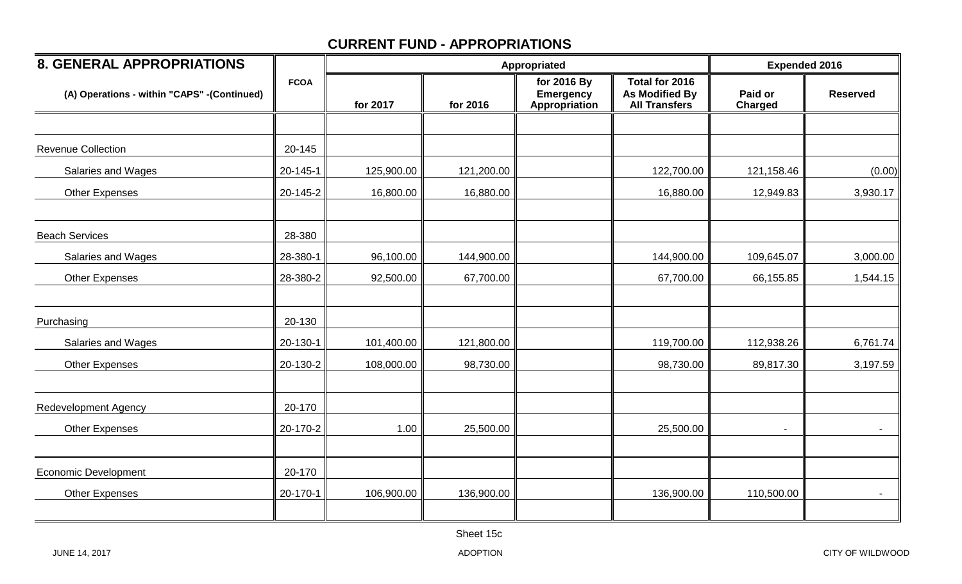| <b>8. GENERAL APPROPRIATIONS</b>            |             |            | Appropriated | <b>Expended 2016</b>                             |                                                                 |                           |                 |
|---------------------------------------------|-------------|------------|--------------|--------------------------------------------------|-----------------------------------------------------------------|---------------------------|-----------------|
| (A) Operations - within "CAPS" -(Continued) | <b>FCOA</b> | for 2017   | for 2016     | for 2016 By<br><b>Emergency</b><br>Appropriation | Total for 2016<br><b>As Modified By</b><br><b>All Transfers</b> | Paid or<br><b>Charged</b> | <b>Reserved</b> |
|                                             |             |            |              |                                                  |                                                                 |                           |                 |
| <b>Revenue Collection</b>                   | 20-145      |            |              |                                                  |                                                                 |                           |                 |
| Salaries and Wages                          | 20-145-1    | 125,900.00 | 121,200.00   |                                                  | 122,700.00                                                      | 121,158.46                | (0.00)          |
| <b>Other Expenses</b>                       | 20-145-2    | 16,800.00  | 16,880.00    |                                                  | 16,880.00                                                       | 12,949.83                 | 3,930.17        |
| <b>Beach Services</b>                       | 28-380      |            |              |                                                  |                                                                 |                           |                 |
| Salaries and Wages                          | 28-380-1    | 96,100.00  | 144,900.00   |                                                  | 144,900.00                                                      | 109,645.07                | 3,000.00        |
| <b>Other Expenses</b>                       | 28-380-2    | 92,500.00  | 67,700.00    |                                                  | 67,700.00                                                       | 66,155.85                 | 1,544.15        |
| Purchasing                                  | 20-130      |            |              |                                                  |                                                                 |                           |                 |
| Salaries and Wages                          | 20-130-1    | 101,400.00 | 121,800.00   |                                                  | 119,700.00                                                      | 112,938.26                | 6,761.74        |
| <b>Other Expenses</b>                       | 20-130-2    | 108,000.00 | 98,730.00    |                                                  | 98,730.00                                                       | 89,817.30                 | 3,197.59        |
| <b>Redevelopment Agency</b>                 | 20-170      |            |              |                                                  |                                                                 |                           |                 |
| <b>Other Expenses</b>                       | 20-170-2    | 1.00       | 25,500.00    |                                                  | 25,500.00                                                       |                           |                 |
| <b>Economic Development</b>                 | 20-170      |            |              |                                                  |                                                                 |                           |                 |
| <b>Other Expenses</b>                       | 20-170-1    | 106,900.00 | 136,900.00   |                                                  | 136,900.00                                                      | 110,500.00                | $\sim$          |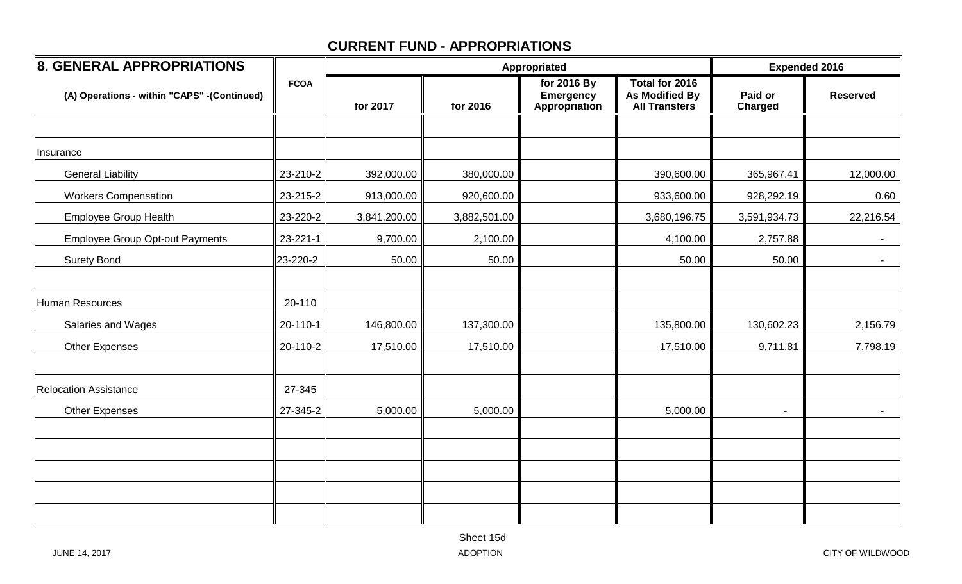| <b>8. GENERAL APPROPRIATIONS</b>             |             |              | Appropriated | <b>Expended 2016</b>                             |                                                                 |                           |                 |
|----------------------------------------------|-------------|--------------|--------------|--------------------------------------------------|-----------------------------------------------------------------|---------------------------|-----------------|
| (A) Operations - within "CAPS" - (Continued) | <b>FCOA</b> | for 2017     | for 2016     | for 2016 By<br><b>Emergency</b><br>Appropriation | Total for 2016<br><b>As Modified By</b><br><b>All Transfers</b> | Paid or<br><b>Charged</b> | <b>Reserved</b> |
|                                              |             |              |              |                                                  |                                                                 |                           |                 |
| Insurance                                    |             |              |              |                                                  |                                                                 |                           |                 |
| <b>General Liability</b>                     | 23-210-2    | 392,000.00   | 380,000.00   |                                                  | 390,600.00                                                      | 365,967.41                | 12,000.00       |
| <b>Workers Compensation</b>                  | 23-215-2    | 913,000.00   | 920,600.00   |                                                  | 933,600.00                                                      | 928,292.19                | 0.60            |
| <b>Employee Group Health</b>                 | 23-220-2    | 3,841,200.00 | 3,882,501.00 |                                                  | 3,680,196.75                                                    | 3,591,934.73              | 22,216.54       |
| <b>Employee Group Opt-out Payments</b>       | 23-221-1    | 9,700.00     | 2,100.00     |                                                  | 4,100.00                                                        | 2,757.88                  |                 |
| <b>Surety Bond</b>                           | 23-220-2    | 50.00        | 50.00        |                                                  | 50.00                                                           | 50.00                     | $\blacksquare$  |
|                                              |             |              |              |                                                  |                                                                 |                           |                 |
| Human Resources                              | 20-110      |              |              |                                                  |                                                                 |                           |                 |
| Salaries and Wages                           | 20-110-1    | 146,800.00   | 137,300.00   |                                                  | 135,800.00                                                      | 130,602.23                | 2,156.79        |
| <b>Other Expenses</b>                        | 20-110-2    | 17,510.00    | 17,510.00    |                                                  | 17,510.00                                                       | 9,711.81                  | 7,798.19        |
|                                              |             |              |              |                                                  |                                                                 |                           |                 |
| <b>Relocation Assistance</b>                 | 27-345      |              |              |                                                  |                                                                 |                           |                 |
| <b>Other Expenses</b>                        | 27-345-2    | 5,000.00     | 5,000.00     |                                                  | 5,000.00                                                        |                           |                 |
|                                              |             |              |              |                                                  |                                                                 |                           |                 |
|                                              |             |              |              |                                                  |                                                                 |                           |                 |
|                                              |             |              |              |                                                  |                                                                 |                           |                 |
|                                              |             |              |              |                                                  |                                                                 |                           |                 |
|                                              |             |              |              |                                                  |                                                                 |                           |                 |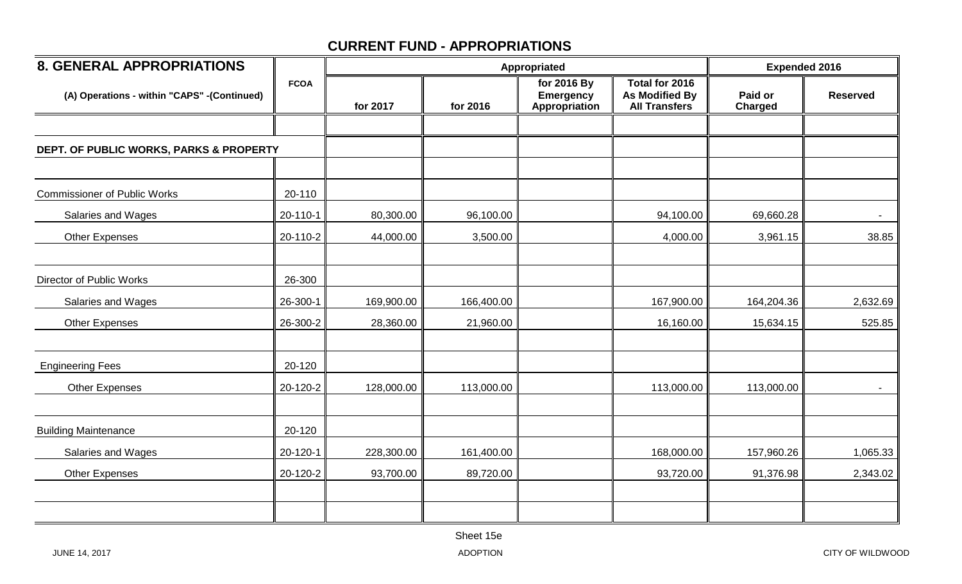| <b>8. GENERAL APPROPRIATIONS</b>            |             |            | Appropriated | <b>Expended 2016</b>                             |                                                                 |                           |                 |
|---------------------------------------------|-------------|------------|--------------|--------------------------------------------------|-----------------------------------------------------------------|---------------------------|-----------------|
| (A) Operations - within "CAPS" -(Continued) | <b>FCOA</b> | for 2017   | for 2016     | for 2016 By<br><b>Emergency</b><br>Appropriation | Total for 2016<br><b>As Modified By</b><br><b>All Transfers</b> | Paid or<br><b>Charged</b> | <b>Reserved</b> |
|                                             |             |            |              |                                                  |                                                                 |                           |                 |
| DEPT. OF PUBLIC WORKS, PARKS & PROPERTY     |             |            |              |                                                  |                                                                 |                           |                 |
|                                             |             |            |              |                                                  |                                                                 |                           |                 |
| <b>Commissioner of Public Works</b>         | 20-110      |            |              |                                                  |                                                                 |                           |                 |
| Salaries and Wages                          | 20-110-1    | 80,300.00  | 96,100.00    |                                                  | 94,100.00                                                       | 69,660.28                 | $\blacksquare$  |
| <b>Other Expenses</b>                       | 20-110-2    | 44,000.00  | 3,500.00     |                                                  | 4,000.00                                                        | 3,961.15                  | 38.85           |
|                                             |             |            |              |                                                  |                                                                 |                           |                 |
| Director of Public Works                    | 26-300      |            |              |                                                  |                                                                 |                           |                 |
| Salaries and Wages                          | 26-300-1    | 169,900.00 | 166,400.00   |                                                  | 167,900.00                                                      | 164,204.36                | 2,632.69        |
| <b>Other Expenses</b>                       | 26-300-2    | 28,360.00  | 21,960.00    |                                                  | 16,160.00                                                       | 15,634.15                 | 525.85          |
|                                             |             |            |              |                                                  |                                                                 |                           |                 |
| <b>Engineering Fees</b>                     | 20-120      |            |              |                                                  |                                                                 |                           |                 |
| <b>Other Expenses</b>                       | 20-120-2    | 128,000.00 | 113,000.00   |                                                  | 113,000.00                                                      | 113,000.00                | $\blacksquare$  |
|                                             |             |            |              |                                                  |                                                                 |                           |                 |
| <b>Building Maintenance</b>                 | 20-120      |            |              |                                                  |                                                                 |                           |                 |
| Salaries and Wages                          | 20-120-1    | 228,300.00 | 161,400.00   |                                                  | 168,000.00                                                      | 157,960.26                | 1,065.33        |
| <b>Other Expenses</b>                       | 20-120-2    | 93,700.00  | 89,720.00    |                                                  | 93,720.00                                                       | 91,376.98                 | 2,343.02        |
|                                             |             |            |              |                                                  |                                                                 |                           |                 |
|                                             |             |            |              |                                                  |                                                                 |                           |                 |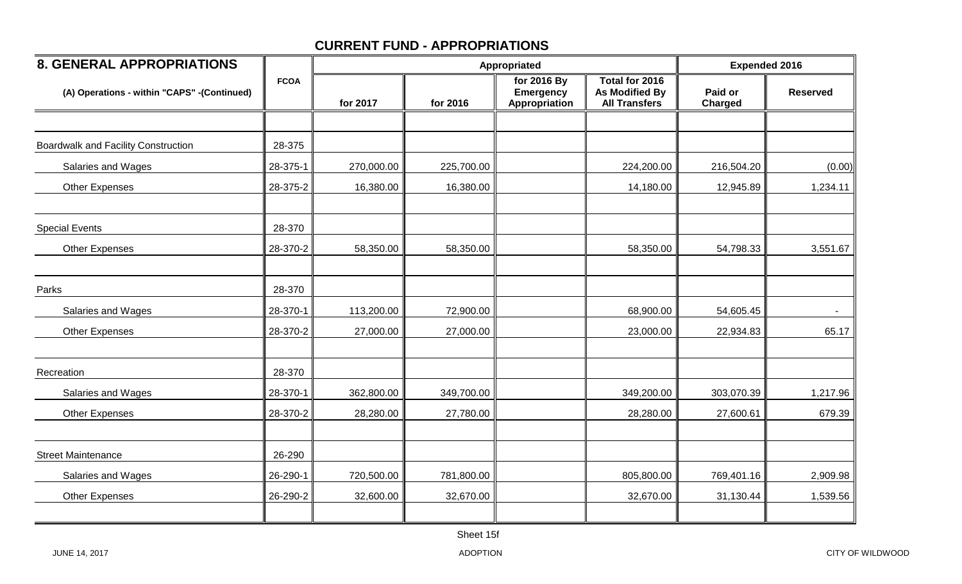| <b>8. GENERAL APPROPRIATIONS</b>            |             |            | Appropriated | <b>Expended 2016</b>                             |                                                                 |                           |                 |
|---------------------------------------------|-------------|------------|--------------|--------------------------------------------------|-----------------------------------------------------------------|---------------------------|-----------------|
| (A) Operations - within "CAPS" -(Continued) | <b>FCOA</b> | for 2017   | for 2016     | for 2016 By<br><b>Emergency</b><br>Appropriation | <b>Total for 2016</b><br>As Modified By<br><b>All Transfers</b> | Paid or<br><b>Charged</b> | <b>Reserved</b> |
|                                             |             |            |              |                                                  |                                                                 |                           |                 |
| <b>Boardwalk and Facility Construction</b>  | 28-375      |            |              |                                                  |                                                                 |                           |                 |
| Salaries and Wages                          | 28-375-1    | 270,000.00 | 225,700.00   |                                                  | 224,200.00                                                      | 216,504.20                | (0.00)          |
| <b>Other Expenses</b>                       | 28-375-2    | 16,380.00  | 16,380.00    |                                                  | 14,180.00                                                       | 12,945.89                 | 1,234.11        |
| <b>Special Events</b>                       | 28-370      |            |              |                                                  |                                                                 |                           |                 |
| <b>Other Expenses</b>                       | 28-370-2    | 58,350.00  | 58,350.00    |                                                  | 58,350.00                                                       | 54,798.33                 | 3,551.67        |
| Parks                                       | 28-370      |            |              |                                                  |                                                                 |                           |                 |
| Salaries and Wages                          | 28-370-1    | 113,200.00 | 72,900.00    |                                                  | 68,900.00                                                       | 54,605.45                 |                 |
| <b>Other Expenses</b>                       | 28-370-2    | 27,000.00  | 27,000.00    |                                                  | 23,000.00                                                       | 22,934.83                 | 65.17           |
| Recreation                                  | 28-370      |            |              |                                                  |                                                                 |                           |                 |
| Salaries and Wages                          | 28-370-1    | 362,800.00 | 349,700.00   |                                                  | 349,200.00                                                      | 303,070.39                | 1,217.96        |
| <b>Other Expenses</b>                       | 28-370-2    | 28,280.00  | 27,780.00    |                                                  | 28,280.00                                                       | 27,600.61                 | 679.39          |
| <b>Street Maintenance</b>                   | 26-290      |            |              |                                                  |                                                                 |                           |                 |
| Salaries and Wages                          | 26-290-1    | 720,500.00 | 781,800.00   |                                                  | 805,800.00                                                      | 769,401.16                | 2,909.98        |
| Other Expenses                              | 26-290-2    | 32,600.00  | 32,670.00    |                                                  | 32,670.00                                                       | 31,130.44                 | 1,539.56        |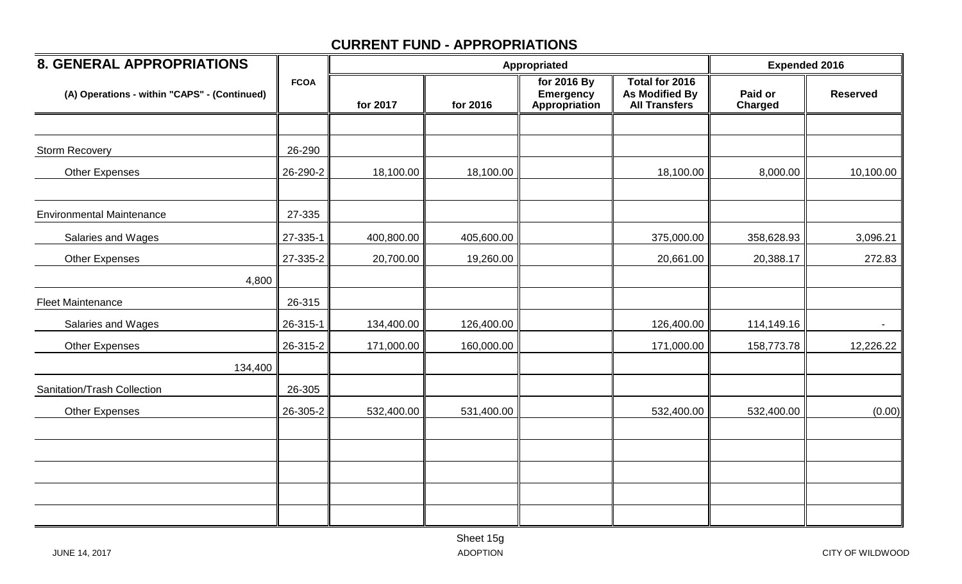| <b>8. GENERAL APPROPRIATIONS</b>             |             |            |            | Appropriated                                     |                                                                 | <b>Expended 2016</b> |                 |
|----------------------------------------------|-------------|------------|------------|--------------------------------------------------|-----------------------------------------------------------------|----------------------|-----------------|
| (A) Operations - within "CAPS" - (Continued) | <b>FCOA</b> | for 2017   | for 2016   | for 2016 By<br><b>Emergency</b><br>Appropriation | Total for 2016<br><b>As Modified By</b><br><b>All Transfers</b> | Paid or<br>Charged   | <b>Reserved</b> |
|                                              |             |            |            |                                                  |                                                                 |                      |                 |
| <b>Storm Recovery</b>                        | 26-290      |            |            |                                                  |                                                                 |                      |                 |
| <b>Other Expenses</b>                        | 26-290-2    | 18,100.00  | 18,100.00  |                                                  | 18,100.00                                                       | 8,000.00             | 10,100.00       |
| <b>Environmental Maintenance</b>             | 27-335      |            |            |                                                  |                                                                 |                      |                 |
| Salaries and Wages                           | 27-335-1    | 400,800.00 | 405,600.00 |                                                  | 375,000.00                                                      | 358,628.93           | 3,096.21        |
| <b>Other Expenses</b>                        | 27-335-2    | 20,700.00  | 19,260.00  |                                                  | 20,661.00                                                       | 20,388.17            | 272.83          |
| 4,800                                        |             |            |            |                                                  |                                                                 |                      |                 |
| <b>Fleet Maintenance</b>                     | 26-315      |            |            |                                                  |                                                                 |                      |                 |
| Salaries and Wages                           | 26-315-1    | 134,400.00 | 126,400.00 |                                                  | 126,400.00                                                      | 114,149.16           |                 |
| <b>Other Expenses</b>                        | 26-315-2    | 171,000.00 | 160,000.00 |                                                  | 171,000.00                                                      | 158,773.78           | 12,226.22       |
| 134,400                                      |             |            |            |                                                  |                                                                 |                      |                 |
| Sanitation/Trash Collection                  | 26-305      |            |            |                                                  |                                                                 |                      |                 |
| <b>Other Expenses</b>                        | 26-305-2    | 532,400.00 | 531,400.00 |                                                  | 532,400.00                                                      | 532,400.00           | (0.00)          |
|                                              |             |            |            |                                                  |                                                                 |                      |                 |
|                                              |             |            |            |                                                  |                                                                 |                      |                 |
|                                              |             |            |            |                                                  |                                                                 |                      |                 |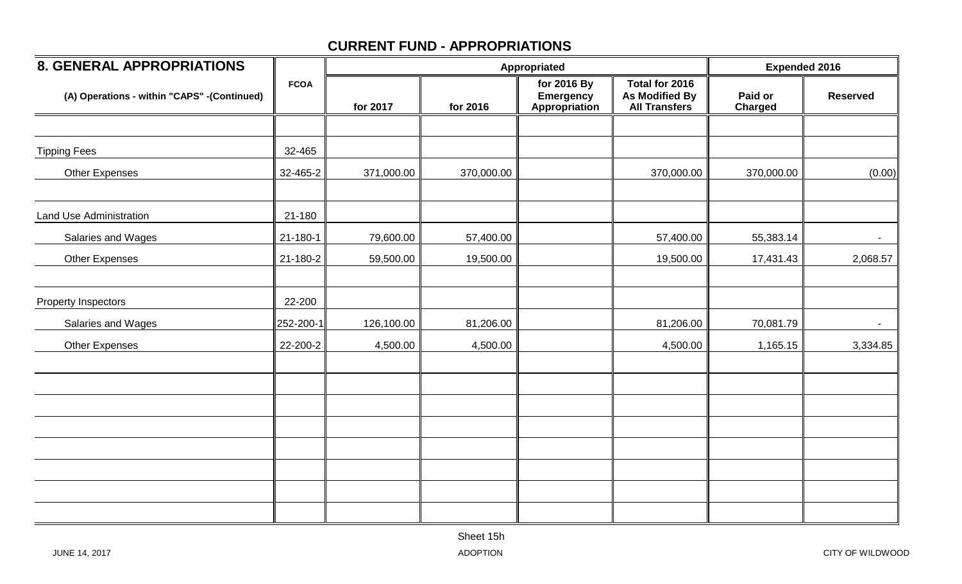| <b>8. GENERAL APPROPRIATIONS</b>            |             |            | Appropriated | <b>Expended 2016</b>                             |                                                          |                           |                 |
|---------------------------------------------|-------------|------------|--------------|--------------------------------------------------|----------------------------------------------------------|---------------------------|-----------------|
| (A) Operations - within "CAPS" -(Continued) | <b>FCOA</b> | for 2017   | for 2016     | for 2016 By<br><b>Emergency</b><br>Appropriation | Total for 2016<br>As Modified By<br><b>All Transfers</b> | Paid or<br><b>Charged</b> | <b>Reserved</b> |
|                                             |             |            |              |                                                  |                                                          |                           |                 |
| <b>Tipping Fees</b>                         | 32-465      |            |              |                                                  |                                                          |                           |                 |
| <b>Other Expenses</b>                       | 32-465-2    | 371,000.00 | 370,000.00   |                                                  | 370,000.00                                               | 370,000.00                | (0.00)          |
| Land Use Administration                     | 21-180      |            |              |                                                  |                                                          |                           |                 |
| Salaries and Wages                          | 21-180-1    | 79,600.00  | 57,400.00    |                                                  | 57,400.00                                                | 55,383.14                 | $\blacksquare$  |
| <b>Other Expenses</b>                       | 21-180-2    | 59,500.00  | 19,500.00    |                                                  | 19,500.00                                                | 17,431.43                 | 2,068.57        |
| Property Inspectors                         | 22-200      |            |              |                                                  |                                                          |                           |                 |
| Salaries and Wages                          | 252-200-1   | 126,100.00 | 81,206.00    |                                                  | 81,206.00                                                | 70,081.79                 |                 |
| <b>Other Expenses</b>                       | 22-200-2    | 4,500.00   | 4,500.00     |                                                  | 4,500.00                                                 | 1,165.15                  | 3,334.85        |
|                                             |             |            |              |                                                  |                                                          |                           |                 |
|                                             |             |            |              |                                                  |                                                          |                           |                 |
|                                             |             |            |              |                                                  |                                                          |                           |                 |
|                                             |             |            |              |                                                  |                                                          |                           |                 |
|                                             |             |            |              |                                                  |                                                          |                           |                 |
|                                             |             |            |              |                                                  |                                                          |                           |                 |
|                                             |             |            |              |                                                  |                                                          |                           |                 |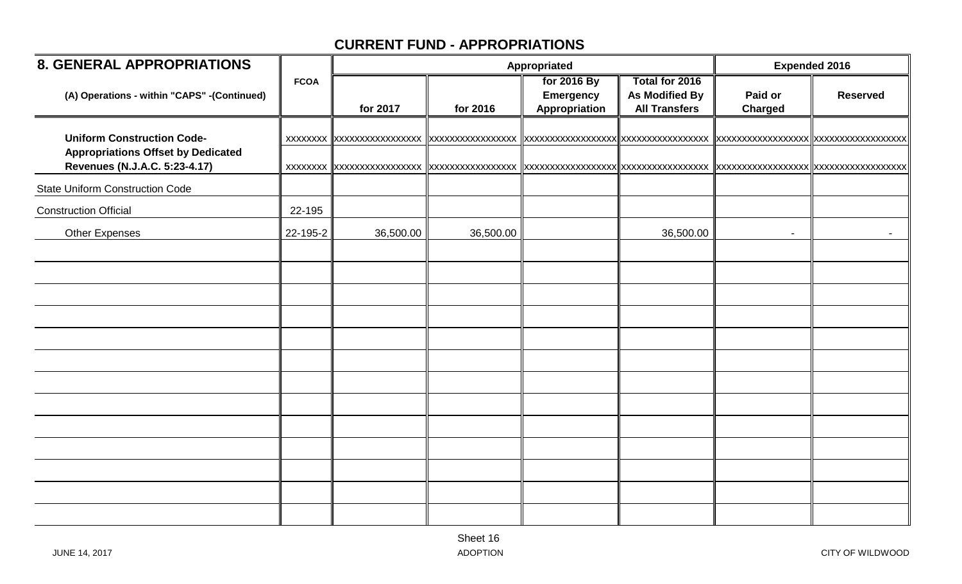| <b>8. GENERAL APPROPRIATIONS</b>                                                                                |             |           |           | Appropriated                                     |                                                                 | <b>Expended 2016</b>     |                 |
|-----------------------------------------------------------------------------------------------------------------|-------------|-----------|-----------|--------------------------------------------------|-----------------------------------------------------------------|--------------------------|-----------------|
| (A) Operations - within "CAPS" -(Continued)                                                                     | <b>FCOA</b> | for 2017  | for 2016  | for 2016 By<br><b>Emergency</b><br>Appropriation | Total for 2016<br><b>As Modified By</b><br><b>All Transfers</b> | Paid or<br>Charged       | <b>Reserved</b> |
| <b>Uniform Construction Code-</b><br><b>Appropriations Offset by Dedicated</b><br>Revenues (N.J.A.C. 5:23-4.17) |             |           |           |                                                  |                                                                 |                          |                 |
| <b>State Uniform Construction Code</b>                                                                          |             |           |           |                                                  |                                                                 |                          |                 |
| <b>Construction Official</b>                                                                                    | 22-195      |           |           |                                                  |                                                                 |                          |                 |
| <b>Other Expenses</b>                                                                                           | 22-195-2    | 36,500.00 | 36,500.00 |                                                  | 36,500.00                                                       | $\overline{\phantom{a}}$ | $\sim$          |
|                                                                                                                 |             |           |           |                                                  |                                                                 |                          |                 |
|                                                                                                                 |             |           |           |                                                  |                                                                 |                          |                 |
|                                                                                                                 |             |           |           |                                                  |                                                                 |                          |                 |
|                                                                                                                 |             |           |           |                                                  |                                                                 |                          |                 |
|                                                                                                                 |             |           |           |                                                  |                                                                 |                          |                 |
|                                                                                                                 |             |           |           |                                                  |                                                                 |                          |                 |
|                                                                                                                 |             |           |           |                                                  |                                                                 |                          |                 |
|                                                                                                                 |             |           |           |                                                  |                                                                 |                          |                 |
|                                                                                                                 |             |           |           |                                                  |                                                                 |                          |                 |
|                                                                                                                 |             |           |           |                                                  |                                                                 |                          |                 |
|                                                                                                                 |             |           |           |                                                  |                                                                 |                          |                 |
|                                                                                                                 |             |           |           |                                                  |                                                                 |                          |                 |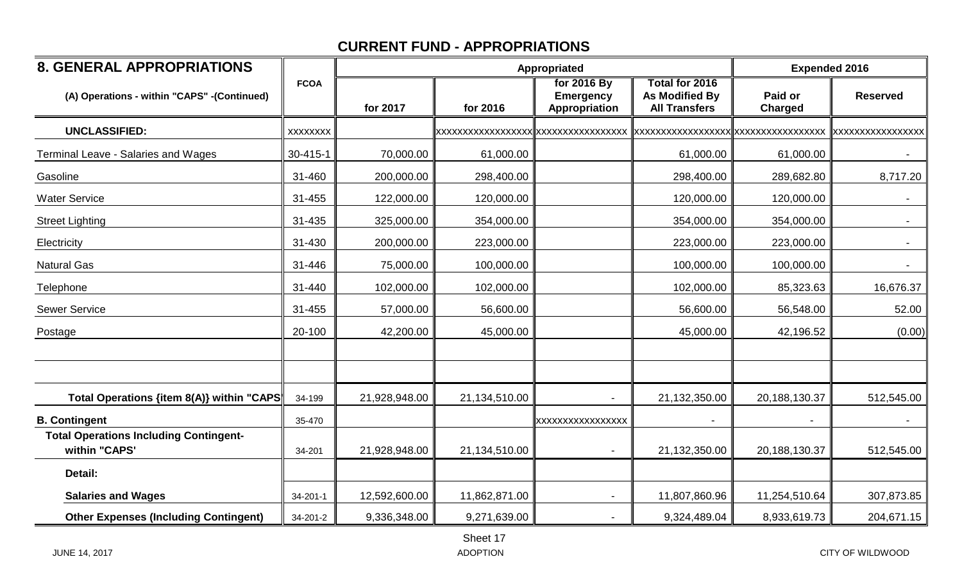| <b>8. GENERAL APPROPRIATIONS</b>                               |                 |               | Appropriated                               | <b>Expended 2016</b>                             |                                                                 |                                     |                           |
|----------------------------------------------------------------|-----------------|---------------|--------------------------------------------|--------------------------------------------------|-----------------------------------------------------------------|-------------------------------------|---------------------------|
| (A) Operations - within "CAPS" -(Continued)                    | <b>FCOA</b>     | for 2017      | for 2016                                   | for 2016 By<br><b>Emergency</b><br>Appropriation | Total for 2016<br><b>As Modified By</b><br><b>All Transfers</b> | Paid or<br>Charged                  | <b>Reserved</b>           |
| <b>UNCLASSIFIED:</b>                                           | <b>XXXXXXXX</b> |               | <b>XXXXXXXXXXXXXXXXXXXXXXXXXXXXXXXXXXX</b> |                                                  |                                                                 | xxxxxxxxxxxxxxxxxx xxxxxxxxxxxxxxxx | <b>IXXXXXXXXXXXXXXXXX</b> |
| Terminal Leave - Salaries and Wages                            | 30-415-1        | 70,000.00     | 61,000.00                                  |                                                  | 61,000.00                                                       | 61,000.00                           | $\sim$                    |
| Gasoline                                                       | 31-460          | 200,000.00    | 298,400.00                                 |                                                  | 298,400.00                                                      | 289,682.80                          | 8,717.20                  |
| <b>Water Service</b>                                           | 31-455          | 122,000.00    | 120,000.00                                 |                                                  | 120,000.00                                                      | 120,000.00                          | $\sim$                    |
| <b>Street Lighting</b>                                         | 31-435          | 325,000.00    | 354,000.00                                 |                                                  | 354,000.00                                                      | 354,000.00                          | $\sim$                    |
| Electricity                                                    | 31-430          | 200,000.00    | 223,000.00                                 |                                                  | 223,000.00                                                      | 223,000.00                          |                           |
| <b>Natural Gas</b>                                             | 31-446          | 75,000.00     | 100,000.00                                 |                                                  | 100,000.00                                                      | 100,000.00                          |                           |
| Telephone                                                      | 31-440          | 102,000.00    | 102,000.00                                 |                                                  | 102,000.00                                                      | 85,323.63                           | 16,676.37                 |
| <b>Sewer Service</b>                                           | 31-455          | 57,000.00     | 56,600.00                                  |                                                  | 56,600.00                                                       | 56,548.00                           | 52.00                     |
| Postage                                                        | 20-100          | 42,200.00     | 45,000.00                                  |                                                  | 45,000.00                                                       | 42,196.52                           | (0.00)                    |
|                                                                |                 |               |                                            |                                                  |                                                                 |                                     |                           |
| Total Operations {item 8(A)} within "CAPS                      | 34-199          | 21,928,948.00 | 21,134,510.00                              |                                                  | 21,132,350.00                                                   | 20,188,130.37                       | 512,545.00                |
| <b>B. Contingent</b>                                           | 35-470          |               |                                            | XXXXXXXXXXXXXXXX                                 |                                                                 |                                     |                           |
| <b>Total Operations Including Contingent-</b><br>within "CAPS' | 34-201          | 21,928,948.00 | 21,134,510.00                              |                                                  | 21,132,350.00                                                   | 20,188,130.37                       | 512,545.00                |
| Detail:                                                        |                 |               |                                            |                                                  |                                                                 |                                     |                           |
| <b>Salaries and Wages</b>                                      | 34-201-1        | 12,592,600.00 | 11,862,871.00                              |                                                  | 11,807,860.96                                                   | 11,254,510.64                       | 307,873.85                |
| <b>Other Expenses (Including Contingent)</b>                   | 34-201-2        | 9,336,348.00  | 9,271,639.00                               |                                                  | 9,324,489.04                                                    | 8,933,619.73                        | 204,671.15                |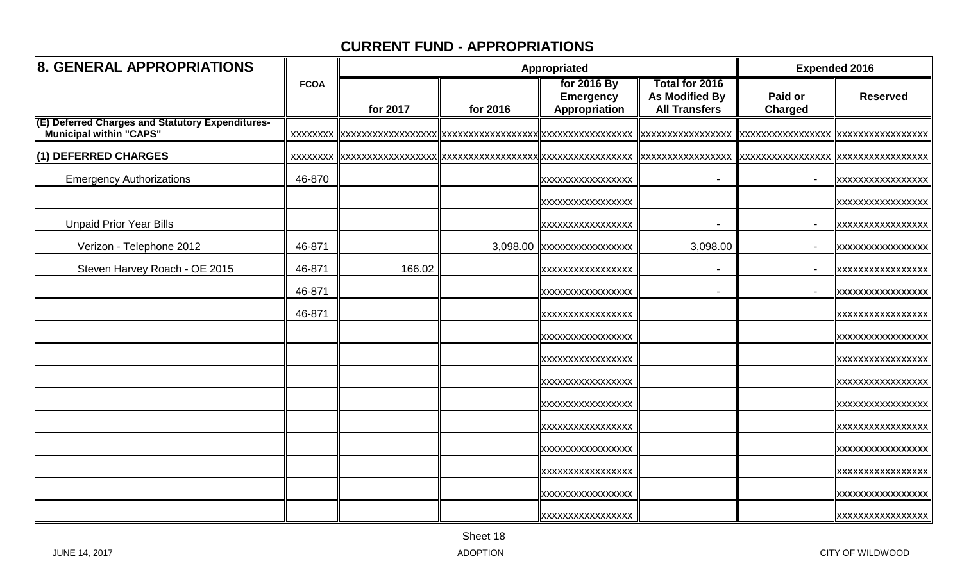| <b>8. GENERAL APPROPRIATIONS</b>                                                   |             |          | Appropriated | <b>Expended 2016</b>                             |                                                                 |                           |                          |
|------------------------------------------------------------------------------------|-------------|----------|--------------|--------------------------------------------------|-----------------------------------------------------------------|---------------------------|--------------------------|
|                                                                                    | <b>FCOA</b> | for 2017 | for 2016     | for 2016 By<br><b>Emergency</b><br>Appropriation | Total for 2016<br><b>As Modified By</b><br><b>All Transfers</b> | Paid or<br><b>Charged</b> | <b>Reserved</b>          |
| (E) Deferred Charges and Statutory Expenditures-<br><b>Municipal within "CAPS"</b> |             |          |              |                                                  | XXXXXXXXXXXXXXXXX                                               | XXXXXXXXXXXXXXXXX         |                          |
| (1) DEFERRED CHARGES                                                               |             |          |              |                                                  | <b>XXXXXXXXXXXXXXXXX</b>                                        |                           | XXXXXXXXXXXXXXXXX        |
| <b>Emergency Authorizations</b>                                                    | 46-870      |          |              | XXXXXXXXXXXXXXXXX                                |                                                                 |                           | XXXXXXXXXXXXXXXXX        |
|                                                                                    |             |          |              | <b>XXXXXXXXXXXXXXXXX</b>                         |                                                                 |                           | <b>XXXXXXXXXXXXXXXXX</b> |
| <b>Unpaid Prior Year Bills</b>                                                     |             |          |              | <b>XXXXXXXXXXXXXXXXX</b>                         |                                                                 | $\blacksquare$            | XXXXXXXXXXXXXXXXX        |
| Verizon - Telephone 2012                                                           | 46-871      |          |              | 3,098.00 xxxxxxxxxxxxxxxx                        | 3,098.00                                                        |                           | XXXXXXXXXXXXXXXXX        |
| Steven Harvey Roach - OE 2015                                                      | 46-871      | 166.02   |              | <b>XXXXXXXXXXXXXXXXX</b>                         |                                                                 | $\sim$                    | XXXXXXXXXXXXXXXXX        |
|                                                                                    | 46-871      |          |              | <b>XXXXXXXXXXXXXXXXX</b>                         |                                                                 |                           | XXXXXXXXXXXXXXXXX        |
|                                                                                    | 46-871      |          |              | <b>XXXXXXXXXXXXXXXXX</b>                         |                                                                 |                           | <b>XXXXXXXXXXXXXXXXX</b> |
|                                                                                    |             |          |              | XXXXXXXXXXXXXXXXX                                |                                                                 |                           | XXXXXXXXXXXXXXXXX        |
|                                                                                    |             |          |              | <b>XXXXXXXXXXXXXXXXX</b>                         |                                                                 |                           | XXXXXXXXXXXXXXXXX        |
|                                                                                    |             |          |              | <b>XXXXXXXXXXXXXXXXX</b>                         |                                                                 |                           | XXXXXXXXXXXXXXXXX        |
|                                                                                    |             |          |              | <b>XXXXXXXXXXXXXXXXX</b>                         |                                                                 |                           | <b>XXXXXXXXXXXXXXXXX</b> |
|                                                                                    |             |          |              | XXXXXXXXXXXXXXXXX                                |                                                                 |                           | <b>XXXXXXXXXXXXXXXXX</b> |
|                                                                                    |             |          |              | <b>XXXXXXXXXXXXXXXXX</b>                         |                                                                 |                           | XXXXXXXXXXXXXXXXX        |
|                                                                                    |             |          |              | <b>XXXXXXXXXXXXXXXXX</b>                         |                                                                 |                           | XXXXXXXXXXXXXXXXX        |
|                                                                                    |             |          |              | XXXXXXXXXXXXXXXXX                                |                                                                 |                           | XXXXXXXXXXXXXXXXX        |
|                                                                                    |             |          |              | XXXXXXXXXXXXXXXXX                                |                                                                 |                           | XXXXXXXXXXXXXXXXX        |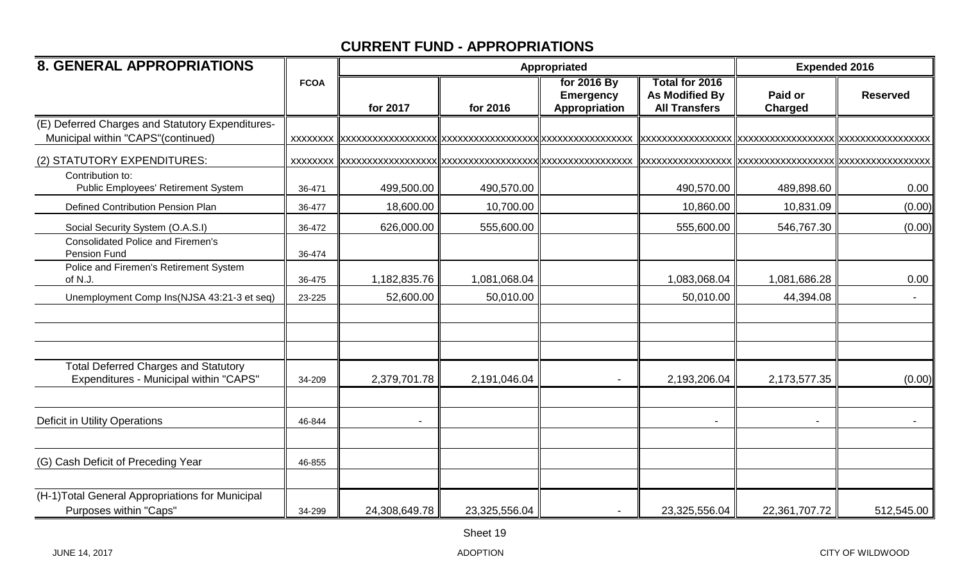| <b>8. GENERAL APPROPRIATIONS</b>                                                        |             |                | Appropriated  | <b>Expended 2016</b>                             |                                                                 |                           |                 |
|-----------------------------------------------------------------------------------------|-------------|----------------|---------------|--------------------------------------------------|-----------------------------------------------------------------|---------------------------|-----------------|
|                                                                                         | <b>FCOA</b> | for 2017       | for 2016      | for 2016 By<br><b>Emergency</b><br>Appropriation | Total for 2016<br><b>As Modified By</b><br><b>All Transfers</b> | Paid or<br><b>Charged</b> | <b>Reserved</b> |
| (E) Deferred Charges and Statutory Expenditures-<br>Municipal within "CAPS" (continued) |             |                |               |                                                  |                                                                 |                           |                 |
| (2) STATUTORY EXPENDITURES:                                                             |             |                |               |                                                  |                                                                 |                           |                 |
| Contribution to:<br>Public Employees' Retirement System                                 | 36-471      | 499,500.00     | 490,570.00    |                                                  | 490,570.00                                                      | 489,898.60                | 0.00            |
| Defined Contribution Pension Plan                                                       | 36-477      | 18,600.00      | 10,700.00     |                                                  | 10,860.00                                                       | 10,831.09                 | (0.00)          |
| Social Security System (O.A.S.I)                                                        | 36-472      | 626,000.00     | 555,600.00    |                                                  | 555,600.00                                                      | 546,767.30                | (0.00)          |
| <b>Consolidated Police and Firemen's</b><br>Pension Fund                                | 36-474      |                |               |                                                  |                                                                 |                           |                 |
| Police and Firemen's Retirement System<br>of N.J.                                       | 36-475      | 1,182,835.76   | 1,081,068.04  |                                                  | 1,083,068.04                                                    | 1,081,686.28              | 0.00            |
| Unemployment Comp Ins(NJSA 43:21-3 et seq)                                              | 23-225      | 52,600.00      | 50,010.00     |                                                  | 50,010.00                                                       | 44,394.08                 |                 |
|                                                                                         |             |                |               |                                                  |                                                                 |                           |                 |
| <b>Total Deferred Charges and Statutory</b><br>Expenditures - Municipal within "CAPS"   | 34-209      | 2,379,701.78   | 2,191,046.04  |                                                  | 2,193,206.04                                                    | 2,173,577.35              | (0.00)          |
| Deficit in Utility Operations                                                           | 46-844      | $\blacksquare$ |               |                                                  |                                                                 |                           | $\sim$          |
| (G) Cash Deficit of Preceding Year                                                      | 46-855      |                |               |                                                  |                                                                 |                           |                 |
| (H-1) Total General Appropriations for Municipal<br>Purposes within "Caps"              | 34-299      | 24,308,649.78  | 23,325,556.04 |                                                  | 23,325,556.04                                                   | 22,361,707.72             | 512,545.00      |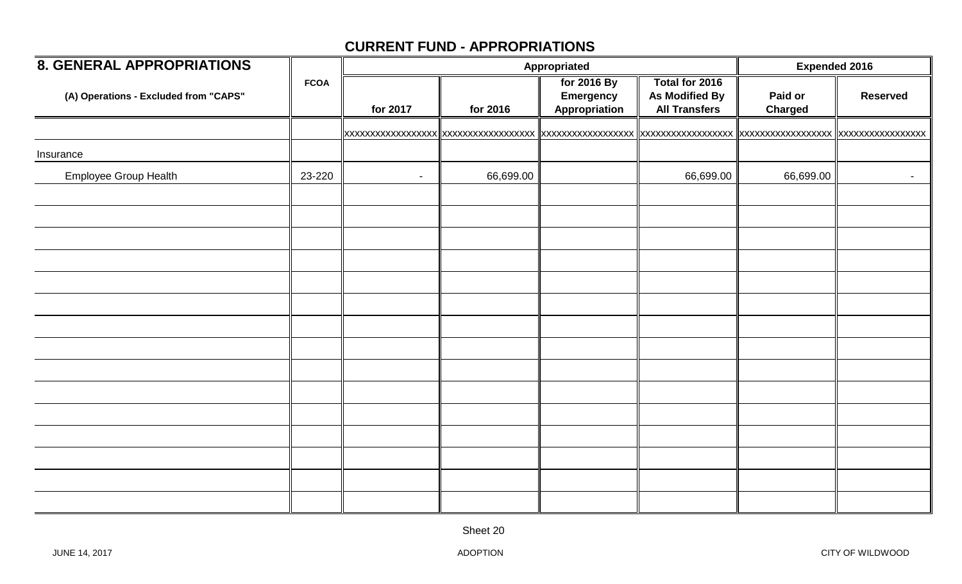| <b>8. GENERAL APPROPRIATIONS</b>      |             |          |           | Appropriated                                     |                                                                 | <b>Expended 2016</b>      |                     |
|---------------------------------------|-------------|----------|-----------|--------------------------------------------------|-----------------------------------------------------------------|---------------------------|---------------------|
| (A) Operations - Excluded from "CAPS" | <b>FCOA</b> | for 2017 | for 2016  | for 2016 By<br><b>Emergency</b><br>Appropriation | Total for 2016<br><b>As Modified By</b><br><b>All Transfers</b> | Paid or<br><b>Charged</b> | <b>Reserved</b>     |
|                                       |             |          |           |                                                  |                                                                 |                           |                     |
| Insurance                             |             |          |           |                                                  |                                                                 |                           |                     |
| Employee Group Health                 | 23-220      | $\sim$   | 66,699.00 |                                                  | 66,699.00                                                       | 66,699.00                 | $\sigma_{\rm{max}}$ |
|                                       |             |          |           |                                                  |                                                                 |                           |                     |
|                                       |             |          |           |                                                  |                                                                 |                           |                     |
|                                       |             |          |           |                                                  |                                                                 |                           |                     |
|                                       |             |          |           |                                                  |                                                                 |                           |                     |
|                                       |             |          |           |                                                  |                                                                 |                           |                     |
|                                       |             |          |           |                                                  |                                                                 |                           |                     |
|                                       |             |          |           |                                                  |                                                                 |                           |                     |
|                                       |             |          |           |                                                  |                                                                 |                           |                     |
|                                       |             |          |           |                                                  |                                                                 |                           |                     |
|                                       |             |          |           |                                                  |                                                                 |                           |                     |
|                                       |             |          |           |                                                  |                                                                 |                           |                     |
|                                       |             |          |           |                                                  |                                                                 |                           |                     |
|                                       |             |          |           |                                                  |                                                                 |                           |                     |
|                                       |             |          |           |                                                  |                                                                 |                           |                     |
|                                       |             |          |           |                                                  |                                                                 |                           |                     |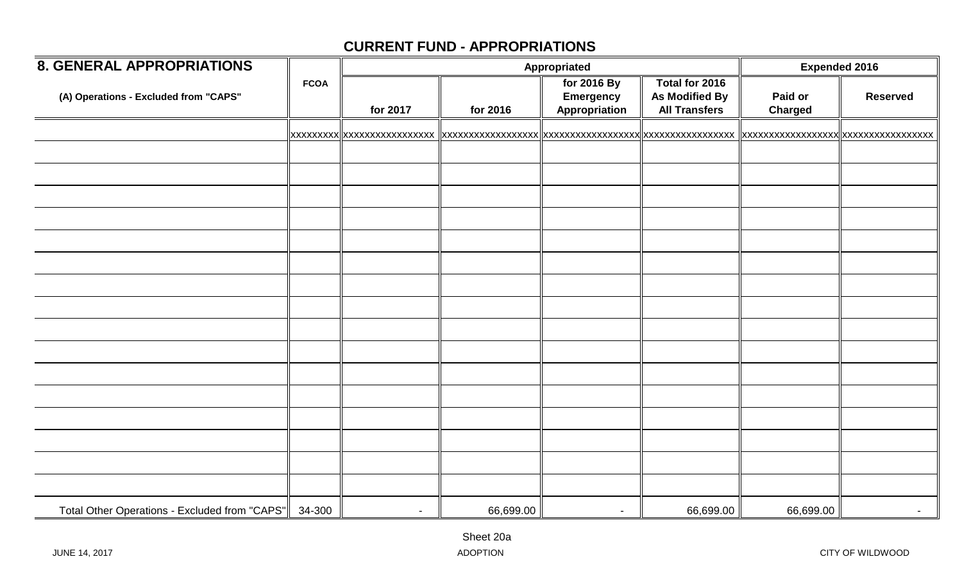| <b>8. GENERAL APPROPRIATIONS</b>              |             |                |           | Appropriated                                     |                                                                 |                           | <b>Expended 2016</b> |  |
|-----------------------------------------------|-------------|----------------|-----------|--------------------------------------------------|-----------------------------------------------------------------|---------------------------|----------------------|--|
| (A) Operations - Excluded from "CAPS"         | <b>FCOA</b> | for 2017       | for 2016  | for 2016 By<br><b>Emergency</b><br>Appropriation | Total for 2016<br><b>As Modified By</b><br><b>All Transfers</b> | Paid or<br><b>Charged</b> | <b>Reserved</b>      |  |
|                                               |             |                |           |                                                  |                                                                 |                           |                      |  |
|                                               |             |                |           |                                                  |                                                                 |                           |                      |  |
|                                               |             |                |           |                                                  |                                                                 |                           |                      |  |
|                                               |             |                |           |                                                  |                                                                 |                           |                      |  |
|                                               |             |                |           |                                                  |                                                                 |                           |                      |  |
|                                               |             |                |           |                                                  |                                                                 |                           |                      |  |
|                                               |             |                |           |                                                  |                                                                 |                           |                      |  |
|                                               |             |                |           |                                                  |                                                                 |                           |                      |  |
|                                               |             |                |           |                                                  |                                                                 |                           |                      |  |
|                                               |             |                |           |                                                  |                                                                 |                           |                      |  |
|                                               |             |                |           |                                                  |                                                                 |                           |                      |  |
|                                               |             |                |           |                                                  |                                                                 |                           |                      |  |
|                                               |             |                |           |                                                  |                                                                 |                           |                      |  |
|                                               |             |                |           |                                                  |                                                                 |                           |                      |  |
|                                               |             |                |           |                                                  |                                                                 |                           |                      |  |
|                                               |             |                |           |                                                  |                                                                 |                           |                      |  |
|                                               |             |                |           |                                                  |                                                                 |                           |                      |  |
| Total Other Operations - Excluded from "CAPS" | 34-300      | $\blacksquare$ | 66,699.00 | $\overline{\phantom{a}}$                         | 66,699.00                                                       | 66,699.00                 | $\sim$               |  |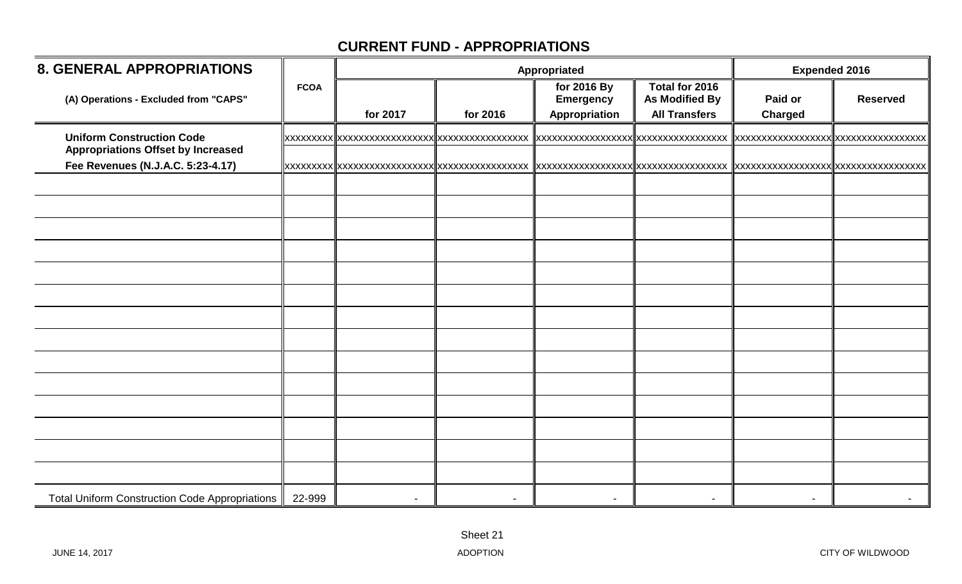| <b>8. GENERAL APPROPRIATIONS</b>                                               |             |          |          | Appropriated                                     |                                                                 | <b>Expended 2016</b>      |                 |  |
|--------------------------------------------------------------------------------|-------------|----------|----------|--------------------------------------------------|-----------------------------------------------------------------|---------------------------|-----------------|--|
| (A) Operations - Excluded from "CAPS"                                          | <b>FCOA</b> | for 2017 | for 2016 | for 2016 By<br><b>Emergency</b><br>Appropriation | Total for 2016<br><b>As Modified By</b><br><b>All Transfers</b> | Paid or<br><b>Charged</b> | <b>Reserved</b> |  |
| <b>Uniform Construction Code</b>                                               |             |          |          |                                                  |                                                                 |                           |                 |  |
| <b>Appropriations Offset by Increased</b><br>Fee Revenues (N.J.A.C. 5:23-4.17) |             |          |          |                                                  |                                                                 |                           |                 |  |
|                                                                                |             |          |          |                                                  |                                                                 |                           |                 |  |
|                                                                                |             |          |          |                                                  |                                                                 |                           |                 |  |
|                                                                                |             |          |          |                                                  |                                                                 |                           |                 |  |
|                                                                                |             |          |          |                                                  |                                                                 |                           |                 |  |
|                                                                                |             |          |          |                                                  |                                                                 |                           |                 |  |
|                                                                                |             |          |          |                                                  |                                                                 |                           |                 |  |
|                                                                                |             |          |          |                                                  |                                                                 |                           |                 |  |
|                                                                                |             |          |          |                                                  |                                                                 |                           |                 |  |
|                                                                                |             |          |          |                                                  |                                                                 |                           |                 |  |
|                                                                                |             |          |          |                                                  |                                                                 |                           |                 |  |
|                                                                                |             |          |          |                                                  |                                                                 |                           |                 |  |
|                                                                                |             |          |          |                                                  |                                                                 |                           |                 |  |
|                                                                                |             |          |          |                                                  |                                                                 |                           |                 |  |
|                                                                                |             |          |          |                                                  |                                                                 |                           |                 |  |
| <b>Total Uniform Construction Code Appropriations</b>                          | 22-999      |          |          |                                                  |                                                                 |                           |                 |  |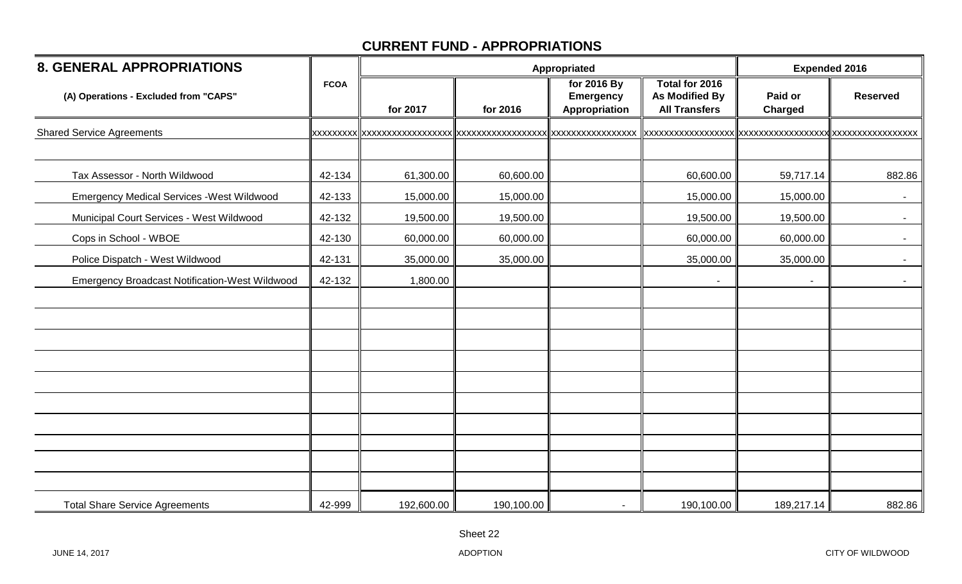| <b>8. GENERAL APPROPRIATIONS</b>                      |             |            |            | Appropriated                                     |                                                          | <b>Expended 2016</b>      |                 |  |
|-------------------------------------------------------|-------------|------------|------------|--------------------------------------------------|----------------------------------------------------------|---------------------------|-----------------|--|
| (A) Operations - Excluded from "CAPS"                 | <b>FCOA</b> | for 2017   | for 2016   | for 2016 By<br><b>Emergency</b><br>Appropriation | Total for 2016<br>As Modified By<br><b>All Transfers</b> | Paid or<br><b>Charged</b> | <b>Reserved</b> |  |
| <b>Shared Service Agreements</b>                      |             |            |            |                                                  |                                                          |                           |                 |  |
|                                                       |             |            |            |                                                  |                                                          |                           |                 |  |
| Tax Assessor - North Wildwood                         | 42-134      | 61,300.00  | 60,600.00  |                                                  | 60,600.00                                                | 59,717.14                 | 882.86          |  |
| <b>Emergency Medical Services - West Wildwood</b>     | 42-133      | 15,000.00  | 15,000.00  |                                                  | 15,000.00                                                | 15,000.00                 | $\sim$          |  |
| Municipal Court Services - West Wildwood              | 42-132      | 19,500.00  | 19,500.00  |                                                  | 19,500.00                                                | 19,500.00                 | $\sim$          |  |
| Cops in School - WBOE                                 | 42-130      | 60,000.00  | 60,000.00  |                                                  | 60,000.00                                                | 60,000.00                 | $\sim$          |  |
| Police Dispatch - West Wildwood                       | 42-131      | 35,000.00  | 35,000.00  |                                                  | 35,000.00                                                | 35,000.00                 | $\sim$          |  |
| <b>Emergency Broadcast Notification-West Wildwood</b> | 42-132      | 1,800.00   |            |                                                  |                                                          | $\blacksquare$            |                 |  |
|                                                       |             |            |            |                                                  |                                                          |                           |                 |  |
|                                                       |             |            |            |                                                  |                                                          |                           |                 |  |
|                                                       |             |            |            |                                                  |                                                          |                           |                 |  |
|                                                       |             |            |            |                                                  |                                                          |                           |                 |  |
|                                                       |             |            |            |                                                  |                                                          |                           |                 |  |
|                                                       |             |            |            |                                                  |                                                          |                           |                 |  |
|                                                       |             |            |            |                                                  |                                                          |                           |                 |  |
|                                                       |             |            |            |                                                  |                                                          |                           |                 |  |
|                                                       |             |            |            |                                                  |                                                          |                           |                 |  |
|                                                       |             |            |            |                                                  |                                                          |                           |                 |  |
| <b>Total Share Service Agreements</b>                 | 42-999      | 192,600.00 | 190,100.00 |                                                  | 190,100.00                                               | 189,217.14                | 882.86          |  |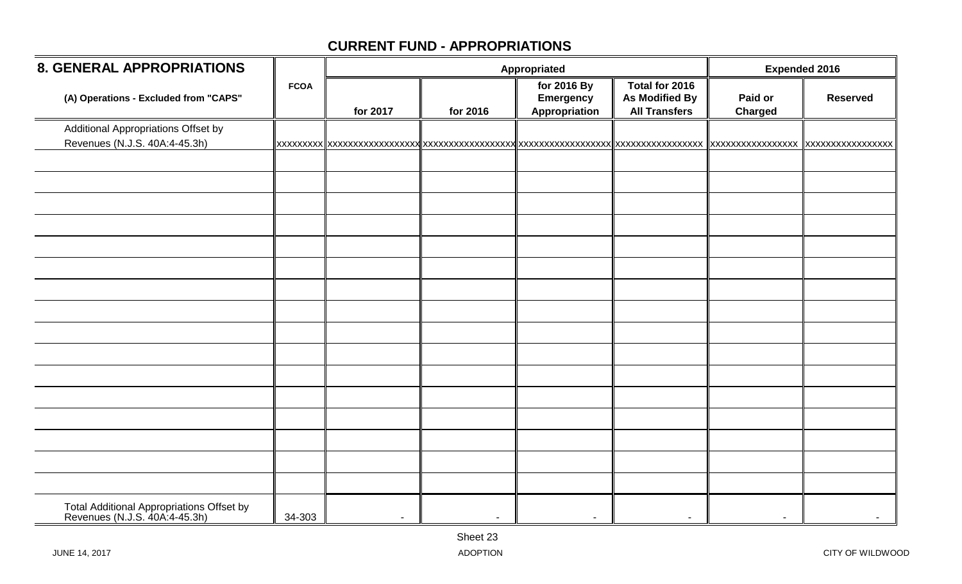| <b>8. GENERAL APPROPRIATIONS</b>                                           |             |                |                | Appropriated                                     |                                                                 | <b>Expended 2016</b>      |                   |  |
|----------------------------------------------------------------------------|-------------|----------------|----------------|--------------------------------------------------|-----------------------------------------------------------------|---------------------------|-------------------|--|
| (A) Operations - Excluded from "CAPS"                                      | <b>FCOA</b> | for 2017       | for 2016       | for 2016 By<br><b>Emergency</b><br>Appropriation | Total for 2016<br><b>As Modified By</b><br><b>All Transfers</b> | Paid or<br><b>Charged</b> | <b>Reserved</b>   |  |
| Additional Appropriations Offset by<br>Revenues (N.J.S. 40A:4-45.3h)       |             |                |                |                                                  |                                                                 | <b>XXXXXXXXXXXXXXXX</b>   | XXXXXXXXXXXXXXXXX |  |
|                                                                            |             |                |                |                                                  |                                                                 |                           |                   |  |
|                                                                            |             |                |                |                                                  |                                                                 |                           |                   |  |
|                                                                            |             |                |                |                                                  |                                                                 |                           |                   |  |
|                                                                            |             |                |                |                                                  |                                                                 |                           |                   |  |
|                                                                            |             |                |                |                                                  |                                                                 |                           |                   |  |
|                                                                            |             |                |                |                                                  |                                                                 |                           |                   |  |
|                                                                            |             |                |                |                                                  |                                                                 |                           |                   |  |
|                                                                            |             |                |                |                                                  |                                                                 |                           |                   |  |
|                                                                            |             |                |                |                                                  |                                                                 |                           |                   |  |
|                                                                            |             |                |                |                                                  |                                                                 |                           |                   |  |
|                                                                            |             |                |                |                                                  |                                                                 |                           |                   |  |
|                                                                            |             |                |                |                                                  |                                                                 |                           |                   |  |
|                                                                            |             |                |                |                                                  |                                                                 |                           |                   |  |
|                                                                            |             |                |                |                                                  |                                                                 |                           |                   |  |
|                                                                            |             |                |                |                                                  |                                                                 |                           |                   |  |
| Total Additional Appropriations Offset by<br>Revenues (N.J.S. 40A:4-45.3h) | 34-303      | $\blacksquare$ | $\blacksquare$ | $\overline{\phantom{a}}$                         |                                                                 |                           |                   |  |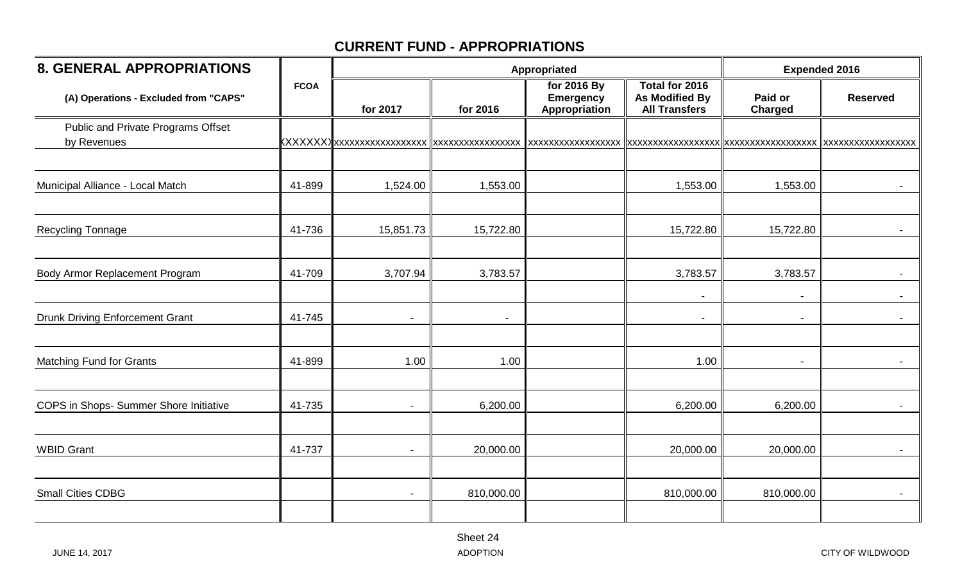| <b>8. GENERAL APPROPRIATIONS</b>                  |             |           |            | Appropriated                                     |                                                                 |                           | <b>Expended 2016</b> |  |
|---------------------------------------------------|-------------|-----------|------------|--------------------------------------------------|-----------------------------------------------------------------|---------------------------|----------------------|--|
| (A) Operations - Excluded from "CAPS"             | <b>FCOA</b> | for 2017  | for 2016   | for 2016 By<br><b>Emergency</b><br>Appropriation | Total for 2016<br><b>As Modified By</b><br><b>All Transfers</b> | Paid or<br><b>Charged</b> | <b>Reserved</b>      |  |
| Public and Private Programs Offset<br>by Revenues |             |           |            | xxxxxxxxxxxxxxxxx                                |                                                                 |                           |                      |  |
| Municipal Alliance - Local Match                  | 41-899      | 1,524.00  | 1,553.00   |                                                  | 1,553.00                                                        | 1,553.00                  |                      |  |
| Recycling Tonnage                                 | 41-736      | 15,851.73 | 15,722.80  |                                                  | 15,722.80                                                       | 15,722.80                 |                      |  |
| Body Armor Replacement Program                    | 41-709      | 3,707.94  | 3,783.57   |                                                  | 3,783.57                                                        | 3,783.57                  |                      |  |
| <b>Drunk Driving Enforcement Grant</b>            | 41-745      |           |            |                                                  | $\blacksquare$                                                  |                           | $\sim$               |  |
| <b>Matching Fund for Grants</b>                   | 41-899      | 1.00      | 1.00       |                                                  | 1.00                                                            | $\overline{\phantom{a}}$  |                      |  |
| COPS in Shops- Summer Shore Initiative            | 41-735      |           | 6,200.00   |                                                  | 6,200.00                                                        | 6,200.00                  |                      |  |
| <b>WBID Grant</b>                                 | 41-737      |           | 20,000.00  |                                                  | 20,000.00                                                       | 20,000.00                 | $\sim$               |  |
| <b>Small Cities CDBG</b>                          |             |           | 810,000.00 |                                                  | 810,000.00                                                      | 810,000.00                | $\blacksquare$       |  |
|                                                   |             |           |            |                                                  |                                                                 |                           |                      |  |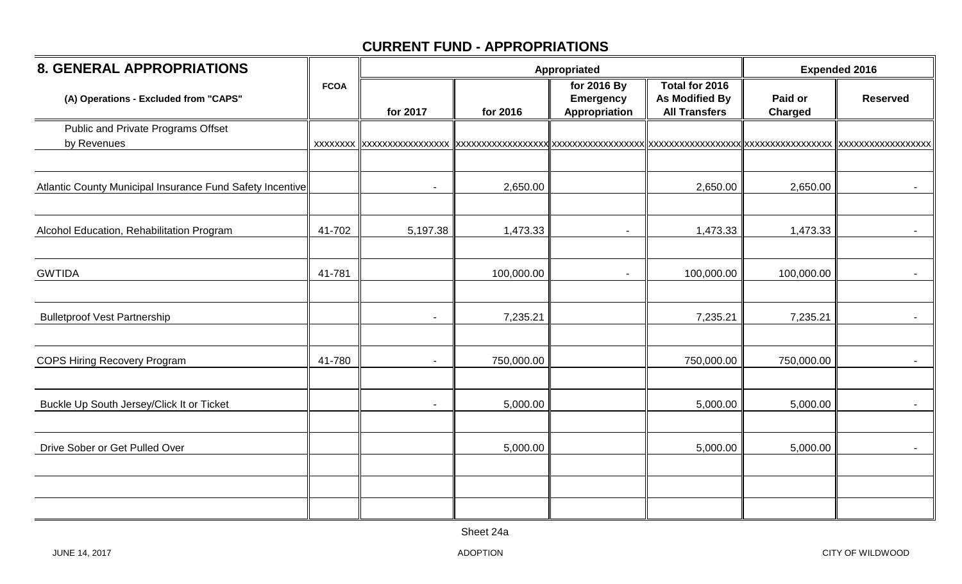| <b>8. GENERAL APPROPRIATIONS</b>                          |             |                          | Appropriated | <b>Expended 2016</b>                                    |                                                                 |                           |                    |
|-----------------------------------------------------------|-------------|--------------------------|--------------|---------------------------------------------------------|-----------------------------------------------------------------|---------------------------|--------------------|
| (A) Operations - Excluded from "CAPS"                     | <b>FCOA</b> | for 2017                 | for 2016     | for 2016 By<br><b>Emergency</b><br><b>Appropriation</b> | Total for 2016<br><b>As Modified By</b><br><b>All Transfers</b> | Paid or<br><b>Charged</b> | <b>Reserved</b>    |
| <b>Public and Private Programs Offset</b><br>by Revenues  |             |                          |              |                                                         |                                                                 |                           | XXXXXXXXXXXXXXXXXX |
| Atlantic County Municipal Insurance Fund Safety Incentive |             | $\overline{\phantom{a}}$ | 2,650.00     |                                                         | 2,650.00                                                        | 2,650.00                  |                    |
| Alcohol Education, Rehabilitation Program                 | 41-702      | 5,197.38                 | 1,473.33     |                                                         | 1,473.33                                                        | 1,473.33                  |                    |
| <b>GWTIDA</b>                                             | 41-781      |                          | 100,000.00   | $\overline{\phantom{0}}$                                | 100,000.00                                                      | 100,000.00                |                    |
| <b>Bulletproof Vest Partnership</b>                       |             |                          | 7,235.21     |                                                         | 7,235.21                                                        | 7,235.21                  | $\blacksquare$     |
| <b>COPS Hiring Recovery Program</b>                       | 41-780      |                          | 750,000.00   |                                                         | 750,000.00                                                      | 750,000.00                |                    |
| Buckle Up South Jersey/Click It or Ticket                 |             |                          | 5,000.00     |                                                         | 5,000.00                                                        | 5,000.00                  |                    |
| Drive Sober or Get Pulled Over                            |             |                          | 5,000.00     |                                                         | 5,000.00                                                        | 5,000.00                  | $\sim$             |
|                                                           |             |                          |              |                                                         |                                                                 |                           |                    |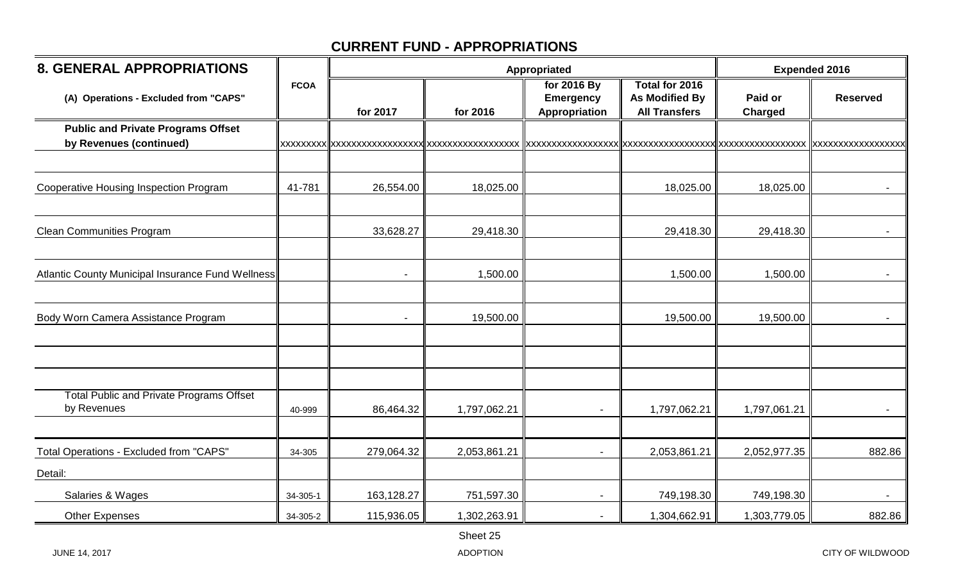| <b>8. GENERAL APPROPRIATIONS</b>                                     |             |            |              | Appropriated                                     |                                                                 | <b>Expended 2016</b> |                                      |
|----------------------------------------------------------------------|-------------|------------|--------------|--------------------------------------------------|-----------------------------------------------------------------|----------------------|--------------------------------------|
| (A) Operations - Excluded from "CAPS"                                | <b>FCOA</b> | for 2017   | for 2016     | for 2016 By<br><b>Emergency</b><br>Appropriation | Total for 2016<br><b>As Modified By</b><br><b>All Transfers</b> | Paid or<br>Charged   | <b>Reserved</b>                      |
| <b>Public and Private Programs Offset</b><br>by Revenues (continued) |             |            |              |                                                  | xxxxxxxxxxxxxxxxxx  xxxxxxxxxxxxxxxxx                           |                      | XXXXXXXXXXXXXXXXX  XXXXXXXXXXXXXXXXX |
|                                                                      |             |            |              |                                                  |                                                                 |                      |                                      |
| <b>Cooperative Housing Inspection Program</b>                        | 41-781      | 26,554.00  | 18,025.00    |                                                  | 18,025.00                                                       | 18,025.00            |                                      |
| <b>Clean Communities Program</b>                                     |             | 33,628.27  | 29,418.30    |                                                  | 29,418.30                                                       | 29,418.30            |                                      |
|                                                                      |             |            |              |                                                  |                                                                 |                      |                                      |
| Atlantic County Municipal Insurance Fund Wellness                    |             |            | 1,500.00     |                                                  | 1,500.00                                                        | 1,500.00             |                                      |
| Body Worn Camera Assistance Program                                  |             |            | 19,500.00    |                                                  | 19,500.00                                                       | 19,500.00            |                                      |
|                                                                      |             |            |              |                                                  |                                                                 |                      |                                      |
| <b>Total Public and Private Programs Offset</b><br>by Revenues       | 40-999      | 86,464.32  | 1,797,062.21 |                                                  | 1,797,062.21                                                    | 1,797,061.21         | $\blacksquare$                       |
|                                                                      |             |            |              |                                                  |                                                                 |                      |                                      |
| Total Operations - Excluded from "CAPS"                              | 34-305      | 279,064.32 | 2,053,861.21 |                                                  | 2,053,861.21                                                    | 2,052,977.35         | 882.86                               |
| Detail:                                                              |             |            |              |                                                  |                                                                 |                      |                                      |
| Salaries & Wages                                                     | 34-305-1    | 163,128.27 | 751,597.30   |                                                  | 749,198.30                                                      | 749,198.30           |                                      |
| <b>Other Expenses</b>                                                | 34-305-2    | 115,936.05 | 1,302,263.91 |                                                  | 1,304,662.91                                                    | 1,303,779.05         | 882.86                               |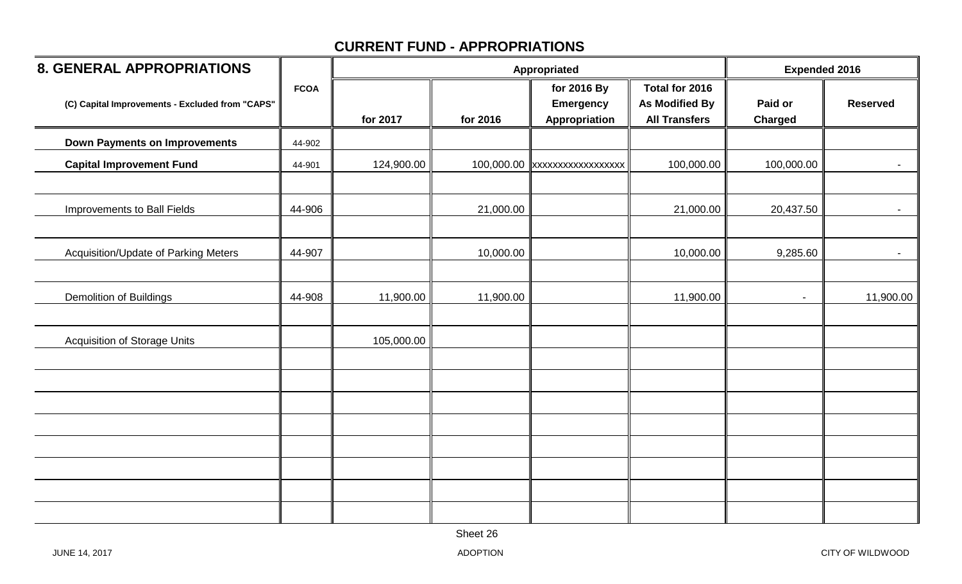| <b>8. GENERAL APPROPRIATIONS</b>                |             |            |           | Appropriated                                     |                                                                 | <b>Expended 2016</b>      |                 |
|-------------------------------------------------|-------------|------------|-----------|--------------------------------------------------|-----------------------------------------------------------------|---------------------------|-----------------|
| (C) Capital Improvements - Excluded from "CAPS" | <b>FCOA</b> | for 2017   | for 2016  | for 2016 By<br><b>Emergency</b><br>Appropriation | Total for 2016<br><b>As Modified By</b><br><b>All Transfers</b> | Paid or<br><b>Charged</b> | <b>Reserved</b> |
| <b>Down Payments on Improvements</b>            | 44-902      |            |           |                                                  |                                                                 |                           |                 |
| <b>Capital Improvement Fund</b>                 | 44-901      | 124,900.00 |           | 100,000.00 xxxxxxxxxxxxxxxxxx                    | 100,000.00                                                      | 100,000.00                | $\sim$          |
| Improvements to Ball Fields                     | 44-906      |            | 21,000.00 |                                                  | 21,000.00                                                       | 20,437.50                 | $\sim$          |
| Acquisition/Update of Parking Meters            | 44-907      |            | 10,000.00 |                                                  | 10,000.00                                                       | 9,285.60                  | $\sim$          |
| <b>Demolition of Buildings</b>                  | 44-908      | 11,900.00  | 11,900.00 |                                                  | 11,900.00                                                       | $\blacksquare$            | 11,900.00       |
| <b>Acquisition of Storage Units</b>             |             | 105,000.00 |           |                                                  |                                                                 |                           |                 |
|                                                 |             |            |           |                                                  |                                                                 |                           |                 |
|                                                 |             |            |           |                                                  |                                                                 |                           |                 |
|                                                 |             |            |           |                                                  |                                                                 |                           |                 |
|                                                 |             |            |           |                                                  |                                                                 |                           |                 |
|                                                 |             |            |           |                                                  |                                                                 |                           |                 |
|                                                 |             |            |           |                                                  |                                                                 |                           |                 |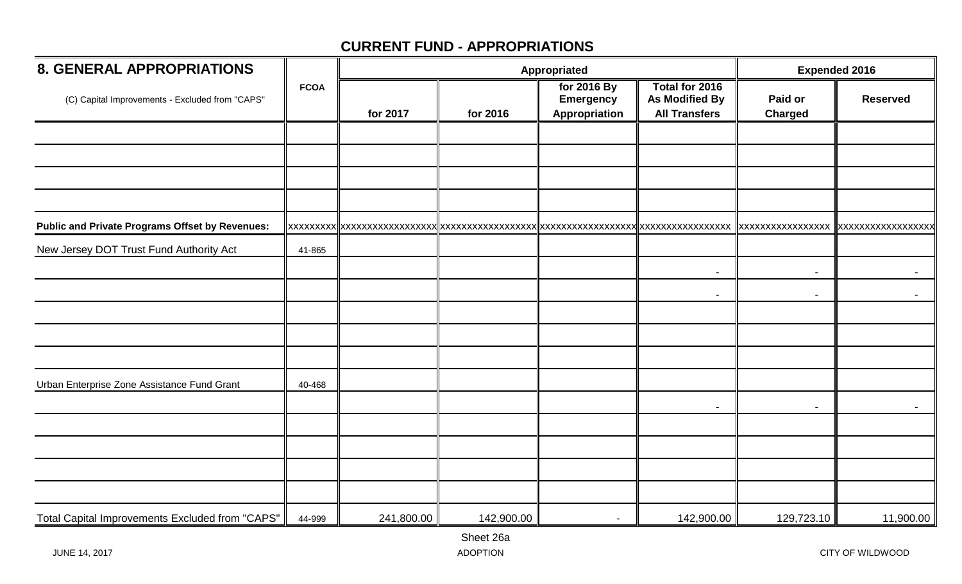| <b>8. GENERAL APPROPRIATIONS</b>                       |             |            |            | Appropriated                                     |                                                                 |                           | <b>Expended 2016</b> |  |
|--------------------------------------------------------|-------------|------------|------------|--------------------------------------------------|-----------------------------------------------------------------|---------------------------|----------------------|--|
| (C) Capital Improvements - Excluded from "CAPS"        | <b>FCOA</b> | for 2017   | for 2016   | for 2016 By<br><b>Emergency</b><br>Appropriation | Total for 2016<br><b>As Modified By</b><br><b>All Transfers</b> | Paid or<br><b>Charged</b> | <b>Reserved</b>      |  |
|                                                        |             |            |            |                                                  |                                                                 |                           |                      |  |
|                                                        |             |            |            |                                                  |                                                                 |                           |                      |  |
|                                                        |             |            |            |                                                  |                                                                 |                           |                      |  |
|                                                        |             |            |            |                                                  |                                                                 |                           |                      |  |
| <b>Public and Private Programs Offset by Revenues:</b> |             |            |            |                                                  |                                                                 |                           |                      |  |
| New Jersey DOT Trust Fund Authority Act                | 41-865      |            |            |                                                  |                                                                 |                           |                      |  |
|                                                        |             |            |            |                                                  | $\blacksquare$                                                  | $\sim$                    | $\sim$ 10 $\pm$      |  |
|                                                        |             |            |            |                                                  | -                                                               | $\blacksquare$            | $\sim$               |  |
|                                                        |             |            |            |                                                  |                                                                 |                           |                      |  |
|                                                        |             |            |            |                                                  |                                                                 |                           |                      |  |
|                                                        |             |            |            |                                                  |                                                                 |                           |                      |  |
| Urban Enterprise Zone Assistance Fund Grant            | 40-468      |            |            |                                                  |                                                                 |                           |                      |  |
|                                                        |             |            |            |                                                  |                                                                 |                           |                      |  |
|                                                        |             |            |            |                                                  |                                                                 |                           |                      |  |
|                                                        |             |            |            |                                                  |                                                                 |                           |                      |  |
|                                                        |             |            |            |                                                  |                                                                 |                           |                      |  |
|                                                        |             |            |            |                                                  |                                                                 |                           |                      |  |
| Total Capital Improvements Excluded from "CAPS"        | 44-999      | 241,800.00 | 142,900.00 |                                                  | 142,900.00                                                      | 129,723.10                | 11,900.00            |  |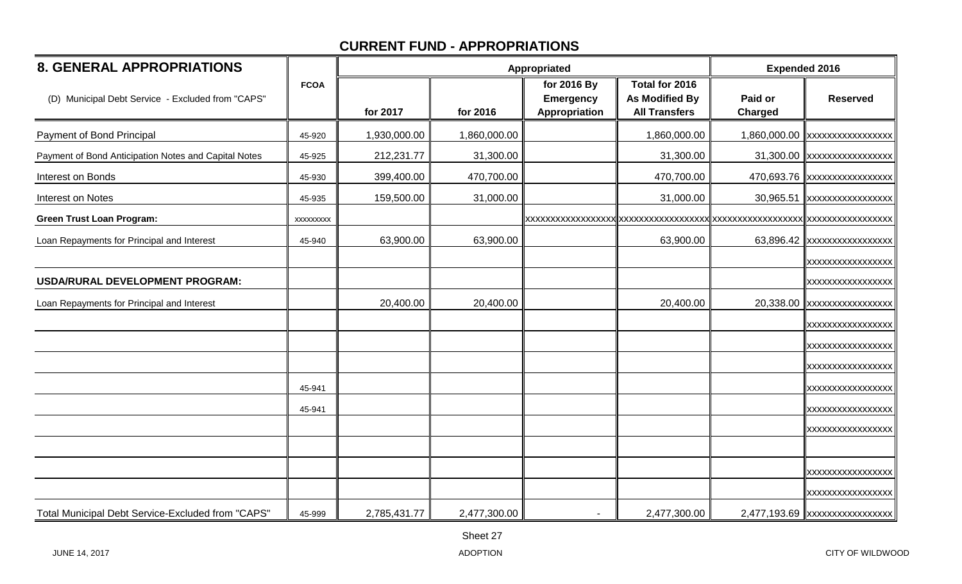| <b>8. GENERAL APPROPRIATIONS</b>                     |             |              | Appropriated | <b>Expended 2016</b>                             |                                                          |                           |                                |
|------------------------------------------------------|-------------|--------------|--------------|--------------------------------------------------|----------------------------------------------------------|---------------------------|--------------------------------|
| (D) Municipal Debt Service - Excluded from "CAPS"    | <b>FCOA</b> | for 2017     | for 2016     | for 2016 By<br><b>Emergency</b><br>Appropriation | Total for 2016<br>As Modified By<br><b>All Transfers</b> | Paid or<br><b>Charged</b> | <b>Reserved</b>                |
| Payment of Bond Principal                            | 45-920      | 1,930,000.00 | 1,860,000.00 |                                                  | 1,860,000.00                                             |                           | 1,860,000.00 xxxxxxxxxxxxxxxxx |
| Payment of Bond Anticipation Notes and Capital Notes | 45-925      | 212,231.77   | 31,300.00    |                                                  | 31,300.00                                                |                           | 31,300.00 xxxxxxxxxxxxxxxxx    |
| Interest on Bonds                                    | 45-930      | 399,400.00   | 470,700.00   |                                                  | 470,700.00                                               |                           | 470,693.76 xxxxxxxxxxxxxxxxx   |
| Interest on Notes                                    | 45-935      | 159,500.00   | 31,000.00    |                                                  | 31,000.00                                                | 30,965.51                 | XXXXXXXXXXXXXXXX               |
| <b>Green Trust Loan Program:</b>                     | XXXXXXXX    |              |              |                                                  |                                                          |                           |                                |
| Loan Repayments for Principal and Interest           | 45-940      | 63,900.00    | 63,900.00    |                                                  | 63,900.00                                                |                           | 63,896.42 xxxxxxxxxxxxxxxx     |
|                                                      |             |              |              |                                                  |                                                          |                           | <b>XXXXXXXXXXXXXXXXX</b>       |
| USDA/RURAL DEVELOPMENT PROGRAM:                      |             |              |              |                                                  |                                                          |                           | XXXXXXXXXXXXXXXXX              |
| Loan Repayments for Principal and Interest           |             | 20,400.00    | 20,400.00    |                                                  | 20,400.00                                                |                           | 20,338.00 xxxxxxxxxxxxxxxx     |
|                                                      |             |              |              |                                                  |                                                          |                           | <b>XXXXXXXXXXXXXXXXX</b>       |
|                                                      |             |              |              |                                                  |                                                          |                           | <b>XXXXXXXXXXXXXXXXX</b>       |
|                                                      |             |              |              |                                                  |                                                          |                           | XXXXXXXXXXXXXXXXX              |
|                                                      | 45-941      |              |              |                                                  |                                                          |                           | XXXXXXXXXXXXXXXXX              |
|                                                      | 45-941      |              |              |                                                  |                                                          |                           | XXXXXXXXXXXXXXXXX              |
|                                                      |             |              |              |                                                  |                                                          |                           | XXXXXXXXXXXXXXXXX              |
|                                                      |             |              |              |                                                  |                                                          |                           |                                |
|                                                      |             |              |              |                                                  |                                                          |                           | <b>XXXXXXXXXXXXXXXXX</b>       |
|                                                      |             |              |              |                                                  |                                                          |                           | XXXXXXXXXXXXXXXXX              |
| Total Municipal Debt Service-Excluded from "CAPS"    | 45-999      | 2,785,431.77 | 2,477,300.00 |                                                  | 2,477,300.00                                             |                           | 2,477,193.69 xxxxxxxxxxxxxxxxx |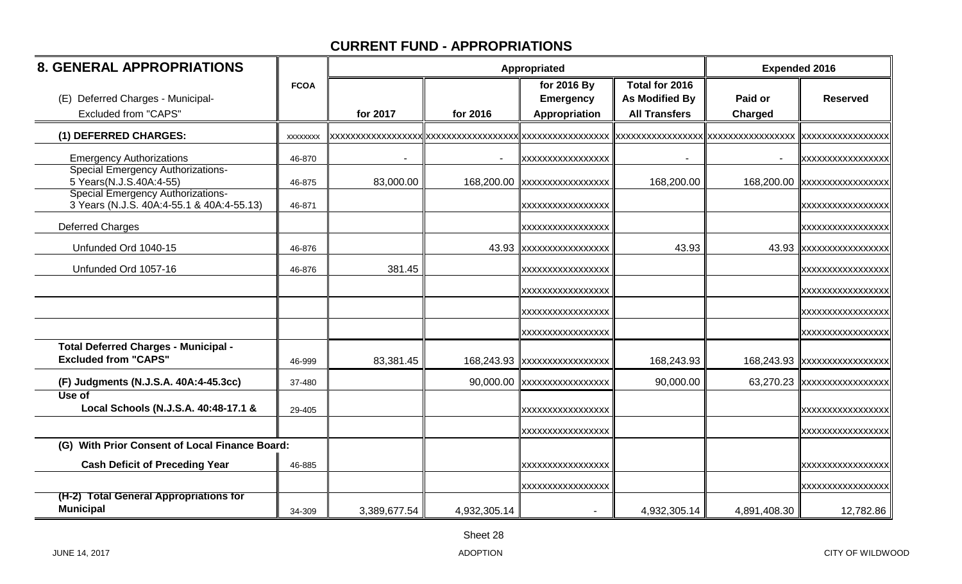| <b>8. GENERAL APPROPRIATIONS</b>                                                      |             |              |              | Appropriated                                     |                                                                 | <b>Expended 2016</b>               |                         |
|---------------------------------------------------------------------------------------|-------------|--------------|--------------|--------------------------------------------------|-----------------------------------------------------------------|------------------------------------|-------------------------|
| (E) Deferred Charges - Municipal-<br><b>Excluded from "CAPS"</b>                      | <b>FCOA</b> | for 2017     | for 2016     | for 2016 By<br><b>Emergency</b><br>Appropriation | Total for 2016<br><b>As Modified By</b><br><b>All Transfers</b> | Paid or<br>Charged                 | <b>Reserved</b>         |
| (1) DEFERRED CHARGES:                                                                 | XXXXXXX     |              |              |                                                  |                                                                 | XXXXXXXXXXXXXXXXX XXXXXXXXXXXXXXXX | XXXXXXXXXXXXXXXX        |
| <b>Emergency Authorizations</b>                                                       | 46-870      |              |              | XXXXXXXXXXXXXXXXX                                |                                                                 |                                    | <b>XXXXXXXXXXXXXXXX</b> |
| <b>Special Emergency Authorizations-</b><br>5 Years (N.J.S.40A:4-55)                  | 46-875      | 83,000.00    |              | 168,200.00 xxxxxxxxxxxxxxxxx                     | 168,200.00                                                      | 168,200.00                         |                         |
| <b>Special Emergency Authorizations-</b><br>3 Years (N.J.S. 40A:4-55.1 & 40A:4-55.13) | 46-871      |              |              | XXXXXXXXXXXXXXXXX                                |                                                                 |                                    | xxxxxxxxxxxxxxxxx       |
| <b>Deferred Charges</b>                                                               |             |              |              | XXXXXXXXXXXXXXXXX                                |                                                                 |                                    | XXXXXXXXXXXXXXXX        |
| Unfunded Ord 1040-15                                                                  | 46-876      |              |              | 43.93 xxxxxxxxxxxxxxxx                           | 43.93                                                           | 43.93                              |                         |
| Unfunded Ord 1057-16                                                                  | 46-876      | 381.45       |              | XXXXXXXXXXXXXXXX                                 |                                                                 |                                    | XXXXXXXXXXXXXXXX        |
|                                                                                       |             |              |              | XXXXXXXXXXXXXXXX                                 |                                                                 |                                    | XXXXXXXXXXXXXXXX        |
|                                                                                       |             |              |              | XXXXXXXXXXXXXXXX                                 |                                                                 |                                    | xxxxxxxxxxxxxxxxx       |
|                                                                                       |             |              |              | XXXXXXXXXXXXXXXXX                                |                                                                 |                                    | XXXXXXXXXXXXXXXX        |
| <b>Total Deferred Charges - Municipal -</b><br><b>Excluded from "CAPS"</b>            | 46-999      | 83,381.45    |              | 168,243.93 xxxxxxxxxxxxxxxx                      | 168,243.93                                                      | 168,243.93                         | XXXXXXXXXXXXXXXXX       |
| (F) Judgments (N.J.S.A. 40A:4-45.3cc)                                                 | 37-480      |              |              | 90,000.00 xxxxxxxxxxxxxxxx                       | 90,000.00                                                       | 63,270.23                          | XXXXXXXXXXXXXXXXX       |
| Use of<br>Local Schools (N.J.S.A. 40:48-17.1 &                                        | 29-405      |              |              | XXXXXXXXXXXXXXXX                                 |                                                                 |                                    | xxxxxxxxxxxxxxxxx       |
|                                                                                       |             |              |              | XXXXXXXXXXXXXXXXX                                |                                                                 |                                    | XXXXXXXXXXXXXXXX        |
| (G) With Prior Consent of Local Finance Board:                                        |             |              |              |                                                  |                                                                 |                                    |                         |
| <b>Cash Deficit of Preceding Year</b>                                                 | 46-885      |              |              | XXXXXXXXXXXXXXXXX                                |                                                                 |                                    | xxxxxxxxxxxxxxxxx       |
|                                                                                       |             |              |              | XXXXXXXXXXXXXXXX                                 |                                                                 |                                    | XXXXXXXXXXXXXXXX        |
| (H-2) Total General Appropriations for<br><b>Municipal</b>                            | 34-309      | 3,389,677.54 | 4,932,305.14 |                                                  | 4,932,305.14                                                    | 4,891,408.30                       | 12,782.86               |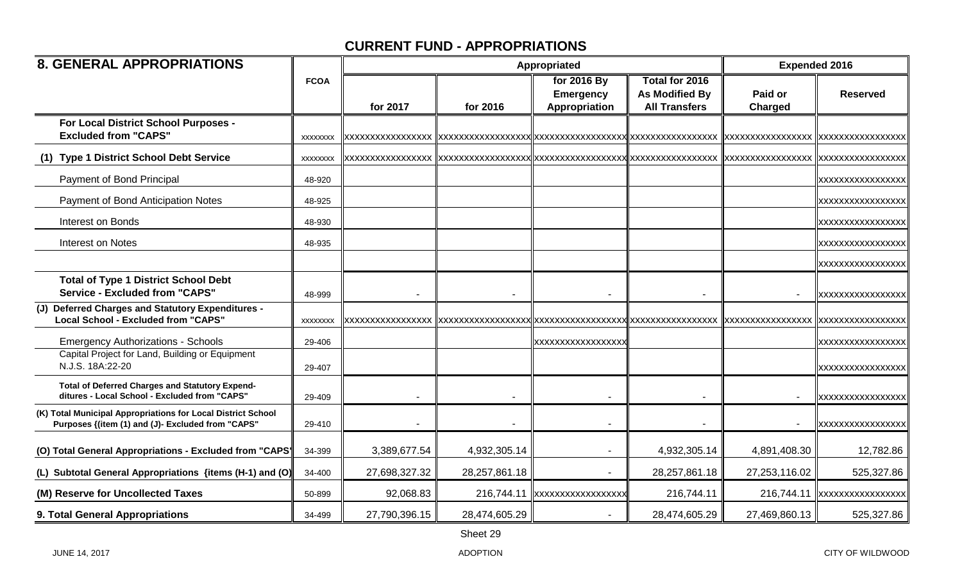| <b>8. GENERAL APPROPRIATIONS</b>                                                                                  |                 |               |               | Appropriated             |                       | <b>Expended 2016</b> |                   |
|-------------------------------------------------------------------------------------------------------------------|-----------------|---------------|---------------|--------------------------|-----------------------|----------------------|-------------------|
|                                                                                                                   | <b>FCOA</b>     |               |               | for 2016 By              | <b>Total for 2016</b> |                      |                   |
|                                                                                                                   |                 |               |               | <b>Emergency</b>         | <b>As Modified By</b> | Paid or              | <b>Reserved</b>   |
|                                                                                                                   |                 | for 2017      | for 2016      | Appropriation            | <b>All Transfers</b>  | <b>Charged</b>       |                   |
| For Local District School Purposes -                                                                              |                 |               |               |                          |                       |                      |                   |
| <b>Excluded from "CAPS"</b>                                                                                       | <b>XXXXXXXX</b> |               |               |                          | XXXXXXXXXXXXXXXXX     | XXXXXXXXXXXXXXXXX    |                   |
| (1) Type 1 District School Debt Service                                                                           | <b>XXXXXXXX</b> |               |               |                          |                       |                      |                   |
| Payment of Bond Principal                                                                                         | 48-920          |               |               |                          |                       |                      | XXXXXXXXXXXXXXXX  |
| Payment of Bond Anticipation Notes                                                                                | 48-925          |               |               |                          |                       |                      | XXXXXXXXXXXXXXXX  |
| Interest on Bonds                                                                                                 | 48-930          |               |               |                          |                       |                      | XXXXXXXXXXXXXXXXX |
| <b>Interest on Notes</b>                                                                                          | 48-935          |               |               |                          |                       |                      | XXXXXXXXXXXXXXXX  |
|                                                                                                                   |                 |               |               |                          |                       |                      | XXXXXXXXXXXXXXXX  |
| <b>Total of Type 1 District School Debt</b>                                                                       |                 |               |               |                          |                       |                      |                   |
| <b>Service - Excluded from "CAPS"</b>                                                                             | 48-999          |               |               |                          |                       |                      | XXXXXXXXXXXXXXXXX |
| (J) Deferred Charges and Statutory Expenditures -                                                                 |                 |               |               |                          |                       |                      |                   |
| <b>Local School - Excluded from "CAPS"</b>                                                                        | <b>XXXXXXXX</b> |               |               |                          |                       |                      | XXXXXXXXXXXXXXXXX |
| <b>Emergency Authorizations - Schools</b>                                                                         | 29-406          |               |               | xxxxxxxxxxxxxxxxx        |                       |                      | XXXXXXXXXXXXXXXX  |
| Capital Project for Land, Building or Equipment<br>N.J.S. 18A:22-20                                               | 29-407          |               |               |                          |                       |                      | XXXXXXXXXXXXXXXX  |
| <b>Total of Deferred Charges and Statutory Expend-</b><br>ditures - Local School - Excluded from "CAPS"           |                 |               |               |                          |                       |                      |                   |
|                                                                                                                   | 29-409          |               |               |                          |                       |                      | XXXXXXXXXXXXXXXX  |
| (K) Total Municipal Appropriations for Local District School<br>Purposes {(item (1) and (J)- Excluded from "CAPS" | 29-410          |               |               |                          |                       |                      | XXXXXXXXXXXXXXXX  |
| (O) Total General Appropriations - Excluded from "CAPS'                                                           | 34-399          | 3,389,677.54  | 4,932,305.14  |                          | 4,932,305.14          | 4,891,408.30         | 12,782.86         |
| (L) Subtotal General Appropriations {items (H-1) and (O)                                                          | 34-400          | 27,698,327.32 | 28,257,861.18 |                          | 28,257,861.18         | 27,253,116.02        | 525,327.86        |
| (M) Reserve for Uncollected Taxes                                                                                 | 50-899          | 92,068.83     | 216,744.11    | <b>XXXXXXXXXXXXXXXXX</b> | 216,744.11            | 216,744.11           |                   |
| 9. Total General Appropriations                                                                                   | 34-499          | 27,790,396.15 | 28,474,605.29 |                          | 28,474,605.29         | 27,469,860.13        | 525,327.86        |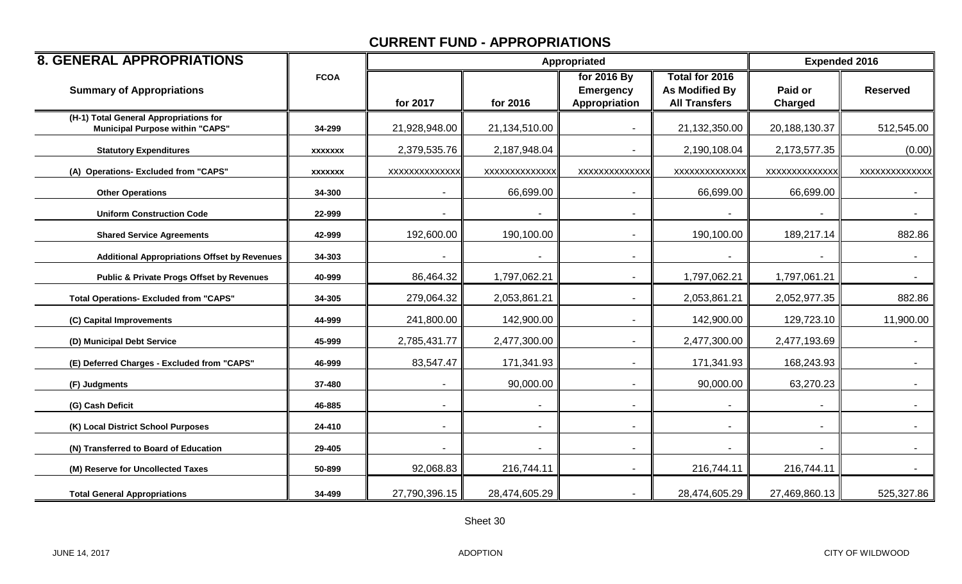| <b>8. GENERAL APPROPRIATIONS</b>                                                 |                |                | Appropriated   |                                                  | <b>Expended 2016</b>                                     |                              |                  |
|----------------------------------------------------------------------------------|----------------|----------------|----------------|--------------------------------------------------|----------------------------------------------------------|------------------------------|------------------|
| <b>Summary of Appropriations</b>                                                 | <b>FCOA</b>    | for 2017       | for 2016       | for 2016 By<br><b>Emergency</b><br>Appropriation | Total for 2016<br>As Modified By<br><b>All Transfers</b> | Paid or<br><b>Charged</b>    | <b>Reserved</b>  |
| (H-1) Total General Appropriations for<br><b>Municipal Purpose within "CAPS"</b> | 34-299         | 21,928,948.00  | 21,134,510.00  |                                                  | 21,132,350.00                                            | 20,188,130.37                | 512,545.00       |
| <b>Statutory Expenditures</b>                                                    | <b>XXXXXXX</b> | 2,379,535.76   | 2,187,948.04   |                                                  | 2,190,108.04                                             | 2,173,577.35                 | (0.00)           |
| (A) Operations- Excluded from "CAPS"                                             | <b>XXXXXXX</b> | XXXXXXXXXXXXX  | XXXXXXXXXXXXX  | XXXXXXXXXXXXX                                    | XXXXXXXXXXXXX                                            | XXXXXXXXXXXXX                | XXXXXXXXXXXXX    |
| <b>Other Operations</b>                                                          | 34-300         |                | 66,699.00      |                                                  | 66,699.00                                                | 66,699.00                    |                  |
| <b>Uniform Construction Code</b>                                                 | 22-999         |                |                |                                                  |                                                          |                              |                  |
| <b>Shared Service Agreements</b>                                                 | 42-999         | 192,600.00     | 190,100.00     |                                                  | 190,100.00                                               | 189,217.14                   | 882.86           |
| <b>Additional Appropriations Offset by Revenues</b>                              | 34-303         |                |                |                                                  |                                                          |                              |                  |
| <b>Public &amp; Private Progs Offset by Revenues</b>                             | 40-999         | 86,464.32      | 1,797,062.21   | $\blacksquare$                                   | 1,797,062.21                                             | 1,797,061.21                 | $\sim$ 10 $\pm$  |
| <b>Total Operations- Excluded from "CAPS"</b>                                    | 34-305         | 279,064.32     | 2,053,861.21   |                                                  | 2,053,861.21                                             | 2,052,977.35                 | 882.86           |
| (C) Capital Improvements                                                         | 44-999         | 241,800.00     | 142,900.00     |                                                  | 142,900.00                                               | 129,723.10                   | 11,900.00        |
| (D) Municipal Debt Service                                                       | 45-999         | 2,785,431.77   | 2,477,300.00   |                                                  | 2,477,300.00                                             | 2,477,193.69                 | $\sim$           |
| (E) Deferred Charges - Excluded from "CAPS"                                      | 46-999         | 83,547.47      | 171,341.93     |                                                  | 171,341.93                                               | 168,243.93                   |                  |
| (F) Judgments                                                                    | 37-480         |                | 90,000.00      |                                                  | 90,000.00                                                | 63,270.23                    |                  |
| (G) Cash Deficit                                                                 | 46-885         |                |                |                                                  |                                                          |                              |                  |
| (K) Local District School Purposes                                               | 24-410         | $\blacksquare$ | $\blacksquare$ |                                                  |                                                          | $\qquad \qquad \blacksquare$ | $\sim$ 100 $\mu$ |
| (N) Transferred to Board of Education                                            | 29-405         |                |                |                                                  |                                                          |                              |                  |
| (M) Reserve for Uncollected Taxes                                                | 50-899         | 92,068.83      | 216,744.11     | $\blacksquare$                                   | 216,744.11                                               | 216,744.11                   | $\sim 100$       |
| <b>Total General Appropriations</b>                                              | 34-499         | 27,790,396.15  | 28,474,605.29  |                                                  | 28,474,605.29                                            | 27,469,860.13                | 525,327.86       |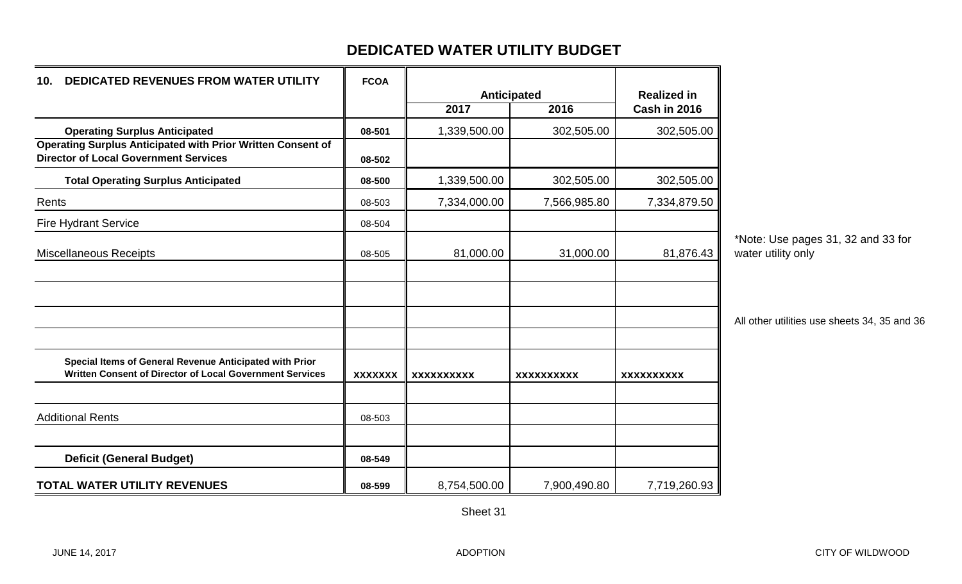#### **DEDICATED WATER UTILITY BUDGET**

| <b>DEDICATED REVENUES FROM WATER UTILITY</b><br>10.                                                                 | <b>FCOA</b>    |                   |                   |                    |
|---------------------------------------------------------------------------------------------------------------------|----------------|-------------------|-------------------|--------------------|
|                                                                                                                     |                |                   | Anticipated       | <b>Realized in</b> |
|                                                                                                                     |                | 2017              | 2016              | Cash in 2016       |
| <b>Operating Surplus Anticipated</b>                                                                                | 08-501         | 1,339,500.00      | 302,505.00        | 302,505.00         |
| <b>Operating Surplus Anticipated with Prior Written Consent of</b><br><b>Director of Local Government Services</b>  | 08-502         |                   |                   |                    |
| <b>Total Operating Surplus Anticipated</b>                                                                          | 08-500         | 1,339,500.00      | 302,505.00        | 302,505.00         |
| Rents                                                                                                               | 08-503         | 7,334,000.00      | 7,566,985.80      | 7,334,879.50       |
| <b>Fire Hydrant Service</b>                                                                                         | 08-504         |                   |                   |                    |
| <b>Miscellaneous Receipts</b>                                                                                       | 08-505         | 81,000.00         | 31,000.00         | 81,876.43          |
|                                                                                                                     |                |                   |                   |                    |
| Special Items of General Revenue Anticipated with Prior<br>Written Consent of Director of Local Government Services | <b>XXXXXXX</b> | <b>XXXXXXXXXX</b> | <b>XXXXXXXXXX</b> | <b>XXXXXXXXXX</b>  |
| <b>Additional Rents</b>                                                                                             | 08-503         |                   |                   |                    |
| <b>Deficit (General Budget)</b>                                                                                     | 08-549         |                   |                   |                    |
| <b>TOTAL WATER UTILITY REVENUES</b>                                                                                 | 08-599         | 8,754,500.00      | 7,900,490.80      | 7,719,260.93       |

\*Note: Use pages 31, 32 and 33 for water utility only

All other utilities use sheets 34, 35 and 36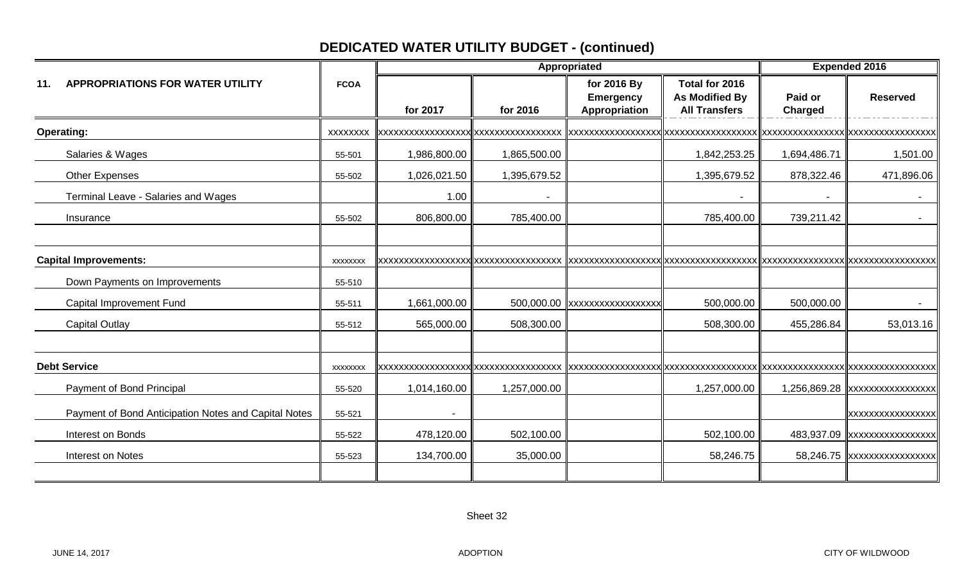# **DEDICATED WATER UTILITY BUDGET - (continued)**

|                                                      |                 |              | Appropriated | <b>Expended 2016</b>                             |                                                                 |                    |                              |
|------------------------------------------------------|-----------------|--------------|--------------|--------------------------------------------------|-----------------------------------------------------------------|--------------------|------------------------------|
| <b>APPROPRIATIONS FOR WATER UTILITY</b><br>11.       | <b>FCOA</b>     | for 2017     | for 2016     | for 2016 By<br><b>Emergency</b><br>Appropriation | Total for 2016<br><b>As Modified By</b><br><b>All Transfers</b> | Paid or<br>Charged | <b>Reserved</b>              |
| <b>Operating:</b>                                    | XXXXXXX         |              |              |                                                  |                                                                 |                    |                              |
| Salaries & Wages                                     | 55-501          | 1,986,800.00 | 1,865,500.00 |                                                  | 1,842,253.25                                                    | 1,694,486.71       | 1,501.00                     |
| <b>Other Expenses</b>                                | 55-502          | 1,026,021.50 | 1,395,679.52 |                                                  | 1,395,679.52                                                    | 878,322.46         | 471,896.06                   |
| Terminal Leave - Salaries and Wages                  |                 | 1.00         |              |                                                  |                                                                 |                    |                              |
| Insurance                                            | 55-502          | 806,800.00   | 785,400.00   |                                                  | 785,400.00                                                      | 739,211.42         |                              |
| <b>Capital Improvements:</b>                         | <b>XXXXXXXX</b> |              |              |                                                  |                                                                 |                    |                              |
| Down Payments on Improvements                        | 55-510          |              |              |                                                  |                                                                 |                    |                              |
| Capital Improvement Fund                             | 55-511          | 1,661,000.00 |              | 500,000.00 xxxxxxxxxxxxxxxxx                     | 500,000.00                                                      | 500,000.00         |                              |
| <b>Capital Outlay</b>                                | 55-512          | 565,000.00   | 508,300.00   |                                                  | 508,300.00                                                      | 455,286.84         | 53,013.16                    |
| <b>Debt Service</b>                                  | <b>XXXXXXXX</b> |              |              |                                                  |                                                                 |                    |                              |
| Payment of Bond Principal                            | 55-520          | 1,014,160.00 | 1,257,000.00 |                                                  | 1,257,000.00                                                    |                    |                              |
| Payment of Bond Anticipation Notes and Capital Notes | 55-521          |              |              |                                                  |                                                                 |                    | XXXXXXXXXXXXXXXXX            |
| Interest on Bonds                                    | 55-522          | 478,120.00   | 502,100.00   |                                                  | 502,100.00                                                      |                    | 483,937.09 xxxxxxxxxxxxxxxxx |
| Interest on Notes                                    | 55-523          | 134,700.00   | 35,000.00    |                                                  | 58,246.75                                                       |                    | 58,246.75 xxxxxxxxxxxxxxxx   |
|                                                      |                 |              |              |                                                  |                                                                 |                    |                              |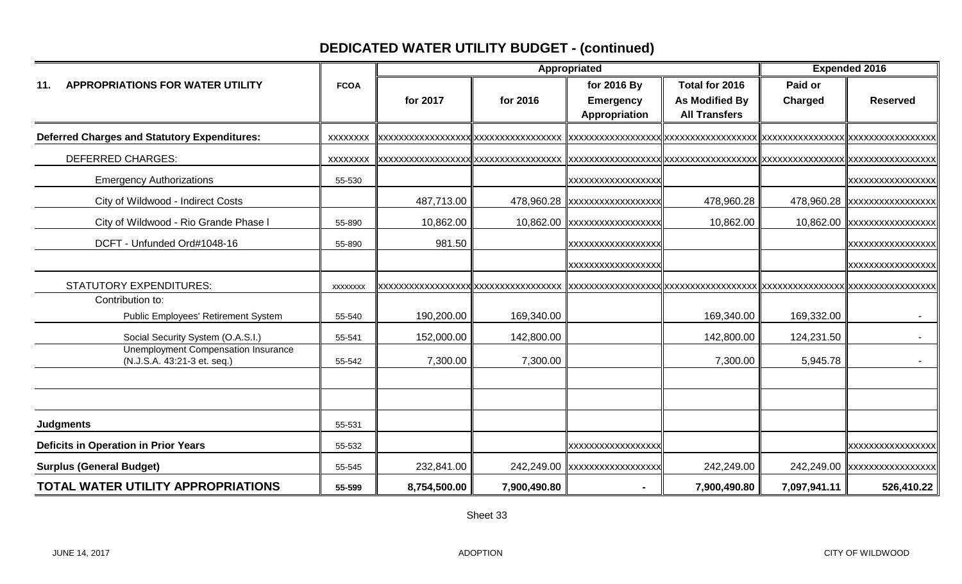# **DEDICATED WATER UTILITY BUDGET - (continued)**

|                                                                           |                 | Appropriated |              |                               |                      | <b>Expended 2016</b> |                              |  |
|---------------------------------------------------------------------------|-----------------|--------------|--------------|-------------------------------|----------------------|----------------------|------------------------------|--|
| <b>APPROPRIATIONS FOR WATER UTILITY</b><br>11.                            | <b>FCOA</b>     |              |              | for 2016 By                   | Total for 2016       | Paid or              |                              |  |
|                                                                           |                 | for 2017     | for 2016     | <b>Emergency</b>              | As Modified By       | Charged              | <b>Reserved</b>              |  |
|                                                                           |                 |              |              | Appropriation                 | <b>All Transfers</b> |                      |                              |  |
| <b>Deferred Charges and Statutory Expenditures:</b>                       | <b>XXXXXXXX</b> |              |              |                               |                      |                      |                              |  |
| <b>DEFERRED CHARGES:</b>                                                  | XXXXXXXX        |              |              |                               |                      |                      |                              |  |
| <b>Emergency Authorizations</b>                                           | 55-530          |              |              | <b>XXXXXXXXXXXXXXXXX</b>      |                      |                      | <b>XXXXXXXXXXXXXXXX</b>      |  |
| City of Wildwood - Indirect Costs                                         |                 | 487,713.00   |              | 478,960.28 xxxxxxxxxxxxxxxxxx | 478,960.28           |                      | 478,960.28 xxxxxxxxxxxxxxxxx |  |
| City of Wildwood - Rio Grande Phase I                                     | 55-890          | 10,862.00    |              | 10,862.00 xxxxxxxxxxxxxxxxx   | 10,862.00            |                      | 10,862.00 xxxxxxxxxxxxxxxx   |  |
| DCFT - Unfunded Ord#1048-16                                               | 55-890          | 981.50       |              | XXXXXXXXXXXXXXXXXX            |                      |                      | XXXXXXXXXXXXXXXX             |  |
|                                                                           |                 |              |              | XXXXXXXXXXXXXXXXX             |                      |                      | xxxxxxxxxxxxxxxxx            |  |
| <b>STATUTORY EXPENDITURES:</b>                                            | <b>XXXXXXXX</b> |              |              |                               |                      |                      |                              |  |
| Contribution to:                                                          |                 |              |              |                               |                      |                      |                              |  |
| Public Employees' Retirement System                                       | 55-540          | 190,200.00   | 169,340.00   |                               | 169,340.00           | 169,332.00           |                              |  |
| Social Security System (O.A.S.I.)                                         | 55-541          | 152,000.00   | 142,800.00   |                               | 142,800.00           | 124,231.50           |                              |  |
| <b>Unemployment Compensation Insurance</b><br>(N.J.S.A. 43:21-3 et. seq.) | 55-542          | 7,300.00     | 7,300.00     |                               | 7,300.00             | 5,945.78             |                              |  |
|                                                                           |                 |              |              |                               |                      |                      |                              |  |
|                                                                           |                 |              |              |                               |                      |                      |                              |  |
| <b>Judgments</b>                                                          | 55-531          |              |              |                               |                      |                      |                              |  |
| <b>Deficits in Operation in Prior Years</b>                               | 55-532          |              |              | XXXXXXXXXXXXXXXXX             |                      |                      | xxxxxxxxxxxxxxxxx            |  |
| <b>Surplus (General Budget)</b>                                           | 55-545          | 232,841.00   |              | 242,249.00 xxxxxxxxxxxxxxxxx  | 242,249.00           |                      | 242,249.00 xxxxxxxxxxxxxxxx  |  |
| <b>TOTAL WATER UTILITY APPROPRIATIONS</b>                                 | 55-599          | 8,754,500.00 | 7,900,490.80 |                               | 7,900,490.80         | 7,097,941.11         | 526,410.22                   |  |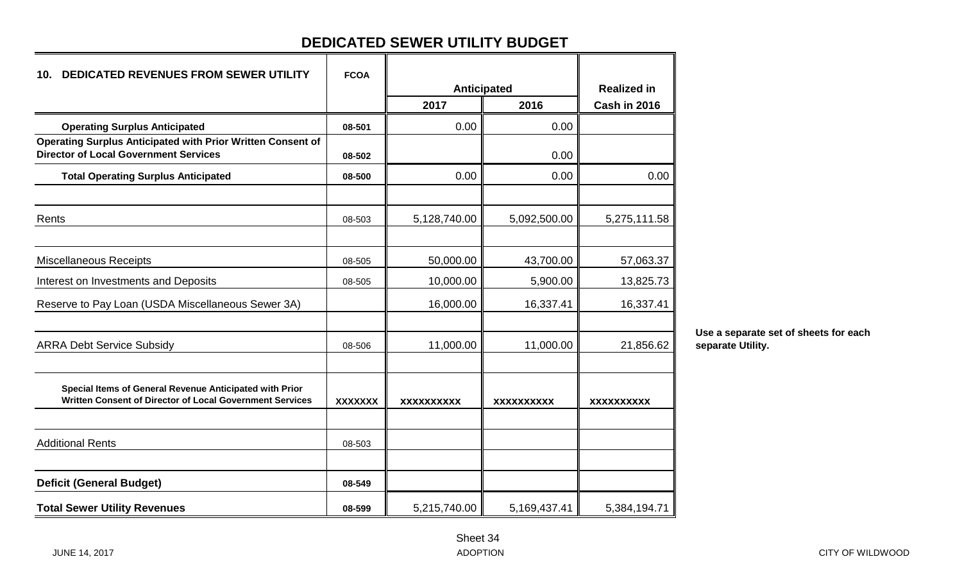# **DEDICATED SEWER UTILITY BUDGET**

| <b>DEDICATED REVENUES FROM SEWER UTILITY</b><br>10.                                                                 | <b>FCOA</b>    |              |              |                    |
|---------------------------------------------------------------------------------------------------------------------|----------------|--------------|--------------|--------------------|
|                                                                                                                     |                | Anticipated  |              | <b>Realized in</b> |
|                                                                                                                     |                | 2017         | 2016         | Cash in 2016       |
| <b>Operating Surplus Anticipated</b>                                                                                | 08-501         | 0.00         | 0.00         |                    |
| Operating Surplus Anticipated with Prior Written Consent of<br><b>Director of Local Government Services</b>         | 08-502         |              | 0.00         |                    |
| <b>Total Operating Surplus Anticipated</b>                                                                          | 08-500         | 0.00         | 0.00         | 0.00               |
| Rents                                                                                                               | 08-503         | 5,128,740.00 | 5,092,500.00 | 5,275,111.58       |
| <b>Miscellaneous Receipts</b>                                                                                       | 08-505         | 50,000.00    | 43,700.00    | 57,063.37          |
| Interest on Investments and Deposits                                                                                | 08-505         | 10,000.00    | 5,900.00     | 13,825.73          |
| Reserve to Pay Loan (USDA Miscellaneous Sewer 3A)                                                                   |                | 16,000.00    | 16,337.41    | 16,337.41          |
| <b>ARRA Debt Service Subsidy</b>                                                                                    | 08-506         | 11,000.00    | 11,000.00    | 21,856.62          |
| Special Items of General Revenue Anticipated with Prior<br>Written Consent of Director of Local Government Services | <b>XXXXXXX</b> | XXXXXXXXXX   | XXXXXXXXXX   | <b>XXXXXXXXXX</b>  |
| <b>Additional Rents</b>                                                                                             | 08-503         |              |              |                    |
| <b>Deficit (General Budget)</b>                                                                                     | 08-549         |              |              |                    |
| <b>Total Sewer Utility Revenues</b>                                                                                 | 08-599         | 5,215,740.00 | 5,169,437.41 | 5,384,194.71       |

**Use a separate set of sheets for each separate Utility.**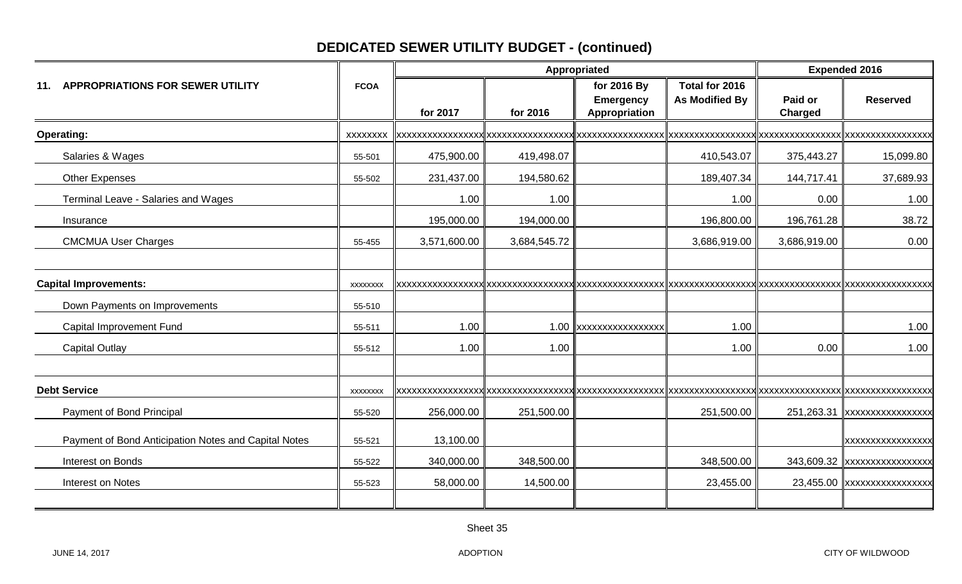# **DEDICATED SEWER UTILITY BUDGET - (continued)**

|                                                           |                  | Appropriated |              |                                                  |                                         | <b>Expended 2016</b> |                             |
|-----------------------------------------------------------|------------------|--------------|--------------|--------------------------------------------------|-----------------------------------------|----------------------|-----------------------------|
| <b>APPROPRIATIONS FOR SEWER UTILITY</b><br>11.            | <b>FCOA</b>      | for 2017     | for 2016     | for 2016 By<br><b>Emergency</b><br>Appropriation | Total for 2016<br><b>As Modified By</b> | Paid or<br>Charged   | <b>Reserved</b>             |
| <b>Operating:</b>                                         | <b>XXXXXXXX</b>  |              |              |                                                  |                                         |                      |                             |
| Salaries & Wages                                          | 55-501           | 475,900.00   | 419,498.07   |                                                  | 410,543.07                              | 375,443.27           | 15,099.80                   |
| <b>Other Expenses</b>                                     | 55-502           | 231,437.00   | 194,580.62   |                                                  | 189,407.34                              | 144,717.41           | 37,689.93                   |
| Terminal Leave - Salaries and Wages                       |                  | 1.00         | 1.00         |                                                  | 1.00                                    | 0.00                 | 1.00                        |
| Insurance                                                 |                  | 195,000.00   | 194,000.00   |                                                  | 196,800.00                              | 196,761.28           | 38.72                       |
| <b>CMCMUA User Charges</b>                                | 55-455           | 3,571,600.00 | 3,684,545.72 |                                                  | 3,686,919.00                            | 3,686,919.00         | 0.00                        |
| <b>Capital Improvements:</b>                              | <b>XXXXXXXX</b>  |              |              |                                                  |                                         |                      |                             |
| Down Payments on Improvements<br>Capital Improvement Fund | 55-510<br>55-511 | 1.00         |              | 1.00 xxxxxxxxxxxxxxxx                            | 1.00                                    |                      | 1.00                        |
| <b>Capital Outlay</b>                                     | 55-512           | 1.00         | 1.00         |                                                  | 1.00                                    | 0.00                 | 1.00                        |
| <b>Debt Service</b>                                       | <b>XXXXXXXX</b>  |              |              |                                                  |                                         |                      |                             |
| Payment of Bond Principal                                 | 55-520           | 256,000.00   | 251,500.00   |                                                  | 251,500.00                              |                      | 251,263.31 xxxxxxxxxxxxxxxx |
| Payment of Bond Anticipation Notes and Capital Notes      | 55-521           | 13,100.00    |              |                                                  |                                         |                      | XXXXXXXXXXXXXXXX            |
| Interest on Bonds                                         | 55-522           | 340,000.00   | 348,500.00   |                                                  | 348,500.00                              |                      | 343,609.32 xxxxxxxxxxxxxxxx |
| Interest on Notes                                         | 55-523           | 58,000.00    | 14,500.00    |                                                  | 23,455.00                               |                      | 23,455.00 xxxxxxxxxxxxxxxx  |
|                                                           |                  |              |              |                                                  |                                         |                      |                             |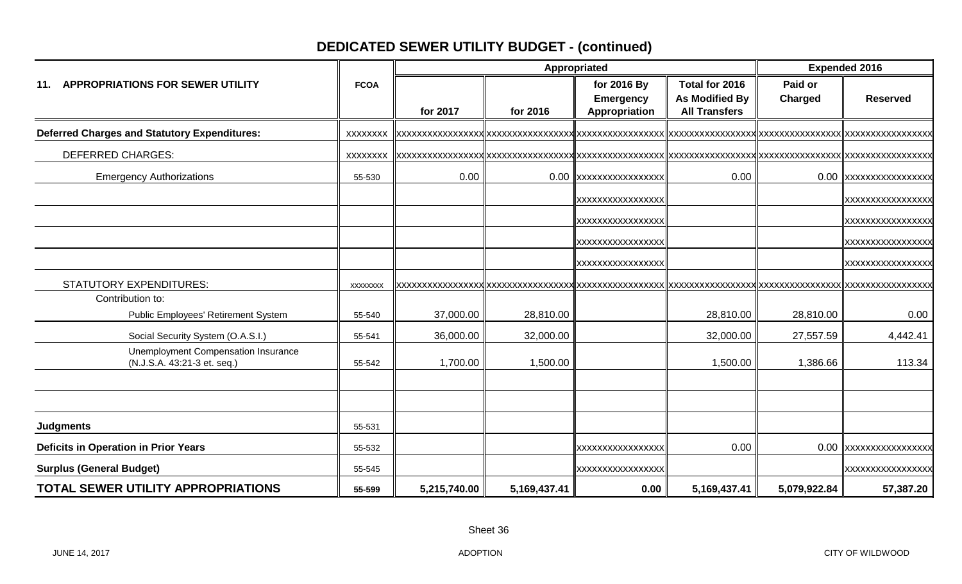# **DEDICATED SEWER UTILITY BUDGET - (continued)**

|                                                                    | Appropriated    |              |              |                                                  | <b>Expended 2016</b>                                            |                           |                       |
|--------------------------------------------------------------------|-----------------|--------------|--------------|--------------------------------------------------|-----------------------------------------------------------------|---------------------------|-----------------------|
| 11. APPROPRIATIONS FOR SEWER UTILITY                               | <b>FCOA</b>     | for 2017     | for 2016     | for 2016 By<br><b>Emergency</b><br>Appropriation | Total for 2016<br><b>As Modified By</b><br><b>All Transfers</b> | Paid or<br><b>Charged</b> | <b>Reserved</b>       |
| <b>Deferred Charges and Statutory Expenditures:</b>                | <b>XXXXXXXX</b> |              |              |                                                  |                                                                 |                           |                       |
| <b>DEFERRED CHARGES:</b>                                           | <b>XXXXXXXX</b> |              |              |                                                  |                                                                 |                           |                       |
| <b>Emergency Authorizations</b>                                    | 55-530          | 0.00         |              | 0.00 xxxxxxxxxxxxxxxx                            | 0.00                                                            |                           | 0.00 xxxxxxxxxxxxxxx  |
|                                                                    |                 |              |              | XXXXXXXXXXXXXXXX                                 |                                                                 |                           | XXXXXXXXXXXXXXXX      |
|                                                                    |                 |              |              | XXXXXXXXXXXXXXXX                                 |                                                                 |                           | XXXXXXXXXXXXXXXX      |
|                                                                    |                 |              |              | XXXXXXXXXXXXXXXXX                                |                                                                 |                           | xxxxxxxxxxxxxxxxx     |
|                                                                    |                 |              |              | XXXXXXXXXXXXXXXXX                                |                                                                 |                           | XXXXXXXXXXXXXXXX      |
| <b>STATUTORY EXPENDITURES:</b>                                     | <b>XXXXXXXX</b> |              |              |                                                  |                                                                 |                           |                       |
| Contribution to:<br>Public Employees' Retirement System            | 55-540          | 37,000.00    | 28,810.00    |                                                  | 28,810.00                                                       | 28,810.00                 | 0.00                  |
| Social Security System (O.A.S.I.)                                  | 55-541          | 36,000.00    | 32,000.00    |                                                  | 32,000.00                                                       | 27,557.59                 | 4,442.41              |
| Unemployment Compensation Insurance<br>(N.J.S.A. 43:21-3 et. seq.) | 55-542          | 1,700.00     | 1,500.00     |                                                  | 1,500.00                                                        | 1,386.66                  | 113.34                |
|                                                                    |                 |              |              |                                                  |                                                                 |                           |                       |
| <b>Judgments</b>                                                   | 55-531          |              |              |                                                  |                                                                 |                           |                       |
| <b>Deficits in Operation in Prior Years</b>                        | 55-532          |              |              | <b>XXXXXXXXXXXXXXXXXX</b>                        | 0.00                                                            |                           | 0.00 xxxxxxxxxxxxxxxx |
| <b>Surplus (General Budget)</b>                                    | 55-545          |              |              | XXXXXXXXXXXXXXXXX                                |                                                                 |                           | XXXXXXXXXXXXXXXX      |
| <b>TOTAL SEWER UTILITY APPROPRIATIONS</b>                          | 55-599          | 5,215,740.00 | 5,169,437.41 | 0.00                                             | 5,169,437.41                                                    | 5,079,922.84              | 57,387.20             |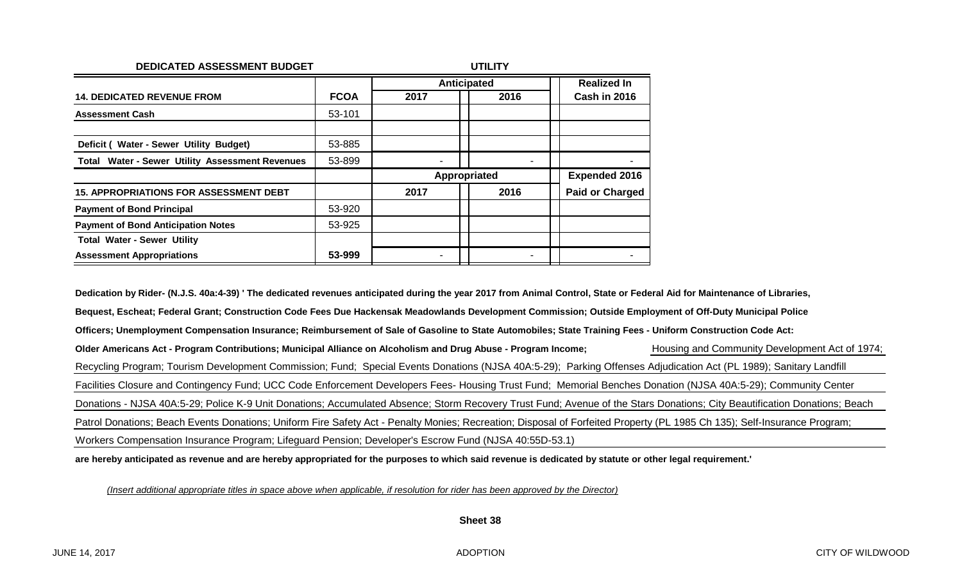| DEDICATED ASSESSMENT BUDGET                     | <b>UTILITY</b> |              |      |                        |  |
|-------------------------------------------------|----------------|--------------|------|------------------------|--|
|                                                 |                | Anticipated  |      | <b>Realized In</b>     |  |
| <b>14. DEDICATED REVENUE FROM</b>               | <b>FCOA</b>    | 2017         | 2016 | Cash in 2016           |  |
| <b>Assessment Cash</b>                          | 53-101         |              |      |                        |  |
|                                                 |                |              |      |                        |  |
| Deficit (Water - Sewer Utility Budget)          | 53-885         |              |      |                        |  |
| Total Water - Sewer Utility Assessment Revenues | 53-899         |              |      |                        |  |
|                                                 |                | Appropriated |      | <b>Expended 2016</b>   |  |
| <b>15. APPROPRIATIONS FOR ASSESSMENT DEBT</b>   |                | 2017         | 2016 | <b>Paid or Charged</b> |  |
| <b>Payment of Bond Principal</b>                | 53-920         |              |      |                        |  |
| <b>Payment of Bond Anticipation Notes</b>       | 53-925         |              |      |                        |  |
| <b>Total Water - Sewer Utility</b>              |                |              |      |                        |  |
| <b>Assessment Appropriations</b>                | 53-999         |              |      |                        |  |

**Dedication by Rider- (N.J.S. 40a:4-39) ' The dedicated revenues anticipated during the year 2017 from Animal Control, State or Federal Aid for Maintenance of Libraries, Bequest, Escheat; Federal Grant; Construction Code Fees Due Hackensak Meadowlands Development Commission; Outside Employment of Off-Duty Municipal Police Officers; Unemployment Compensation Insurance; Reimbursement of Sale of Gasoline to State Automobiles; State Training Fees - Uniform Construction Code Act:** Older Americans Act - Program Contributions; Municipal Alliance on Alcoholism and Drug Abuse - Program Income;<br>
Older Americans Act - Program Contributions; Municipal Alliance on Alcoholism and Drug Abuse - Program Income; Recycling Program; Tourism Development Commission; Fund; Special Events Donations (NJSA 40A:5-29); Parking Offenses Adjudication Act (PL 1989); Sanitary Landfill Facilities Closure and Contingency Fund; UCC Code Enforcement Developers Fees- Housing Trust Fund; Memorial Benches Donation (NJSA 40A:5-29); Community Center Donations - NJSA 40A:5-29; Police K-9 Unit Donations; Accumulated Absence; Storm Recovery Trust Fund; Avenue of the Stars Donations; City Beautification Donations; Beach Patrol Donations; Beach Events Donations; Uniform Fire Safety Act - Penalty Monies; Recreation; Disposal of Forfeited Property (PL 1985 Ch 135); Self-Insurance Program; Workers Compensation Insurance Program; Lifeguard Pension; Developer's Escrow Fund (NJSA 40:55D-53.1)

**are hereby anticipated as revenue and are hereby appropriated for the purposes to which said revenue is dedicated by statute or other legal requirement.'**

*(Insert additional appropriate titles in space above when applicable, if resolution for rider has been approved by the Director)*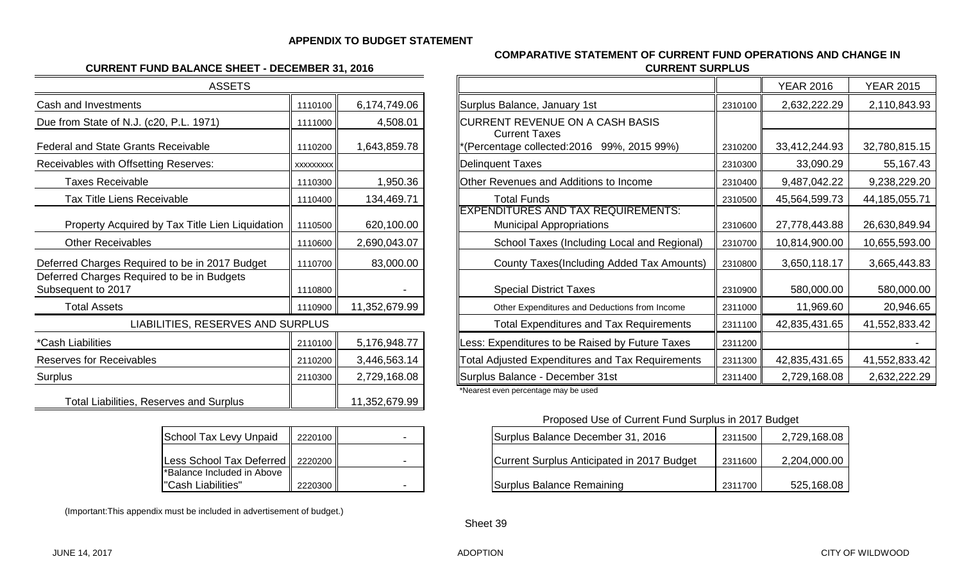#### **APPENDIX TO BUDGET STATEMENT**

#### **CURRENT FUND BALANCE SHEET - DECEMBER 31, 2016**

| <b>ASSETS</b>                                                    |                  |               |                                                                           |
|------------------------------------------------------------------|------------------|---------------|---------------------------------------------------------------------------|
| Cash and Investments                                             | 1110100          | 6,174,749.06  | Surplus Balance, January 1st                                              |
| Due from State of N.J. (c20, P.L. 1971)                          | 1111000          | 4,508.01      | <b>CURRENT REVENUE ON A CASH BASIS</b><br><b>Current Taxes</b>            |
| <b>Federal and State Grants Receivable</b>                       | 1110200          | 1,643,859.78  | *(Percentage collected:2016 99%, 2015 9                                   |
| Receivables with Offsetting Reserves:                            | <b>XXXXXXXXX</b> |               | <b>Delinquent Taxes</b>                                                   |
| <b>Taxes Receivable</b>                                          | 1110300          | 1,950.36      | <b>Other Revenues and Additions to Income</b>                             |
| <b>Tax Title Liens Receivable</b>                                | 1110400          | 134,469.71    | <b>Total Funds</b>                                                        |
| Property Acquired by Tax Title Lien Liquidation                  | 1110500          | 620,100.00    | <b>EXPENDITURES AND TAX REQUIREMEI</b><br><b>Municipal Appropriations</b> |
| <b>Other Receivables</b>                                         | 1110600          | 2,690,043.07  | School Taxes (Including Local and                                         |
| Deferred Charges Required to be in 2017 Budget                   | 1110700          | 83,000.00     | <b>County Taxes (Including Added Tax</b>                                  |
| Deferred Charges Required to be in Budgets<br>Subsequent to 2017 | 1110800          |               | <b>Special District Taxes</b>                                             |
| <b>Total Assets</b>                                              | 1110900          | 11,352,679.99 | Other Expenditures and Deductions from I                                  |
| LIABILITIES, RESERVES AND SURPLUS                                |                  |               | <b>Total Expenditures and Tax Require</b>                                 |
| *Cash Liabilities                                                | 2110100          | 5,176,948.77  | Less: Expenditures to be Raised by Future                                 |
| <b>Reserves for Receivables</b>                                  | 2110200          | 3,446,563.14  | Total Adjusted Expenditures and Tax Requ                                  |
| Surplus                                                          | 2110300          | 2,729,168.08  | Surplus Balance - December 31st                                           |
| <b>Total Liabilities, Reserves and Surplus</b>                   |                  | 11,352,679.99 | *Nearest even percentage may be used                                      |

| <b>School Tax Levy Unpaid</b>          | 2220100 |  |
|----------------------------------------|---------|--|
| Less School Tax Deferred   2220200     |         |  |
| <sup>*</sup> Balance Included in Above |         |  |
| l"Cash Liabilities"                    | 2220300 |  |

(Important:This appendix must be included in advertisement of budget.)

#### **COMPARATIVE STATEMENT OF CURRENT FUND OPERATIONS AND CHANGE IN CURRENT SURPLUS**

| <b>ASSETS</b>                                                    |          |               |                                                                              |         | <b>YEAR 2016</b> | <b>YEAR 2015</b> |
|------------------------------------------------------------------|----------|---------------|------------------------------------------------------------------------------|---------|------------------|------------------|
| Cash and Investments                                             | 1110100  | 6,174,749.06  | Surplus Balance, January 1st                                                 | 2310100 | 2,632,222.29     | 2,110,843.93     |
| Due from State of N.J. (c20, P.L. 1971)                          | 1111000  | 4,508.01      | CURRENT REVENUE ON A CASH BASIS                                              |         |                  |                  |
| <b>Federal and State Grants Receivable</b>                       | 1110200  | 1,643,859.78  | <b>Current Taxes</b><br>*(Percentage collected: 2016 99%, 2015 99%)          | 2310200 | 33,412,244.93    | 32,780,815.15    |
| Receivables with Offsetting Reserves:                            | XXXXXXXX |               | Delinquent Taxes                                                             | 2310300 | 33,090.29        | 55,167.43        |
| <b>Taxes Receivable</b>                                          | 1110300  | 1,950.36      | Other Revenues and Additions to Income                                       | 2310400 | 9,487,042.22     | 9,238,229.20     |
| <b>Tax Title Liens Receivable</b>                                | 1110400  | 134,469.71    | <b>Total Funds</b>                                                           | 2310500 | 45,564,599.73    | 44, 185, 055. 71 |
| Property Acquired by Tax Title Lien Liquidation                  | 1110500  | 620,100.00    | <b>EXPENDITURES AND TAX REQUIREMENTS:</b><br><b>Municipal Appropriations</b> | 2310600 | 27,778,443.88    | 26,630,849.94    |
| <b>Other Receivables</b>                                         | 1110600  | 2,690,043.07  | School Taxes (Including Local and Regional)                                  | 2310700 | 10,814,900.00    | 10,655,593.00    |
| Deferred Charges Required to be in 2017 Budget                   | 1110700  | 83,000.00     | County Taxes(Including Added Tax Amounts)                                    | 2310800 | 3,650,118.17     | 3,665,443.83     |
| Deferred Charges Required to be in Budgets<br>Subsequent to 2017 | 1110800  |               | <b>Special District Taxes</b>                                                | 2310900 | 580,000.00       | 580,000.00       |
| <b>Total Assets</b>                                              | 1110900  | 11,352,679.99 | Other Expenditures and Deductions from Income                                | 2311000 | 11,969.60        | 20,946.65        |
| LIABILITIES, RESERVES AND SURPLUS                                |          |               | <b>Total Expenditures and Tax Requirements</b>                               | 2311100 | 42,835,431.65    | 41,552,833.42    |
| *Cash Liabilities                                                | 2110100  | 5,176,948.77  | Less: Expenditures to be Raised by Future Taxes                              | 2311200 |                  |                  |
| <b>Reserves for Receivables</b>                                  | 2110200  | 3,446,563.14  | Total Adjusted Expenditures and Tax Requirements                             | 2311300 | 42,835,431.65    | 41,552,833.42    |
| Surplus                                                          | 2110300  | 2,729,168.08  | Surplus Balance - December 31st                                              | 2311400 | 2,729,168.08     | 2,632,222.29     |
|                                                                  |          |               |                                                                              |         |                  |                  |

Proposed Use of Current Fund Surplus in 2017 Budget

| School Tax Levy Unpaid                           | 2220100   | Surplus Balance December 31, 2016<br>2311500          | 2,729,168.08 |
|--------------------------------------------------|-----------|-------------------------------------------------------|--------------|
| Less School Tax Deferred   2220200               |           | Current Surplus Anticipated in 2017 Budget<br>2311600 | 2,204,000.00 |
| *Balance Included in Above<br>"Cash Liabilities" | 2220300 ∥ | Surplus Balance Remaining<br>2311700                  | 525,168.08   |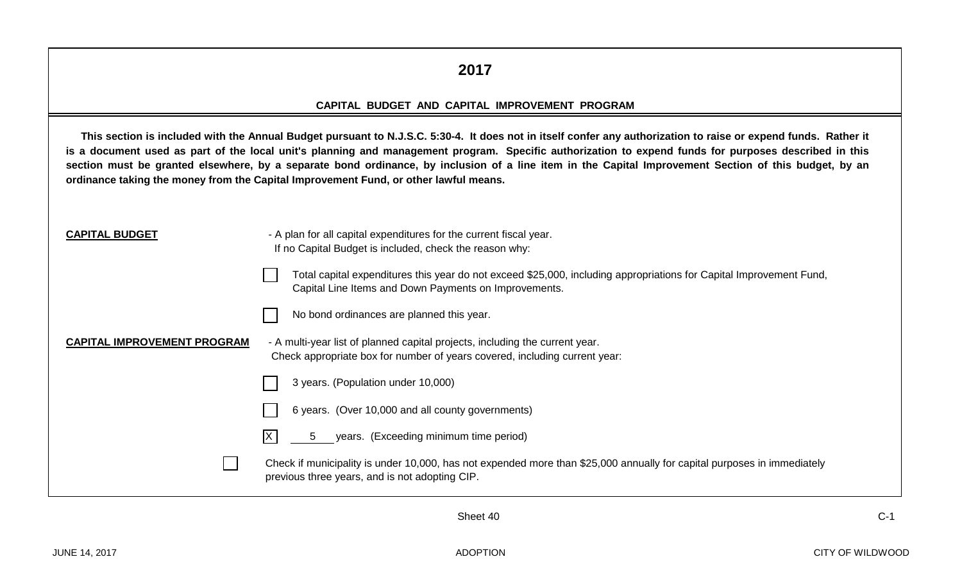#### **2017**

#### **CAPITAL BUDGET AND CAPITAL IMPROVEMENT PROGRAM**

This section is included with the Annual Budget pursuant to N.J.S.C. 5:30-4. It does not in itself confer any authorization to raise or expend funds. Rather it **is a document used as part of the local unit's planning and management program. Specific authorization to expend funds for purposes described in this section must be granted elsewhere, by a separate bond ordinance, by inclusion of a line item in the Capital Improvement Section of this budget, by an ordinance taking the money from the Capital Improvement Fund, or other lawful means.**

- **CAPITAL BUDGET** A plan for all capital expenditures for the current fiscal year. If no Capital Budget is included, check the reason why:
	- Total capital expenditures this year do not exceed \$25,000, including appropriations for Capital Improvement Fund, Capital Line Items and Down Payments on Improvements.



No bond ordinances are planned this year.

**CAPITAL IMPROVEMENT PROGRAM** - A multi-year list of planned capital projects, including the current year. Check appropriate box for number of years covered, including current year:

| 3 years. (Population under 10,000) |  |
|------------------------------------|--|
|                                    |  |

- 6 years. (Over 10,000 and all county governments)
	- 5 years. (Exceeding minimum time period)

Check if municipality is under 10,000, has not expended more than \$25,000 annually for capital purposes in immediately previous three years, and is not adopting CIP.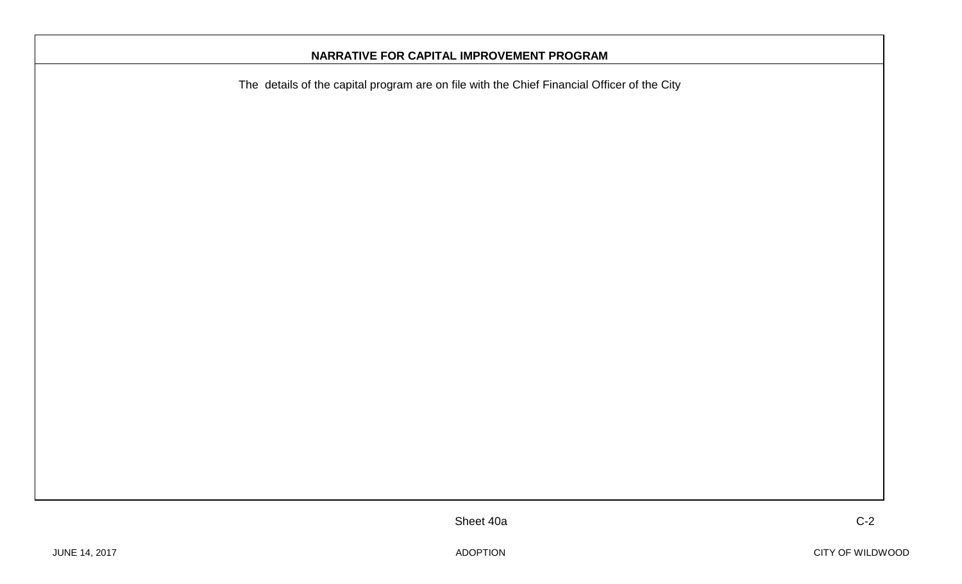#### **NARRATIVE FOR CAPITAL IMPROVEMENT PROGRAM**

The details of the capital program are on file with the Chief Financial Officer of the City

Sheet 40a C-2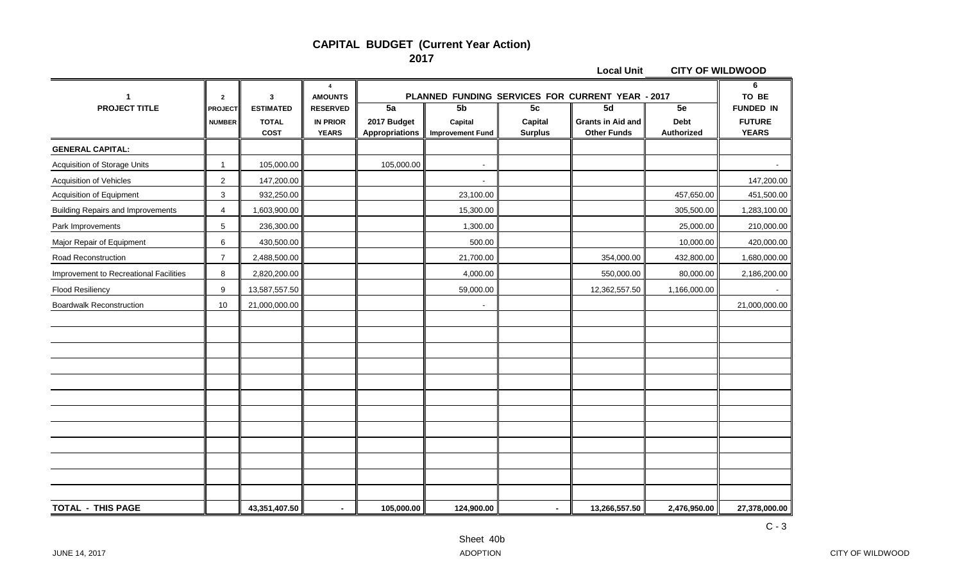#### **CAPITAL BUDGET (Current Year Action) 2017**

|                                          |                                 |                                                 |                                                    |                                            |                                          |                                 | <b>Local Unit</b>                                    | <b>CITY OF WILDWOOD</b>         |                                                   |
|------------------------------------------|---------------------------------|-------------------------------------------------|----------------------------------------------------|--------------------------------------------|------------------------------------------|---------------------------------|------------------------------------------------------|---------------------------------|---------------------------------------------------|
|                                          | $\mathbf{2}$                    | 3                                               | 4<br><b>AMOUNTS</b>                                |                                            |                                          |                                 | PLANNED FUNDING SERVICES FOR CURRENT YEAR - 2017     |                                 | TO BE                                             |
| <b>PROJECT TITLE</b>                     | <b>PROJECT</b><br><b>NUMBER</b> | <b>ESTIMATED</b><br><b>TOTAL</b><br><b>COST</b> | <b>RESERVED</b><br><b>IN PRIOR</b><br><b>YEARS</b> | 5a<br>2017 Budget<br><b>Appropriations</b> | 5b<br>Capital<br><b>Improvement Fund</b> | 5c<br>Capital<br><b>Surplus</b> | 5d<br><b>Grants in Aid and</b><br><b>Other Funds</b> | 5e<br><b>Debt</b><br>Authorized | <b>FUNDED IN</b><br><b>FUTURE</b><br><b>YEARS</b> |
| <b>GENERAL CAPITAL:</b>                  |                                 |                                                 |                                                    |                                            |                                          |                                 |                                                      |                                 |                                                   |
| Acquisition of Storage Units             | 1                               | 105,000.00                                      |                                                    | 105,000.00                                 |                                          |                                 |                                                      |                                 |                                                   |
| <b>Acquisition of Vehicles</b>           | $\overline{2}$                  | 147,200.00                                      |                                                    |                                            |                                          |                                 |                                                      |                                 | 147,200.00                                        |
| Acquisition of Equipment                 | $\sqrt{3}$                      | 932,250.00                                      |                                                    |                                            | 23,100.00                                |                                 |                                                      | 457,650.00                      | 451,500.00                                        |
| <b>Building Repairs and Improvements</b> | $\overline{4}$                  | 1,603,900.00                                    |                                                    |                                            | 15,300.00                                |                                 |                                                      | 305,500.00                      | 1,283,100.00                                      |
| Park Improvements                        | 5                               | 236,300.00                                      |                                                    |                                            | 1,300.00                                 |                                 |                                                      | 25,000.00                       | 210,000.00                                        |
| Major Repair of Equipment                | 6                               | 430,500.00                                      |                                                    |                                            | 500.00                                   |                                 |                                                      | 10,000.00                       | 420,000.00                                        |
| Road Reconstruction                      | $\overline{7}$                  | 2,488,500.00                                    |                                                    |                                            | 21,700.00                                |                                 | 354,000.00                                           | 432,800.00                      | 1,680,000.00                                      |
| Improvement to Recreational Facilities   | 8                               | 2,820,200.00                                    |                                                    |                                            | 4,000.00                                 |                                 | 550,000.00                                           | 80,000.00                       | 2,186,200.00                                      |
| <b>Flood Resiliency</b>                  | 9                               | 13,587,557.50                                   |                                                    |                                            | 59,000.00                                |                                 | 12,362,557.50                                        | 1,166,000.00                    | $\sim$                                            |
| <b>Boardwalk Reconstruction</b>          | 10                              | 21,000,000.00                                   |                                                    |                                            |                                          |                                 |                                                      |                                 | 21,000,000.00                                     |
|                                          |                                 |                                                 |                                                    |                                            |                                          |                                 |                                                      |                                 |                                                   |
|                                          |                                 |                                                 |                                                    |                                            |                                          |                                 |                                                      |                                 |                                                   |
|                                          |                                 |                                                 |                                                    |                                            |                                          |                                 |                                                      |                                 |                                                   |
|                                          |                                 |                                                 |                                                    |                                            |                                          |                                 |                                                      |                                 |                                                   |
|                                          |                                 |                                                 |                                                    |                                            |                                          |                                 |                                                      |                                 |                                                   |
|                                          |                                 |                                                 |                                                    |                                            |                                          |                                 |                                                      |                                 |                                                   |
|                                          |                                 |                                                 |                                                    |                                            |                                          |                                 |                                                      |                                 |                                                   |
|                                          |                                 |                                                 |                                                    |                                            |                                          |                                 |                                                      |                                 |                                                   |
|                                          |                                 |                                                 |                                                    |                                            |                                          |                                 |                                                      |                                 |                                                   |
|                                          |                                 |                                                 |                                                    |                                            |                                          |                                 |                                                      |                                 |                                                   |
|                                          |                                 |                                                 |                                                    |                                            |                                          |                                 |                                                      |                                 |                                                   |
|                                          |                                 |                                                 |                                                    |                                            |                                          |                                 |                                                      |                                 |                                                   |
| <b>TOTAL - THIS PAGE</b>                 |                                 | 43,351,407.50                                   | $\blacksquare$                                     | 105,000.00                                 | 124,900.00                               | $\sim$                          | 13,266,557.50                                        | 2,476,950.00                    | 27,378,000.00                                     |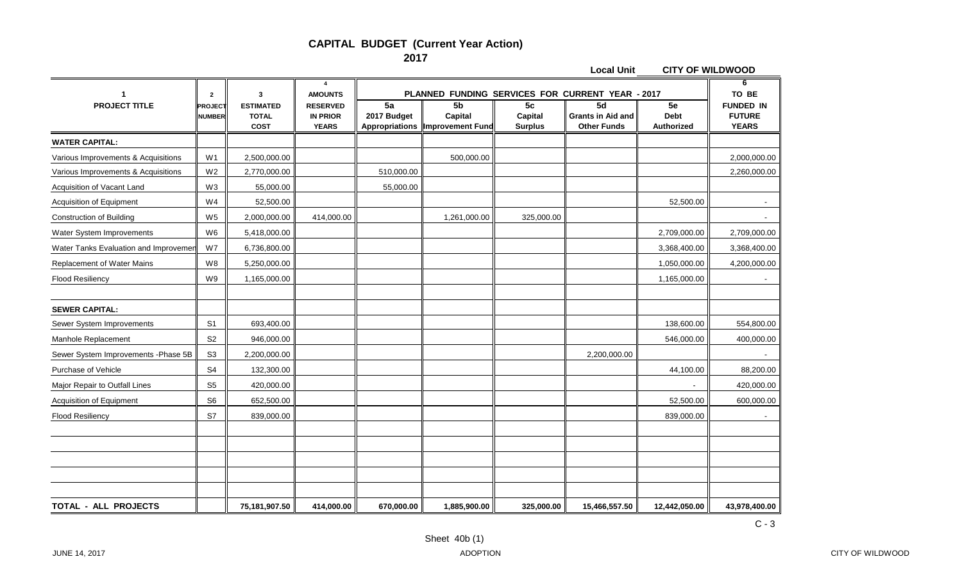#### **CAPITAL BUDGET (Current Year Action) 2017**

**Local Unit CITY OF WILDWOOD**

|                                       | $\overline{2}$                  | 3                                               | $\overline{a}$<br><b>AMOUNTS</b>                   |                                            |                                                      |                                             | PLANNED FUNDING SERVICES FOR CURRENT YEAR - 2017     |                                 | 6<br>TO BE                                        |
|---------------------------------------|---------------------------------|-------------------------------------------------|----------------------------------------------------|--------------------------------------------|------------------------------------------------------|---------------------------------------------|------------------------------------------------------|---------------------------------|---------------------------------------------------|
| <b>PROJECT TITLE</b>                  | <b>PROJECT</b><br><b>NUMBER</b> | <b>ESTIMATED</b><br><b>TOTAL</b><br><b>COST</b> | <b>RESERVED</b><br><b>IN PRIOR</b><br><b>YEARS</b> | 5a<br>2017 Budget<br><b>Appropriations</b> | 5 <sub>b</sub><br>Capital<br><b>Improvement Fund</b> | 5 <sub>c</sub><br>Capital<br><b>Surplus</b> | 5d<br><b>Grants in Aid and</b><br><b>Other Funds</b> | 5e<br><b>Debt</b><br>Authorized | <b>FUNDED IN</b><br><b>FUTURE</b><br><b>YEARS</b> |
| <b>WATER CAPITAL:</b>                 |                                 |                                                 |                                                    |                                            |                                                      |                                             |                                                      |                                 |                                                   |
| Various Improvements & Acquisitions   | W <sub>1</sub>                  | 2,500,000.00                                    |                                                    |                                            | 500,000.00                                           |                                             |                                                      |                                 | 2,000,000.00                                      |
| Various Improvements & Acquisitions   | W <sub>2</sub>                  | 2,770,000.00                                    |                                                    | 510,000.00                                 |                                                      |                                             |                                                      |                                 | 2,260,000.00                                      |
| Acquisition of Vacant Land            | W <sub>3</sub>                  | 55,000.00                                       |                                                    | 55,000.00                                  |                                                      |                                             |                                                      |                                 |                                                   |
| <b>Acquisition of Equipment</b>       | W <sub>4</sub>                  | 52,500.00                                       |                                                    |                                            |                                                      |                                             |                                                      | 52,500.00                       | $\sim$                                            |
| <b>Construction of Building</b>       | W <sub>5</sub>                  | 2,000,000.00                                    | 414,000.00                                         |                                            | 1,261,000.00                                         | 325,000.00                                  |                                                      |                                 |                                                   |
| Water System Improvements             | W <sub>6</sub>                  | 5,418,000.00                                    |                                                    |                                            |                                                      |                                             |                                                      | 2,709,000.00                    | 2,709,000.00                                      |
| Water Tanks Evaluation and Improvemen | W7                              | 6,736,800.00                                    |                                                    |                                            |                                                      |                                             |                                                      | 3,368,400.00                    | 3,368,400.00                                      |
| Replacement of Water Mains            | W <sub>8</sub>                  | 5,250,000.00                                    |                                                    |                                            |                                                      |                                             |                                                      | 1,050,000.00                    | 4,200,000.00                                      |
| <b>Flood Resiliency</b>               | W9                              | 1,165,000.00                                    |                                                    |                                            |                                                      |                                             |                                                      | 1,165,000.00                    |                                                   |
|                                       |                                 |                                                 |                                                    |                                            |                                                      |                                             |                                                      |                                 |                                                   |
| <b>SEWER CAPITAL:</b>                 |                                 |                                                 |                                                    |                                            |                                                      |                                             |                                                      |                                 |                                                   |
| Sewer System Improvements             | S <sub>1</sub>                  | 693,400.00                                      |                                                    |                                            |                                                      |                                             |                                                      | 138,600.00                      | 554,800.00                                        |
| Manhole Replacement                   | S <sub>2</sub>                  | 946,000.00                                      |                                                    |                                            |                                                      |                                             |                                                      | 546,000.00                      | 400,000.00                                        |
| Sewer System Improvements - Phase 5B  | S <sub>3</sub>                  | 2,200,000.00                                    |                                                    |                                            |                                                      |                                             | 2,200,000.00                                         |                                 |                                                   |
| Purchase of Vehicle                   | S <sub>4</sub>                  | 132,300.00                                      |                                                    |                                            |                                                      |                                             |                                                      | 44,100.00                       | 88,200.00                                         |
| Major Repair to Outfall Lines         | S <sub>5</sub>                  | 420,000.00                                      |                                                    |                                            |                                                      |                                             |                                                      |                                 | 420,000.00                                        |
| Acquisition of Equipment              | S <sub>6</sub>                  | 652,500.00                                      |                                                    |                                            |                                                      |                                             |                                                      | 52,500.00                       | 600,000.00                                        |
| <b>Flood Resiliency</b>               | S7                              | 839,000.00                                      |                                                    |                                            |                                                      |                                             |                                                      | 839,000.00                      |                                                   |
|                                       |                                 |                                                 |                                                    |                                            |                                                      |                                             |                                                      |                                 |                                                   |
|                                       |                                 |                                                 |                                                    |                                            |                                                      |                                             |                                                      |                                 |                                                   |
|                                       |                                 |                                                 |                                                    |                                            |                                                      |                                             |                                                      |                                 |                                                   |
|                                       |                                 |                                                 |                                                    |                                            |                                                      |                                             |                                                      |                                 |                                                   |
|                                       |                                 |                                                 |                                                    |                                            |                                                      |                                             |                                                      |                                 |                                                   |
| <b>TOTAL - ALL PROJECTS</b>           |                                 | 75,181,907.50                                   | 414,000.00                                         | 670,000.00                                 | 1,885,900.00                                         | 325,000.00                                  | 15,466,557.50                                        | 12,442,050.00                   | 43,978,400.00                                     |

C - 3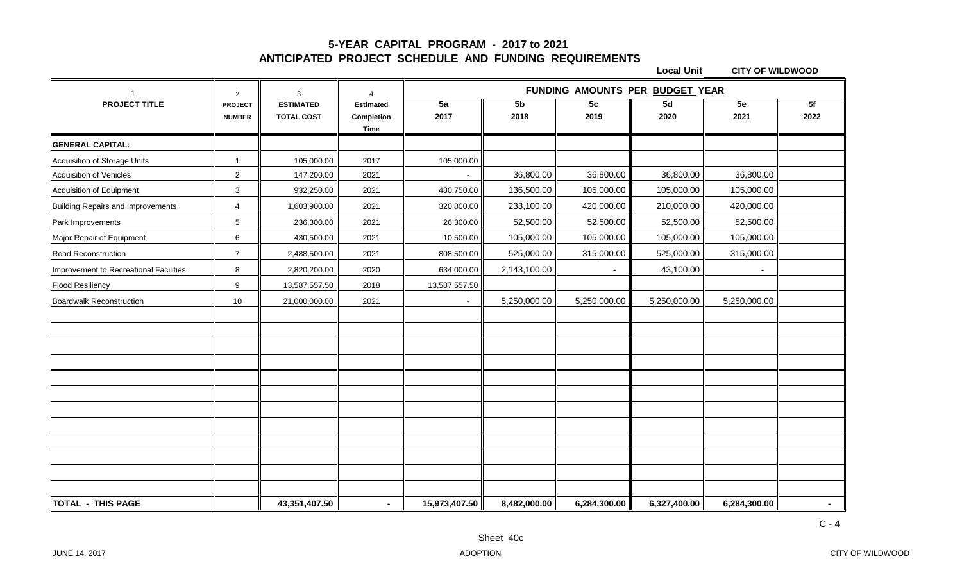#### **5-YEAR CAPITAL PROGRAM - 2017 to 2021 ANTICIPATED PROJECT SCHEDULE AND FUNDING REQUIREMENTS**

|                                          | 2              | 3                 | $\overline{4}$            | FUNDING AMOUNTS PER BUDGET YEAR |                |              |              |              |        |
|------------------------------------------|----------------|-------------------|---------------------------|---------------------------------|----------------|--------------|--------------|--------------|--------|
| <b>PROJECT TITLE</b>                     | <b>PROJECT</b> | <b>ESTIMATED</b>  | <b>Estimated</b>          | $\overline{5a}$                 | 5 <sub>b</sub> | 5c           | 5d           | 5e           | 5f     |
|                                          | <b>NUMBER</b>  | <b>TOTAL COST</b> | Completion<br><b>Time</b> | 2017                            | 2018           | 2019         | 2020         | 2021         | 2022   |
| <b>GENERAL CAPITAL:</b>                  |                |                   |                           |                                 |                |              |              |              |        |
| Acquisition of Storage Units             | -1             | 105,000.00        | 2017                      | 105,000.00                      |                |              |              |              |        |
| Acquisition of Vehicles                  | 2              | 147,200.00        | 2021                      |                                 | 36,800.00      | 36,800.00    | 36,800.00    | 36,800.00    |        |
| Acquisition of Equipment                 | 3              | 932,250.00        | 2021                      | 480,750.00                      | 136,500.00     | 105,000.00   | 105,000.00   | 105,000.00   |        |
| <b>Building Repairs and Improvements</b> | $\overline{4}$ | 1,603,900.00      | 2021                      | 320,800.00                      | 233,100.00     | 420,000.00   | 210,000.00   | 420,000.00   |        |
| Park Improvements                        | 5              | 236,300.00        | 2021                      | 26,300.00                       | 52,500.00      | 52,500.00    | 52,500.00    | 52,500.00    |        |
| Major Repair of Equipment                | 6              | 430,500.00        | 2021                      | 10,500.00                       | 105,000.00     | 105,000.00   | 105,000.00   | 105,000.00   |        |
| Road Reconstruction                      | $\overline{7}$ | 2,488,500.00      | 2021                      | 808,500.00                      | 525,000.00     | 315,000.00   | 525,000.00   | 315,000.00   |        |
| Improvement to Recreational Facilities   | 8              | 2,820,200.00      | 2020                      | 634,000.00                      | 2,143,100.00   |              | 43,100.00    |              |        |
| <b>Flood Resiliency</b>                  | 9              | 13,587,557.50     | 2018                      | 13,587,557.50                   |                |              |              |              |        |
| <b>Boardwalk Reconstruction</b>          | 10             | 21,000,000.00     | 2021                      |                                 | 5,250,000.00   | 5,250,000.00 | 5,250,000.00 | 5,250,000.00 |        |
|                                          |                |                   |                           |                                 |                |              |              |              |        |
|                                          |                |                   |                           |                                 |                |              |              |              |        |
|                                          |                |                   |                           |                                 |                |              |              |              |        |
|                                          |                |                   |                           |                                 |                |              |              |              |        |
|                                          |                |                   |                           |                                 |                |              |              |              |        |
|                                          |                |                   |                           |                                 |                |              |              |              |        |
|                                          |                |                   |                           |                                 |                |              |              |              |        |
|                                          |                |                   |                           |                                 |                |              |              |              |        |
|                                          |                |                   |                           |                                 |                |              |              |              |        |
|                                          |                |                   |                           |                                 |                |              |              |              |        |
|                                          |                |                   |                           |                                 |                |              |              |              |        |
|                                          |                |                   |                           |                                 |                |              |              |              |        |
| <b>TOTAL - THIS PAGE</b>                 |                | 43,351,407.50     | $\sim$                    | 15,973,407.50                   | 8,482,000.00   | 6,284,300.00 | 6,327,400.00 | 6,284,300.00 | $\sim$ |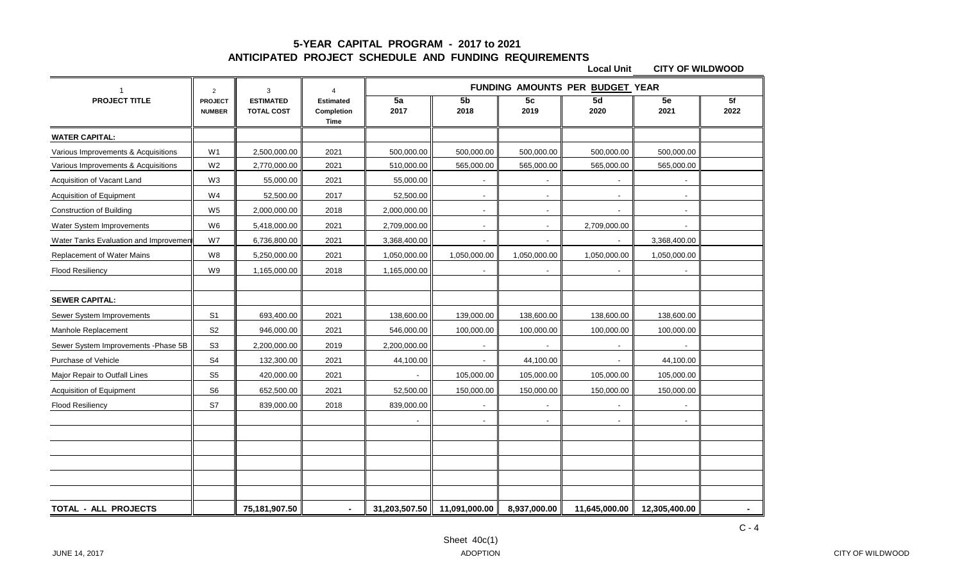#### **5-YEAR CAPITAL PROGRAM - 2017 to 2021 ANTICIPATED PROJECT SCHEDULE AND FUNDING REQUIREMENTS**

|                                       | $\overline{2}$                  | 3                                     | $\overline{4}$                         | FUNDING AMOUNTS PER BUDGET YEAR |                        |                        |                |               |            |  |
|---------------------------------------|---------------------------------|---------------------------------------|----------------------------------------|---------------------------------|------------------------|------------------------|----------------|---------------|------------|--|
| <b>PROJECT TITLE</b>                  | <b>PROJECT</b><br><b>NUMBER</b> | <b>ESTIMATED</b><br><b>TOTAL COST</b> | <b>Estimated</b><br>Completion<br>Time | 5a<br>2017                      | 5 <sub>b</sub><br>2018 | 5 <sub>c</sub><br>2019 | 5d<br>2020     | 5e<br>2021    | 5f<br>2022 |  |
| <b>WATER CAPITAL:</b>                 |                                 |                                       |                                        |                                 |                        |                        |                |               |            |  |
| Various Improvements & Acquisitions   | W1                              | 2,500,000.00                          | 2021                                   | 500,000.00                      | 500,000.00             | 500,000.00             | 500,000.00     | 500,000.00    |            |  |
| Various Improvements & Acquisitions   | W <sub>2</sub>                  | 2,770,000.00                          | 2021                                   | 510,000.00                      | 565,000.00             | 565,000.00             | 565,000.00     | 565,000.00    |            |  |
| Acquisition of Vacant Land            | W <sub>3</sub>                  | 55,000.00                             | 2021                                   | 55,000.00                       | $\sim$                 | $\blacksquare$         | $\sim$         | $\sim$        |            |  |
| Acquisition of Equipment              | W4                              | 52,500.00                             | 2017                                   | 52,500.00                       |                        | $\blacksquare$         |                |               |            |  |
| <b>Construction of Building</b>       | W <sub>5</sub>                  | 2,000,000.00                          | 2018                                   | 2,000,000.00                    | $\blacksquare$         | $\blacksquare$         |                |               |            |  |
| Water System Improvements             | W <sub>6</sub>                  | 5,418,000.00                          | 2021                                   | 2,709,000.00                    | $\blacksquare$         | $\blacksquare$         | 2,709,000.00   |               |            |  |
| Water Tanks Evaluation and Improvemer | W7                              | 6,736,800.00                          | 2021                                   | 3,368,400.00                    |                        | $\blacksquare$         |                | 3,368,400.00  |            |  |
| Replacement of Water Mains            | W8                              | 5,250,000.00                          | 2021                                   | 1,050,000.00                    | 1,050,000.00           | 1,050,000.00           | 1,050,000.00   | 1,050,000.00  |            |  |
| <b>Flood Resiliency</b>               | W9                              | 1,165,000.00                          | 2018                                   | 1,165,000.00                    |                        | $\blacksquare$         |                |               |            |  |
|                                       |                                 |                                       |                                        |                                 |                        |                        |                |               |            |  |
| <b>SEWER CAPITAL:</b>                 |                                 |                                       |                                        |                                 |                        |                        |                |               |            |  |
| Sewer System Improvements             | S <sub>1</sub>                  | 693,400.00                            | 2021                                   | 138,600.00                      | 139,000.00             | 138,600.00             | 138,600.00     | 138,600.00    |            |  |
| Manhole Replacement                   | S <sub>2</sub>                  | 946,000.00                            | 2021                                   | 546,000.00                      | 100,000.00             | 100,000.00             | 100,000.00     | 100,000.00    |            |  |
| Sewer System Improvements - Phase 5B  | S <sub>3</sub>                  | 2,200,000.00                          | 2019                                   | 2,200,000.00                    |                        |                        |                |               |            |  |
| Purchase of Vehicle                   | ${\sf S4}$                      | 132,300.00                            | 2021                                   | 44,100.00                       | $\blacksquare$         | 44,100.00              | $\blacksquare$ | 44,100.00     |            |  |
| Major Repair to Outfall Lines         | S <sub>5</sub>                  | 420,000.00                            | 2021                                   |                                 | 105,000.00             | 105,000.00             | 105,000.00     | 105,000.00    |            |  |
| Acquisition of Equipment              | S <sub>6</sub>                  | 652,500.00                            | 2021                                   | 52,500.00                       | 150,000.00             | 150,000.00             | 150,000.00     | 150,000.00    |            |  |
| <b>Flood Resiliency</b>               | S7                              | 839,000.00                            | 2018                                   | 839,000.00                      |                        |                        |                |               |            |  |
|                                       |                                 |                                       |                                        |                                 |                        | $\blacksquare$         |                |               |            |  |
|                                       |                                 |                                       |                                        |                                 |                        |                        |                |               |            |  |
|                                       |                                 |                                       |                                        |                                 |                        |                        |                |               |            |  |
|                                       |                                 |                                       |                                        |                                 |                        |                        |                |               |            |  |
|                                       |                                 |                                       |                                        |                                 |                        |                        |                |               |            |  |
|                                       |                                 |                                       |                                        |                                 |                        |                        |                |               |            |  |
| <b>TOTAL - ALL PROJECTS</b>           |                                 | 75,181,907.50                         |                                        | 31,203,507.50                   | 11,091,000.00          | 8,937,000.00           | 11,645,000.00  | 12,305,400.00 |            |  |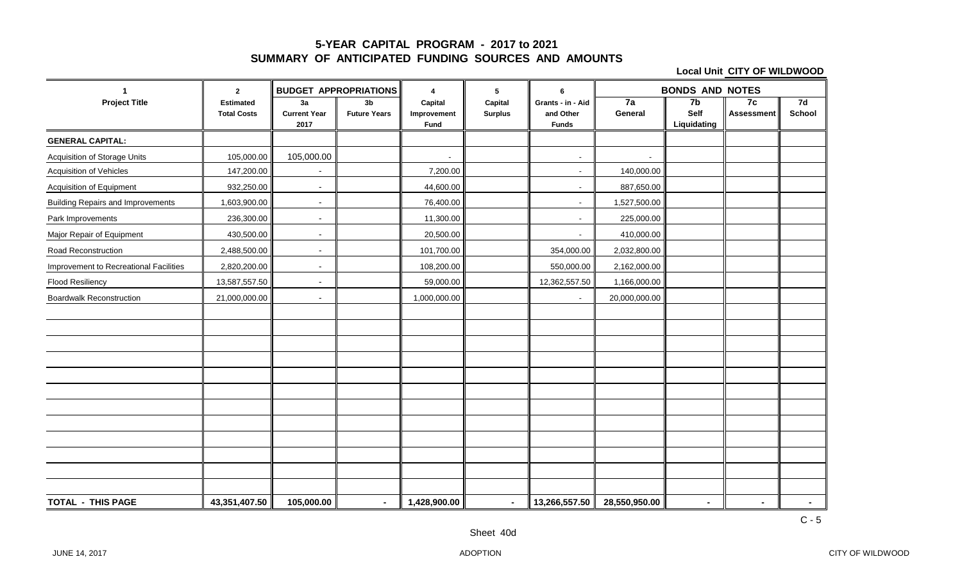#### **5-YEAR CAPITAL PROGRAM - 2017 to 2021 SUMMARY OF ANTICIPATED FUNDING SOURCES AND AMOUNTS**

| $\overline{\mathbf{1}}$                  | $\mathbf{2}$                           | <b>BUDGET APPROPRIATIONS</b>      |                           | 4                              | ${\bf 5}$                 | 6                                              | <b>BONDS AND NOTES</b>   |                           |                         |                     |
|------------------------------------------|----------------------------------------|-----------------------------------|---------------------------|--------------------------------|---------------------------|------------------------------------------------|--------------------------|---------------------------|-------------------------|---------------------|
| <b>Project Title</b>                     | <b>Estimated</b><br><b>Total Costs</b> | 3a<br><b>Current Year</b><br>2017 | 3b<br><b>Future Years</b> | Capital<br>Improvement<br>Fund | Capital<br><b>Surplus</b> | Grants - in - Aid<br>and Other<br><b>Funds</b> | 7a<br>General            | 7b<br>Self<br>Liquidating | 7c<br><b>Assessment</b> | 7d<br><b>School</b> |
| <b>GENERAL CAPITAL:</b>                  |                                        |                                   |                           |                                |                           |                                                |                          |                           |                         |                     |
| <b>Acquisition of Storage Units</b>      | 105,000.00                             | 105,000.00                        |                           | $\overline{\phantom{a}}$       |                           | $\sim$                                         | $\overline{\phantom{a}}$ |                           |                         |                     |
| <b>Acquisition of Vehicles</b>           | 147,200.00                             | $\overline{\phantom{a}}$          |                           | 7,200.00                       |                           | $\sim$                                         | 140,000.00               |                           |                         |                     |
| Acquisition of Equipment                 | 932,250.00                             | $\sim$                            |                           | 44,600.00                      |                           | $\overline{\phantom{a}}$                       | 887,650.00               |                           |                         |                     |
| <b>Building Repairs and Improvements</b> | 1,603,900.00                           | $\blacksquare$                    |                           | 76,400.00                      |                           | $\overline{\phantom{a}}$                       | 1,527,500.00             |                           |                         |                     |
| Park Improvements                        | 236,300.00                             | $\blacksquare$                    |                           | 11,300.00                      |                           | $\overline{\phantom{a}}$                       | 225,000.00               |                           |                         |                     |
| Major Repair of Equipment                | 430,500.00                             | $\sim$                            |                           | 20,500.00                      |                           | $\overline{\phantom{a}}$                       | 410,000.00               |                           |                         |                     |
| Road Reconstruction                      | 2,488,500.00                           | $\blacksquare$                    |                           | 101,700.00                     |                           | 354,000.00                                     | 2,032,800.00             |                           |                         |                     |
| Improvement to Recreational Facilities   | 2,820,200.00                           | $\blacksquare$                    |                           | 108,200.00                     |                           | 550,000.00                                     | 2,162,000.00             |                           |                         |                     |
| <b>Flood Resiliency</b>                  | 13,587,557.50                          | $\sim$                            |                           | 59,000.00                      |                           | 12,362,557.50                                  | 1,166,000.00             |                           |                         |                     |
| <b>Boardwalk Reconstruction</b>          | 21,000,000.00                          | $\blacksquare$                    |                           | 1,000,000.00                   |                           | $\sim$                                         | 20,000,000.00            |                           |                         |                     |
|                                          |                                        |                                   |                           |                                |                           |                                                |                          |                           |                         |                     |
|                                          |                                        |                                   |                           |                                |                           |                                                |                          |                           |                         |                     |
|                                          |                                        |                                   |                           |                                |                           |                                                |                          |                           |                         |                     |
|                                          |                                        |                                   |                           |                                |                           |                                                |                          |                           |                         |                     |
|                                          |                                        |                                   |                           |                                |                           |                                                |                          |                           |                         |                     |
|                                          |                                        |                                   |                           |                                |                           |                                                |                          |                           |                         |                     |
|                                          |                                        |                                   |                           |                                |                           |                                                |                          |                           |                         |                     |
|                                          |                                        |                                   |                           |                                |                           |                                                |                          |                           |                         |                     |
|                                          |                                        |                                   |                           |                                |                           |                                                |                          |                           |                         |                     |
|                                          |                                        |                                   |                           |                                |                           |                                                |                          |                           |                         |                     |
|                                          |                                        |                                   |                           |                                |                           |                                                |                          |                           |                         |                     |
|                                          |                                        |                                   |                           |                                |                           |                                                |                          |                           |                         |                     |
| <b>TOTAL - THIS PAGE</b>                 | 43,351,407.50                          | 105,000.00                        | $\blacksquare$            | 1,428,900.00                   | $\sim$                    | 13,266,557.50                                  | 28,550,950.00            | $\sim$                    | $\blacksquare$          | $\sim$              |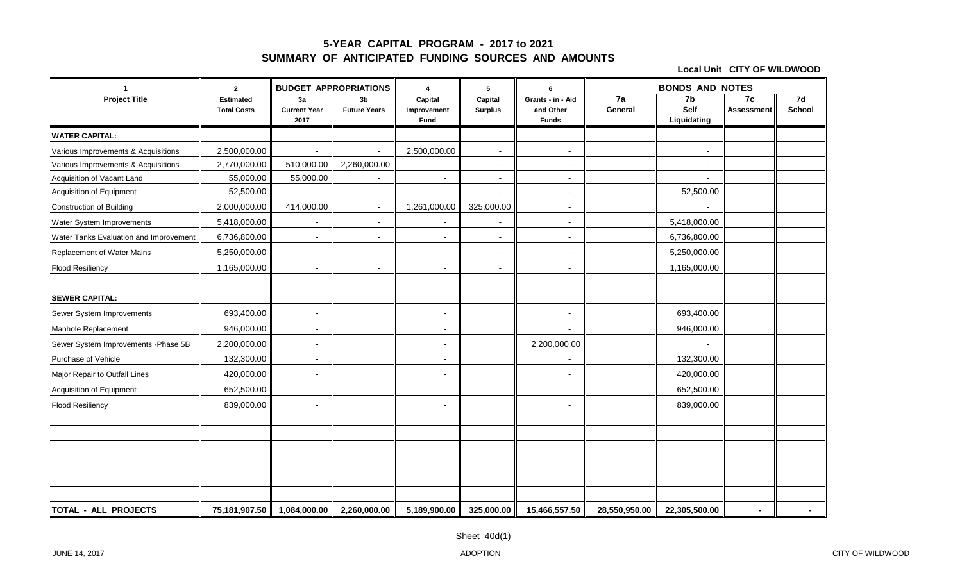#### **5-YEAR CAPITAL PROGRAM - 2017 to 2021 SUMMARY OF ANTICIPATED FUNDING SOURCES AND AMOUNTS**

| $\blacktriangleleft$                   | $\mathbf{2}$                           | <b>BUDGET APPROPRIATIONS</b>      |                                       | 4                              | 5                         | 6                                              | <b>BONDS AND NOTES</b>     |                                       |                         |              |
|----------------------------------------|----------------------------------------|-----------------------------------|---------------------------------------|--------------------------------|---------------------------|------------------------------------------------|----------------------------|---------------------------------------|-------------------------|--------------|
| <b>Project Title</b>                   | <b>Estimated</b><br><b>Total Costs</b> | 3a<br><b>Current Year</b><br>2017 | 3 <sub>b</sub><br><b>Future Years</b> | Capital<br>Improvement<br>Fund | Capital<br><b>Surplus</b> | Grants - in - Aid<br>and Other<br><b>Funds</b> | $\overline{7a}$<br>General | 7 <sub>b</sub><br>Self<br>Liquidating | 7c<br><b>Assessment</b> | 7d<br>School |
| <b>WATER CAPITAL:</b>                  |                                        |                                   |                                       |                                |                           |                                                |                            |                                       |                         |              |
| Various Improvements & Acquisitions    | 2,500,000.00                           | $\overline{\phantom{a}}$          | $\overline{\phantom{a}}$              | 2,500,000.00                   | $\sim$                    | $\sim$                                         |                            | $\sim$                                |                         |              |
| Various Improvements & Acquisitions    | 2,770,000.00                           | 510,000.00                        | 2,260,000.00                          |                                | $\overline{\phantom{a}}$  | $\blacksquare$                                 |                            | ٠                                     |                         |              |
| Acquisition of Vacant Land             | 55,000.00                              | 55,000.00                         |                                       | $\overline{a}$                 | $\overline{\phantom{a}}$  | $\sim$                                         |                            | $\overline{\phantom{a}}$              |                         |              |
| Acquisition of Equipment               | 52,500.00                              |                                   | $\overline{\phantom{a}}$              | $\blacksquare$                 | $\overline{\phantom{a}}$  | $\blacksquare$                                 |                            | 52,500.00                             |                         |              |
| <b>Construction of Building</b>        | 2,000,000.00                           | 414,000.00                        | $\overline{\phantom{a}}$              | 1,261,000.00                   | 325,000.00                | $\overline{\phantom{a}}$                       |                            |                                       |                         |              |
| Water System Improvements              | 5,418,000.00                           | $\overline{\phantom{a}}$          | $\overline{\phantom{a}}$              | $\sim$                         | $\overline{\phantom{a}}$  | $\sim$                                         |                            | 5,418,000.00                          |                         |              |
| Water Tanks Evaluation and Improvement | 6,736,800.00                           | $\blacksquare$                    | $\blacksquare$                        | $\blacksquare$                 | $\blacksquare$            | $\blacksquare$                                 |                            | 6,736,800.00                          |                         |              |
| Replacement of Water Mains             | 5,250,000.00                           | $\overline{\phantom{a}}$          | $\blacksquare$                        | $\overline{\phantom{a}}$       | $\overline{\phantom{a}}$  | $\blacksquare$                                 |                            | 5,250,000.00                          |                         |              |
| Flood Resiliency                       | 1,165,000.00                           | $\sim$                            | $\blacksquare$                        | $\blacksquare$                 | $\sim$                    | $\blacksquare$                                 |                            | 1,165,000.00                          |                         |              |
|                                        |                                        |                                   |                                       |                                |                           |                                                |                            |                                       |                         |              |
| <b>SEWER CAPITAL:</b>                  |                                        |                                   |                                       |                                |                           |                                                |                            |                                       |                         |              |
| Sewer System Improvements              | 693,400.00                             | $\overline{\phantom{a}}$          |                                       | $\blacksquare$                 |                           | $\overline{\phantom{a}}$                       |                            | 693,400.00                            |                         |              |
| Manhole Replacement                    | 946,000.00                             | $\overline{\phantom{a}}$          |                                       | $\blacksquare$                 |                           | $\overline{\phantom{0}}$                       |                            | 946,000.00                            |                         |              |
| Sewer System Improvements - Phase 5B   | 2,200,000.00                           | $\sim$                            |                                       | $\sim$                         |                           | 2,200,000.00                                   |                            |                                       |                         |              |
| Purchase of Vehicle                    | 132,300.00                             | $\overline{\phantom{a}}$          |                                       | $\sim$                         |                           | ٠                                              |                            | 132,300.00                            |                         |              |
| Major Repair to Outfall Lines          | 420,000.00                             | $\blacksquare$                    |                                       | $\blacksquare$                 |                           | $\blacksquare$                                 |                            | 420,000.00                            |                         |              |
| Acquisition of Equipment               | 652,500.00                             | $\blacksquare$                    |                                       | $\blacksquare$                 |                           | $\blacksquare$                                 |                            | 652,500.00                            |                         |              |
| <b>Flood Resiliency</b>                | 839,000.00                             | $\overline{\phantom{a}}$          |                                       | $\sim$                         |                           | $\sim$                                         |                            | 839,000.00                            |                         |              |
|                                        |                                        |                                   |                                       |                                |                           |                                                |                            |                                       |                         |              |
|                                        |                                        |                                   |                                       |                                |                           |                                                |                            |                                       |                         |              |
|                                        |                                        |                                   |                                       |                                |                           |                                                |                            |                                       |                         |              |
|                                        |                                        |                                   |                                       |                                |                           |                                                |                            |                                       |                         |              |
|                                        |                                        |                                   |                                       |                                |                           |                                                |                            |                                       |                         |              |
|                                        |                                        |                                   |                                       |                                |                           |                                                |                            |                                       |                         |              |
| <b>TOTAL - ALL PROJECTS</b>            | 75,181,907.50                          | 1,084,000.00                      | 2,260,000.00                          | 5,189,900.00                   | 325,000.00                | 15,466,557.50                                  | 28,550,950.00              | 22,305,500.00                         | $\blacksquare$          |              |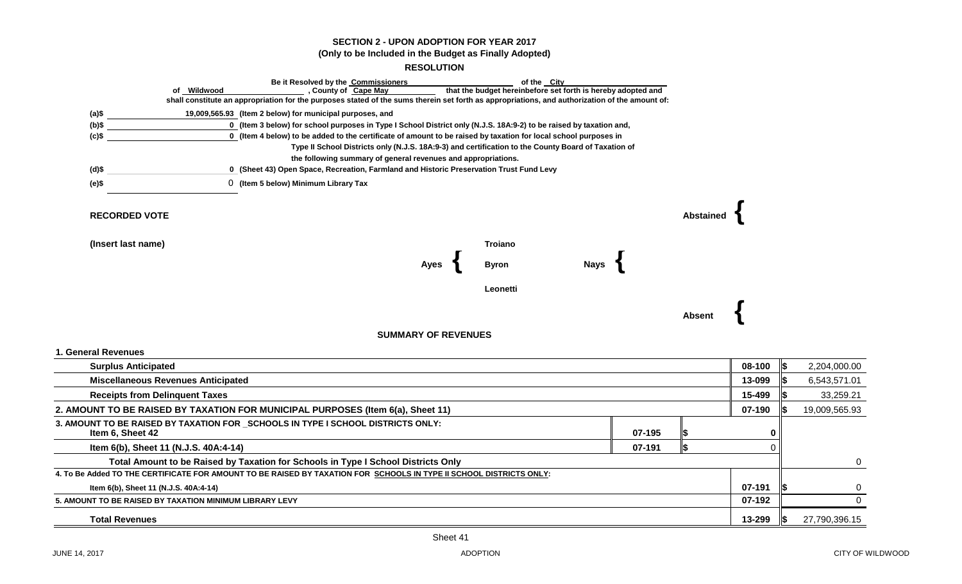#### **SECTION 2 - UPON ADOPTION FOR YEAR 2017 (Only to be Included in the Budget as Finally Adopted)**

#### **RESOLUTION**

|                                                         |             | Be it Resolved by the Commissioners                                                                                                                                            |                                                                                                     |                                                              | of the City |        |                  |          |     |               |
|---------------------------------------------------------|-------------|--------------------------------------------------------------------------------------------------------------------------------------------------------------------------------|-----------------------------------------------------------------------------------------------------|--------------------------------------------------------------|-------------|--------|------------------|----------|-----|---------------|
|                                                         | of Wildwood | , County of Cape May<br>shall constitute an appropriation for the purposes stated of the sums therein set forth as appropriations, and authorization of the amount of:         |                                                                                                     | that the budget hereinbefore set forth is hereby adopted and |             |        |                  |          |     |               |
|                                                         |             |                                                                                                                                                                                |                                                                                                     |                                                              |             |        |                  |          |     |               |
| (a)\$<br>$(b)$ \$                                       |             | 19,009,565.93 (Item 2 below) for municipal purposes, and<br>0 (Item 3 below) for school purposes in Type I School District only (N.J.S. 18A:9-2) to be raised by taxation and, |                                                                                                     |                                                              |             |        |                  |          |     |               |
| $(c)$ \$                                                |             | 0 (Item 4 below) to be added to the certificate of amount to be raised by taxation for local school purposes in                                                                |                                                                                                     |                                                              |             |        |                  |          |     |               |
|                                                         |             |                                                                                                                                                                                | Type II School Districts only (N.J.S. 18A:9-3) and certification to the County Board of Taxation of |                                                              |             |        |                  |          |     |               |
|                                                         |             |                                                                                                                                                                                | the following summary of general revenues and appropriations.                                       |                                                              |             |        |                  |          |     |               |
| $(d)$ \$                                                |             | 0 (Sheet 43) Open Space, Recreation, Farmland and Historic Preservation Trust Fund Levy                                                                                        |                                                                                                     |                                                              |             |        |                  |          |     |               |
| (e)\$                                                   |             | 0 (Item 5 below) Minimum Library Tax                                                                                                                                           |                                                                                                     |                                                              |             |        |                  |          |     |               |
| <b>RECORDED VOTE</b>                                    |             |                                                                                                                                                                                |                                                                                                     |                                                              |             |        | <b>Abstained</b> |          |     |               |
| (Insert last name)                                      |             |                                                                                                                                                                                |                                                                                                     | <b>Troiano</b>                                               |             |        |                  |          |     |               |
|                                                         |             |                                                                                                                                                                                | Ayes                                                                                                | <b>Byron</b>                                                 | <b>Nays</b> |        |                  |          |     |               |
|                                                         |             |                                                                                                                                                                                |                                                                                                     | Leonetti                                                     |             |        |                  |          |     |               |
|                                                         |             |                                                                                                                                                                                |                                                                                                     |                                                              |             |        |                  |          |     |               |
|                                                         |             |                                                                                                                                                                                |                                                                                                     |                                                              |             |        | Absent           |          |     |               |
|                                                         |             |                                                                                                                                                                                | <b>SUMMARY OF REVENUES</b>                                                                          |                                                              |             |        |                  |          |     |               |
| 1. General Revenues                                     |             |                                                                                                                                                                                |                                                                                                     |                                                              |             |        |                  |          |     |               |
| <b>Surplus Anticipated</b>                              |             |                                                                                                                                                                                |                                                                                                     |                                                              |             |        |                  | 08-100   | 1\$ | 2,204,000.00  |
| <b>Miscellaneous Revenues Anticipated</b>               |             |                                                                                                                                                                                |                                                                                                     |                                                              |             |        |                  | 13-099   |     | 6,543,571.01  |
| <b>Receipts from Delinquent Taxes</b>                   |             |                                                                                                                                                                                |                                                                                                     |                                                              |             |        |                  | 15-499   |     | 33,259.21     |
|                                                         |             | 2. AMOUNT TO BE RAISED BY TAXATION FOR MUNICIPAL PURPOSES (Item 6(a), Sheet 11)                                                                                                |                                                                                                     |                                                              |             |        |                  | 07-190   |     | 19,009,565.93 |
| Item 6, Sheet 42                                        |             | 3. AMOUNT TO BE RAISED BY TAXATION FOR SCHOOLS IN TYPE I SCHOOL DISTRICTS ONLY:                                                                                                |                                                                                                     |                                                              |             | 07-195 |                  | 0        |     |               |
| Item 6(b), Sheet 11 (N.J.S. 40A:4-14)                   |             |                                                                                                                                                                                |                                                                                                     |                                                              |             | 07-191 | l\$              | $\Omega$ |     |               |
|                                                         |             | Total Amount to be Raised by Taxation for Schools in Type I School Districts Only                                                                                              |                                                                                                     |                                                              |             |        |                  |          |     | 0             |
|                                                         |             | 4. To Be Added TO THE CERTIFICATE FOR AMOUNT TO BE RAISED BY TAXATION FOR SCHOOLS IN TYPE II SCHOOL DISTRICTS ONLY:                                                            |                                                                                                     |                                                              |             |        |                  |          |     |               |
| Item 6(b), Sheet 11 (N.J.S. 40A:4-14)                   |             |                                                                                                                                                                                |                                                                                                     |                                                              |             |        |                  | 07-191   |     | 0             |
| 5. AMOUNT TO BE RAISED BY TAXATION MINIMUM LIBRARY LEVY |             |                                                                                                                                                                                |                                                                                                     |                                                              |             |        |                  | 07-192   |     | $\Omega$      |
| <b>Total Revenues</b>                                   |             |                                                                                                                                                                                |                                                                                                     |                                                              |             |        |                  | 13-299   | IS. | 27,790,396.15 |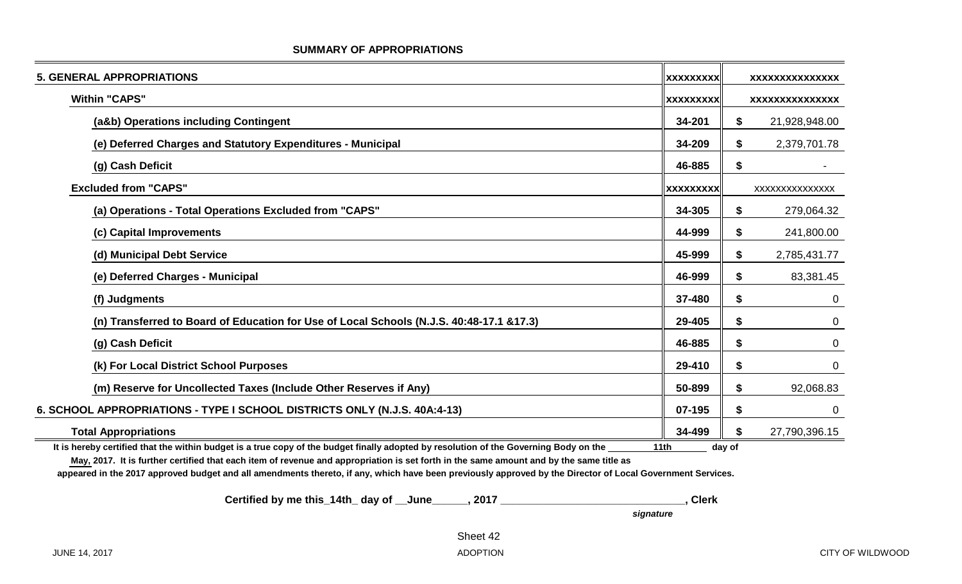| <b>5. GENERAL APPROPRIATIONS</b>                                                                                                      | <b>XXXXXXXXX</b> |           | XXXXXXXXXXXXXXX |
|---------------------------------------------------------------------------------------------------------------------------------------|------------------|-----------|-----------------|
| <b>Within "CAPS"</b>                                                                                                                  | <b>XXXXXXXXX</b> |           | XXXXXXXXXXXXXXX |
| (a&b) Operations including Contingent                                                                                                 | 34-201           | \$        | 21,928,948.00   |
| (e) Deferred Charges and Statutory Expenditures - Municipal                                                                           | 34-209           | \$        | 2,379,701.78    |
| (g) Cash Deficit                                                                                                                      | 46-885           | \$        |                 |
| <b>Excluded from "CAPS"</b>                                                                                                           | <b>XXXXXXXXX</b> |           | XXXXXXXXXXXXXX  |
| (a) Operations - Total Operations Excluded from "CAPS"                                                                                | 34-305           | \$        | 279,064.32      |
| (c) Capital Improvements                                                                                                              | 44-999           | \$        | 241,800.00      |
| (d) Municipal Debt Service                                                                                                            | 45-999           | \$        | 2,785,431.77    |
| (e) Deferred Charges - Municipal                                                                                                      | 46-999           | \$        | 83,381.45       |
| (f) Judgments                                                                                                                         | 37-480           | \$        | 0               |
| (n) Transferred to Board of Education for Use of Local Schools (N.J.S. 40:48-17.1 &17.3)                                              | 29-405           | \$        | $\overline{0}$  |
| (g) Cash Deficit                                                                                                                      | 46-885           | \$        | $\mathbf 0$     |
| (k) For Local District School Purposes                                                                                                | 29-410           | \$        | $\overline{0}$  |
| (m) Reserve for Uncollected Taxes (Include Other Reserves if Any)                                                                     | 50-899           | \$        | 92,068.83       |
| 6. SCHOOL APPROPRIATIONS - TYPE I SCHOOL DISTRICTS ONLY (N.J.S. 40A:4-13)                                                             | 07-195           | \$        | $\overline{0}$  |
| <b>Total Appropriations</b>                                                                                                           | 34-499           |           | 27,790,396.15   |
| It is bereby cortified that the within budget is a true capy of the budget finally adopted by resolution of the Coverning Pody on the | 444h             | $\lambda$ |                 |

#### **SUMMARY OF APPROPRIATIONS**

It is hereby certified that the within budget is a true copy of the budget finally adopted by resolution of the Governing Body on the 11th 11th day of

**May, 2017. It is further certified that each item of revenue and appropriation is set forth in the same amount and by the same title as**

**appeared in the 2017 approved budget and all amendments thereto, if any, which have been previously approved by the Director of Local Government Services.**

 **Certified by me this\_14th\_ day of \_\_June\_\_\_\_\_\_, 2017 \_\_\_\_\_\_\_\_\_\_\_\_\_\_\_\_\_\_\_\_\_\_\_\_\_\_\_\_\_\_\_, Clerk**

 *signature*